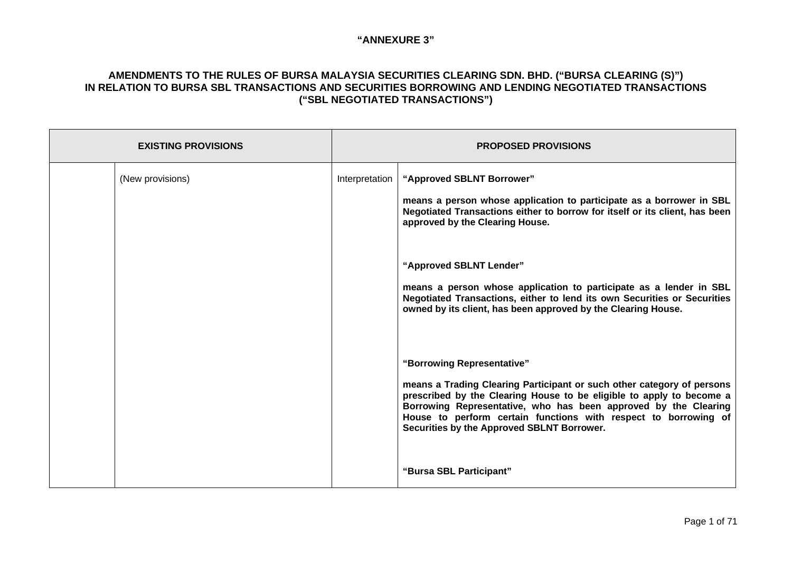| <b>EXISTING PROVISIONS</b> |                  | <b>PROPOSED PROVISIONS</b> |                                                                                                                                                                                                                                                                                                                                                                  |
|----------------------------|------------------|----------------------------|------------------------------------------------------------------------------------------------------------------------------------------------------------------------------------------------------------------------------------------------------------------------------------------------------------------------------------------------------------------|
|                            | (New provisions) | Interpretation             | "Approved SBLNT Borrower"<br>means a person whose application to participate as a borrower in SBL<br>Negotiated Transactions either to borrow for itself or its client, has been<br>approved by the Clearing House.                                                                                                                                              |
|                            |                  |                            | "Approved SBLNT Lender"<br>means a person whose application to participate as a lender in SBL<br>Negotiated Transactions, either to lend its own Securities or Securities<br>owned by its client, has been approved by the Clearing House.                                                                                                                       |
|                            |                  |                            | "Borrowing Representative"<br>means a Trading Clearing Participant or such other category of persons<br>prescribed by the Clearing House to be eligible to apply to become a<br>Borrowing Representative, who has been approved by the Clearing<br>House to perform certain functions with respect to borrowing of<br>Securities by the Approved SBLNT Borrower. |
|                            |                  |                            | "Bursa SBL Participant"                                                                                                                                                                                                                                                                                                                                          |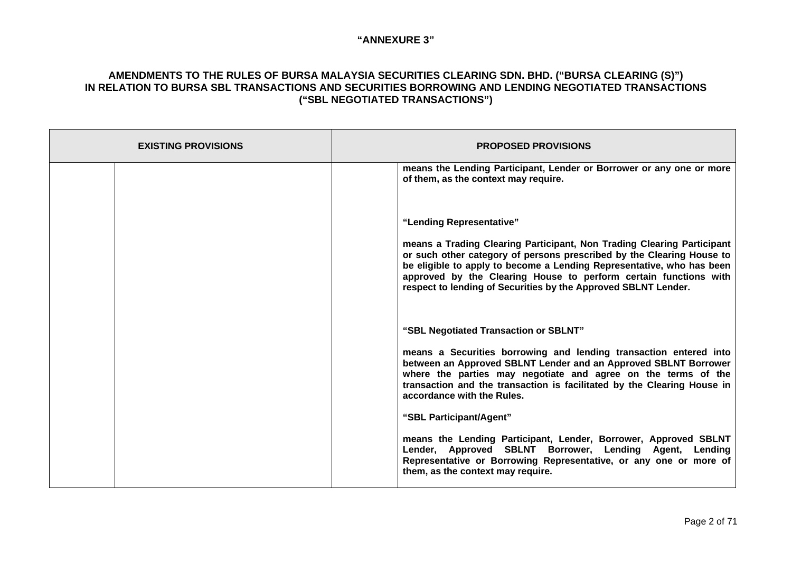| <b>EXISTING PROVISIONS</b> | <b>PROPOSED PROVISIONS</b>                                                                                                                                                                                                                                                                                                                                                                 |  |
|----------------------------|--------------------------------------------------------------------------------------------------------------------------------------------------------------------------------------------------------------------------------------------------------------------------------------------------------------------------------------------------------------------------------------------|--|
|                            | means the Lending Participant, Lender or Borrower or any one or more<br>of them, as the context may require.                                                                                                                                                                                                                                                                               |  |
|                            | "Lending Representative"<br>means a Trading Clearing Participant, Non Trading Clearing Participant<br>or such other category of persons prescribed by the Clearing House to<br>be eligible to apply to become a Lending Representative, who has been<br>approved by the Clearing House to perform certain functions with<br>respect to lending of Securities by the Approved SBLNT Lender. |  |
|                            | "SBL Negotiated Transaction or SBLNT"<br>means a Securities borrowing and lending transaction entered into<br>between an Approved SBLNT Lender and an Approved SBLNT Borrower<br>where the parties may negotiate and agree on the terms of the<br>transaction and the transaction is facilitated by the Clearing House in<br>accordance with the Rules.                                    |  |
|                            | "SBL Participant/Agent"<br>means the Lending Participant, Lender, Borrower, Approved SBLNT<br>Lender, Approved SBLNT Borrower, Lending Agent, Lending<br>Representative or Borrowing Representative, or any one or more of<br>them, as the context may require.                                                                                                                            |  |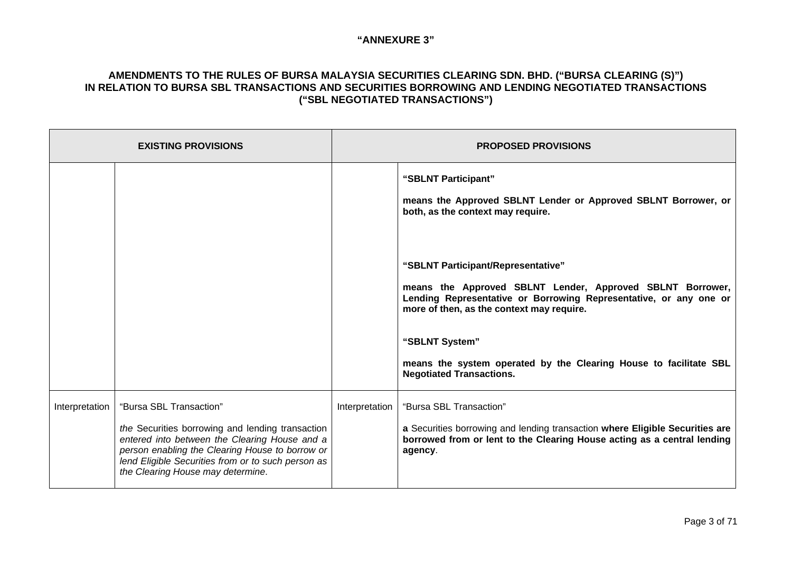| <b>EXISTING PROVISIONS</b> |                                                                                                                                                                                                                                                                            |                | <b>PROPOSED PROVISIONS</b>                                                                                                                                                                                                                                                                                                                  |  |
|----------------------------|----------------------------------------------------------------------------------------------------------------------------------------------------------------------------------------------------------------------------------------------------------------------------|----------------|---------------------------------------------------------------------------------------------------------------------------------------------------------------------------------------------------------------------------------------------------------------------------------------------------------------------------------------------|--|
|                            |                                                                                                                                                                                                                                                                            |                | "SBLNT Participant"<br>means the Approved SBLNT Lender or Approved SBLNT Borrower, or<br>both, as the context may require.                                                                                                                                                                                                                  |  |
|                            |                                                                                                                                                                                                                                                                            |                | "SBLNT Participant/Representative"<br>means the Approved SBLNT Lender, Approved SBLNT Borrower,<br>Lending Representative or Borrowing Representative, or any one or<br>more of then, as the context may require.<br>"SBLNT System"<br>means the system operated by the Clearing House to facilitate SBL<br><b>Negotiated Transactions.</b> |  |
| Interpretation             | "Bursa SBL Transaction"<br>the Securities borrowing and lending transaction<br>entered into between the Clearing House and a<br>person enabling the Clearing House to borrow or<br>lend Eligible Securities from or to such person as<br>the Clearing House may determine. | Interpretation | "Bursa SBL Transaction"<br>a Securities borrowing and lending transaction where Eligible Securities are<br>borrowed from or lent to the Clearing House acting as a central lending<br>agency.                                                                                                                                               |  |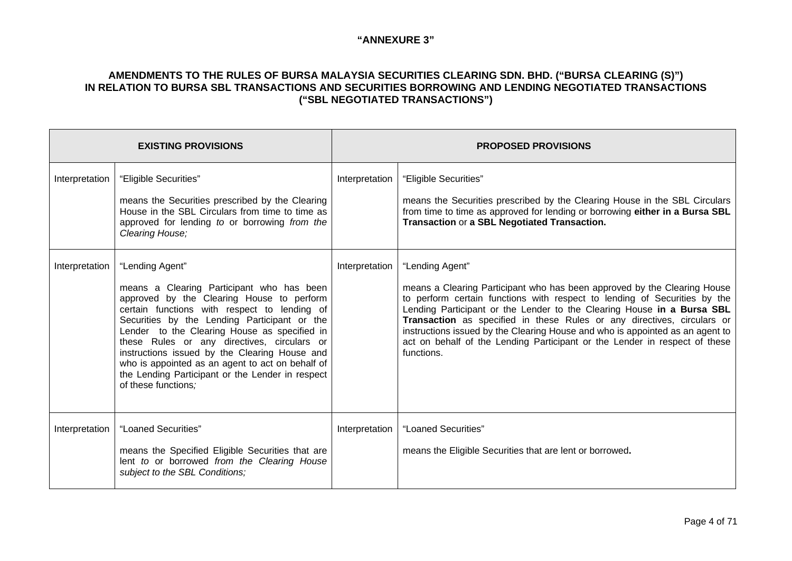|                | <b>EXISTING PROVISIONS</b>                                                                                                                                                                                                                                                                                                                                                                                                                                                                                 | <b>PROPOSED PROVISIONS</b> |                                                                                                                                                                                                                                                                                                                                                                                                                                                                                                            |  |
|----------------|------------------------------------------------------------------------------------------------------------------------------------------------------------------------------------------------------------------------------------------------------------------------------------------------------------------------------------------------------------------------------------------------------------------------------------------------------------------------------------------------------------|----------------------------|------------------------------------------------------------------------------------------------------------------------------------------------------------------------------------------------------------------------------------------------------------------------------------------------------------------------------------------------------------------------------------------------------------------------------------------------------------------------------------------------------------|--|
| Interpretation | "Eligible Securities"<br>means the Securities prescribed by the Clearing<br>House in the SBL Circulars from time to time as<br>approved for lending to or borrowing from the<br>Clearing House;                                                                                                                                                                                                                                                                                                            | Interpretation             | "Eligible Securities"<br>means the Securities prescribed by the Clearing House in the SBL Circulars<br>from time to time as approved for lending or borrowing either in a Bursa SBL<br>Transaction or a SBL Negotiated Transaction.                                                                                                                                                                                                                                                                        |  |
| Interpretation | "Lending Agent"<br>Interpretation<br>means a Clearing Participant who has been<br>approved by the Clearing House to perform<br>certain functions with respect to lending of<br>Securities by the Lending Participant or the<br>Lender to the Clearing House as specified in<br>these Rules or any directives, circulars or<br>instructions issued by the Clearing House and<br>who is appointed as an agent to act on behalf of<br>the Lending Participant or the Lender in respect<br>of these functions; |                            | "Lending Agent"<br>means a Clearing Participant who has been approved by the Clearing House<br>to perform certain functions with respect to lending of Securities by the<br>Lending Participant or the Lender to the Clearing House in a Bursa SBL<br>Transaction as specified in these Rules or any directives, circulars or<br>instructions issued by the Clearing House and who is appointed as an agent to<br>act on behalf of the Lending Participant or the Lender in respect of these<br>functions. |  |
| Interpretation | "Loaned Securities"<br>means the Specified Eligible Securities that are<br>lent to or borrowed from the Clearing House<br>subject to the SBL Conditions;                                                                                                                                                                                                                                                                                                                                                   | Interpretation             | "Loaned Securities"<br>means the Eligible Securities that are lent or borrowed.                                                                                                                                                                                                                                                                                                                                                                                                                            |  |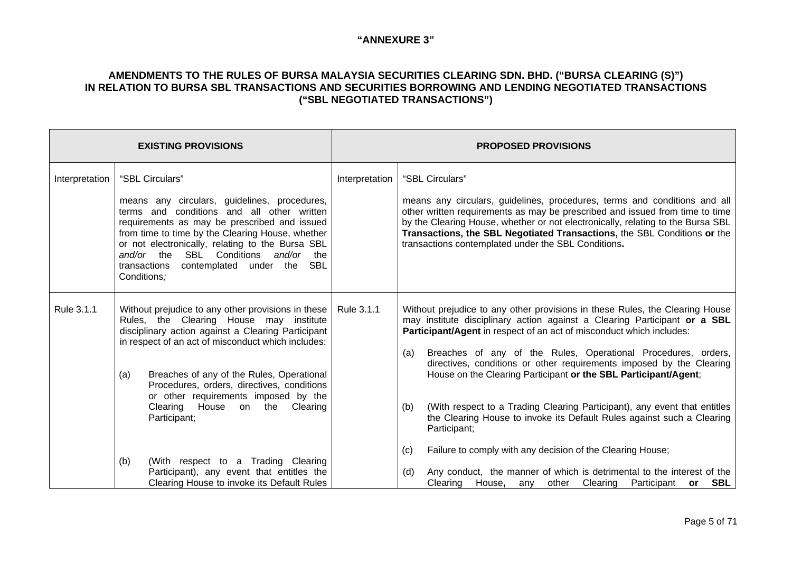|                | <b>EXISTING PROVISIONS</b>                                                                                                                                                                                                                                                                                                                              |                | <b>PROPOSED PROVISIONS</b>                                                                                                                                                                                                                                                                                                                                                      |  |
|----------------|---------------------------------------------------------------------------------------------------------------------------------------------------------------------------------------------------------------------------------------------------------------------------------------------------------------------------------------------------------|----------------|---------------------------------------------------------------------------------------------------------------------------------------------------------------------------------------------------------------------------------------------------------------------------------------------------------------------------------------------------------------------------------|--|
| Interpretation | "SBL Circulars"                                                                                                                                                                                                                                                                                                                                         | Interpretation | "SBL Circulars"                                                                                                                                                                                                                                                                                                                                                                 |  |
|                | means any circulars, guidelines, procedures,<br>terms and conditions and all other written<br>requirements as may be prescribed and issued<br>from time to time by the Clearing House, whether<br>or not electronically, relating to the Bursa SBL<br>and/or the SBL Conditions and/or the<br>contemplated under the SBL<br>transactions<br>Conditions; |                | means any circulars, guidelines, procedures, terms and conditions and all<br>other written requirements as may be prescribed and issued from time to time<br>by the Clearing House, whether or not electronically, relating to the Bursa SBL<br>Transactions, the SBL Negotiated Transactions, the SBL Conditions or the<br>transactions contemplated under the SBL Conditions. |  |
| Rule 3.1.1     | Without prejudice to any other provisions in these  <br>Rule 3.1.1<br>Rules, the Clearing House may institute<br>disciplinary action against a Clearing Participant                                                                                                                                                                                     |                | Without prejudice to any other provisions in these Rules, the Clearing House<br>may institute disciplinary action against a Clearing Participant or a SBL<br>Participant/Agent in respect of an act of misconduct which includes:                                                                                                                                               |  |
|                | in respect of an act of misconduct which includes:<br>Breaches of any of the Rules, Operational<br>(a)<br>Procedures, orders, directives, conditions<br>or other requirements imposed by the                                                                                                                                                            |                | Breaches of any of the Rules, Operational Procedures, orders,<br>(a)<br>directives, conditions or other requirements imposed by the Clearing<br>House on the Clearing Participant or the SBL Participant/Agent;                                                                                                                                                                 |  |
|                | Clearing<br>House on the<br>Clearing<br>Participant;                                                                                                                                                                                                                                                                                                    |                | (With respect to a Trading Clearing Participant), any event that entitles<br>(b)<br>the Clearing House to invoke its Default Rules against such a Clearing<br>Participant;                                                                                                                                                                                                      |  |
|                | (With respect to a Trading Clearing<br>(b)                                                                                                                                                                                                                                                                                                              |                | Failure to comply with any decision of the Clearing House;<br>(c)                                                                                                                                                                                                                                                                                                               |  |
|                | Participant), any event that entitles the<br>Clearing House to invoke its Default Rules                                                                                                                                                                                                                                                                 |                | Any conduct, the manner of which is detrimental to the interest of the<br>(d)<br>other Clearing Participant or<br>Clearing House, any<br>SBL                                                                                                                                                                                                                                    |  |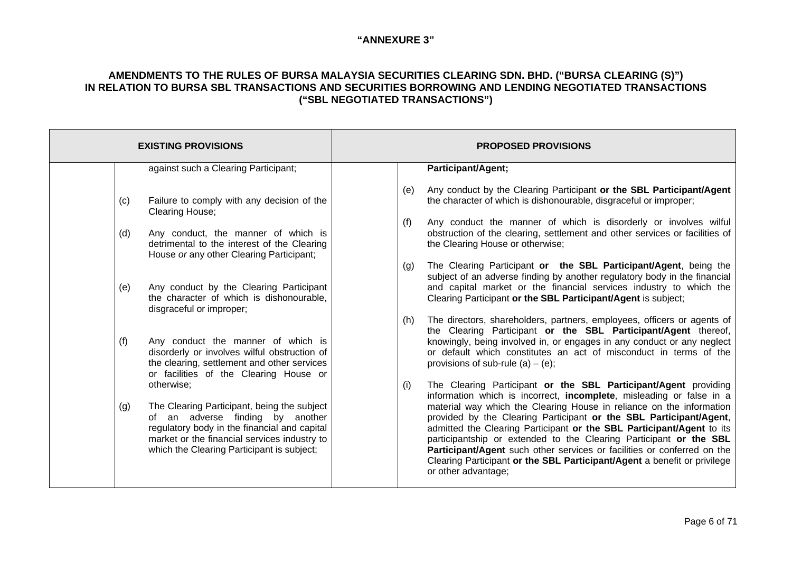|            | <b>EXISTING PROVISIONS</b>                                                                                                                                                                                                                  | <b>PROPOSED PROVISIONS</b>                                                                                                                                                                                                                                                                                                                                                                                                                                                                                                                                                                                                |  |
|------------|---------------------------------------------------------------------------------------------------------------------------------------------------------------------------------------------------------------------------------------------|---------------------------------------------------------------------------------------------------------------------------------------------------------------------------------------------------------------------------------------------------------------------------------------------------------------------------------------------------------------------------------------------------------------------------------------------------------------------------------------------------------------------------------------------------------------------------------------------------------------------------|--|
|            | against such a Clearing Participant;                                                                                                                                                                                                        | <b>Participant/Agent;</b>                                                                                                                                                                                                                                                                                                                                                                                                                                                                                                                                                                                                 |  |
| (c)<br>(d) | Failure to comply with any decision of the<br>Clearing House;<br>Any conduct, the manner of which is<br>detrimental to the interest of the Clearing<br>House or any other Clearing Participant;                                             | Any conduct by the Clearing Participant or the SBL Participant/Agent<br>(e)<br>the character of which is dishonourable, disgraceful or improper;<br>Any conduct the manner of which is disorderly or involves wilful<br>(f)<br>obstruction of the clearing, settlement and other services or facilities of<br>the Clearing House or otherwise;                                                                                                                                                                                                                                                                            |  |
| (e)        | Any conduct by the Clearing Participant<br>the character of which is dishonourable,<br>disgraceful or improper;                                                                                                                             | The Clearing Participant or the SBL Participant/Agent, being the<br>(g)<br>subject of an adverse finding by another regulatory body in the financial<br>and capital market or the financial services industry to which the<br>Clearing Participant or the SBL Participant/Agent is subject;                                                                                                                                                                                                                                                                                                                               |  |
| (f)        | Any conduct the manner of which is<br>disorderly or involves wilful obstruction of<br>the clearing, settlement and other services<br>or facilities of the Clearing House or                                                                 | The directors, shareholders, partners, employees, officers or agents of<br>(h)<br>the Clearing Participant or the SBL Participant/Agent thereof,<br>knowingly, being involved in, or engages in any conduct or any neglect<br>or default which constitutes an act of misconduct in terms of the<br>provisions of sub-rule (a) $-$ (e);                                                                                                                                                                                                                                                                                    |  |
| (g)        | otherwise;<br>The Clearing Participant, being the subject<br>of an adverse finding by another<br>regulatory body in the financial and capital<br>market or the financial services industry to<br>which the Clearing Participant is subject; | The Clearing Participant or the SBL Participant/Agent providing<br>(i)<br>information which is incorrect, incomplete, misleading or false in a<br>material way which the Clearing House in reliance on the information<br>provided by the Clearing Participant or the SBL Participant/Agent,<br>admitted the Clearing Participant or the SBL Participant/Agent to its<br>participantship or extended to the Clearing Participant or the SBL<br>Participant/Agent such other services or facilities or conferred on the<br>Clearing Participant or the SBL Participant/Agent a benefit or privilege<br>or other advantage; |  |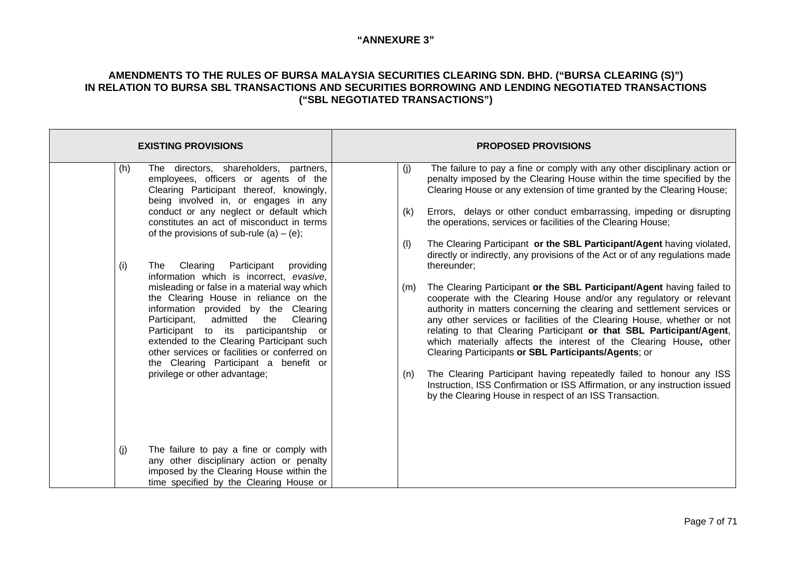| <b>EXISTING PROVISIONS</b>                                                                                                                                                                                                                                                                                                                                    | <b>PROPOSED PROVISIONS</b>                                                                                                                                                                                                                                                                                                                                                                                                                                                                                      |  |  |
|---------------------------------------------------------------------------------------------------------------------------------------------------------------------------------------------------------------------------------------------------------------------------------------------------------------------------------------------------------------|-----------------------------------------------------------------------------------------------------------------------------------------------------------------------------------------------------------------------------------------------------------------------------------------------------------------------------------------------------------------------------------------------------------------------------------------------------------------------------------------------------------------|--|--|
| The directors, shareholders, partners,<br>(h)<br>employees, officers or agents of the<br>Clearing Participant thereof, knowingly,<br>being involved in, or engages in any                                                                                                                                                                                     | The failure to pay a fine or comply with any other disciplinary action or<br>(j)<br>penalty imposed by the Clearing House within the time specified by the<br>Clearing House or any extension of time granted by the Clearing House;                                                                                                                                                                                                                                                                            |  |  |
| conduct or any neglect or default which<br>constitutes an act of misconduct in terms<br>of the provisions of sub-rule (a) $-$ (e);                                                                                                                                                                                                                            | Errors, delays or other conduct embarrassing, impeding or disrupting<br>(k)<br>the operations, services or facilities of the Clearing House;                                                                                                                                                                                                                                                                                                                                                                    |  |  |
| (i)<br>Participant<br>Clearing<br>providing<br>The<br>information which is incorrect, evasive,                                                                                                                                                                                                                                                                | The Clearing Participant or the SBL Participant/Agent having violated,<br>(1)<br>directly or indirectly, any provisions of the Act or of any regulations made<br>thereunder;                                                                                                                                                                                                                                                                                                                                    |  |  |
| misleading or false in a material way which<br>the Clearing House in reliance on the<br>information provided by the Clearing<br>admitted<br>Clearing<br>Participant,<br>the<br>Participant to its participantship<br>or<br>extended to the Clearing Participant such<br>other services or facilities or conferred on<br>the Clearing Participant a benefit or | The Clearing Participant or the SBL Participant/Agent having failed to<br>(m)<br>cooperate with the Clearing House and/or any regulatory or relevant<br>authority in matters concerning the clearing and settlement services or<br>any other services or facilities of the Clearing House, whether or not<br>relating to that Clearing Participant or that SBL Participant/Agent,<br>which materially affects the interest of the Clearing House, other<br>Clearing Participants or SBL Participants/Agents; or |  |  |
| privilege or other advantage;                                                                                                                                                                                                                                                                                                                                 | The Clearing Participant having repeatedly failed to honour any ISS<br>(n)<br>Instruction, ISS Confirmation or ISS Affirmation, or any instruction issued<br>by the Clearing House in respect of an ISS Transaction.                                                                                                                                                                                                                                                                                            |  |  |
| (i)<br>The failure to pay a fine or comply with<br>any other disciplinary action or penalty<br>imposed by the Clearing House within the<br>time specified by the Clearing House or                                                                                                                                                                            |                                                                                                                                                                                                                                                                                                                                                                                                                                                                                                                 |  |  |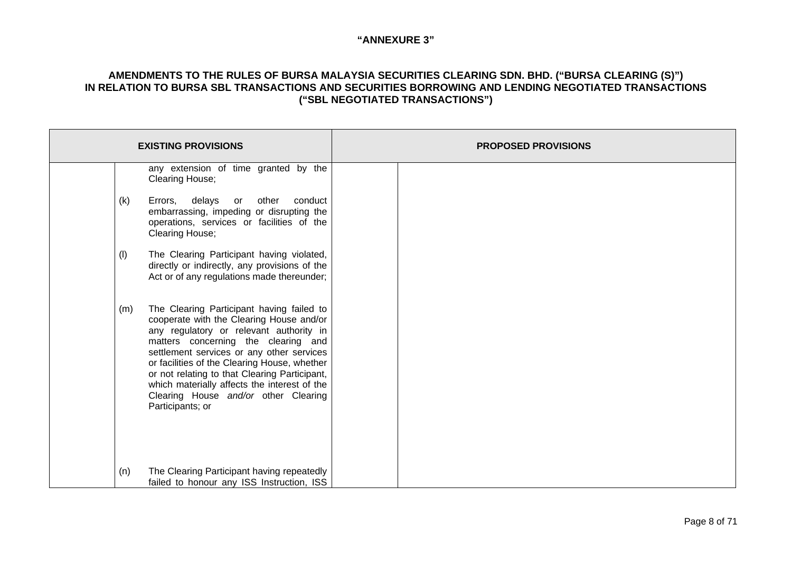| <b>EXISTING PROVISIONS</b>                                                                                                                                                                                                                                                                                                                                                                                                               | <b>PROPOSED PROVISIONS</b> |  |
|------------------------------------------------------------------------------------------------------------------------------------------------------------------------------------------------------------------------------------------------------------------------------------------------------------------------------------------------------------------------------------------------------------------------------------------|----------------------------|--|
| any extension of time granted by the<br>Clearing House;                                                                                                                                                                                                                                                                                                                                                                                  |                            |  |
| delays or other<br>(k)<br>Errors,<br>conduct<br>embarrassing, impeding or disrupting the<br>operations, services or facilities of the<br>Clearing House;                                                                                                                                                                                                                                                                                 |                            |  |
| The Clearing Participant having violated,<br>(1)<br>directly or indirectly, any provisions of the<br>Act or of any regulations made thereunder;                                                                                                                                                                                                                                                                                          |                            |  |
| The Clearing Participant having failed to<br>(m)<br>cooperate with the Clearing House and/or<br>any regulatory or relevant authority in<br>matters concerning the clearing and<br>settlement services or any other services<br>or facilities of the Clearing House, whether<br>or not relating to that Clearing Participant,<br>which materially affects the interest of the<br>Clearing House and/or other Clearing<br>Participants; or |                            |  |
| The Clearing Participant having repeatedly<br>(n)<br>failed to honour any ISS Instruction, ISS                                                                                                                                                                                                                                                                                                                                           |                            |  |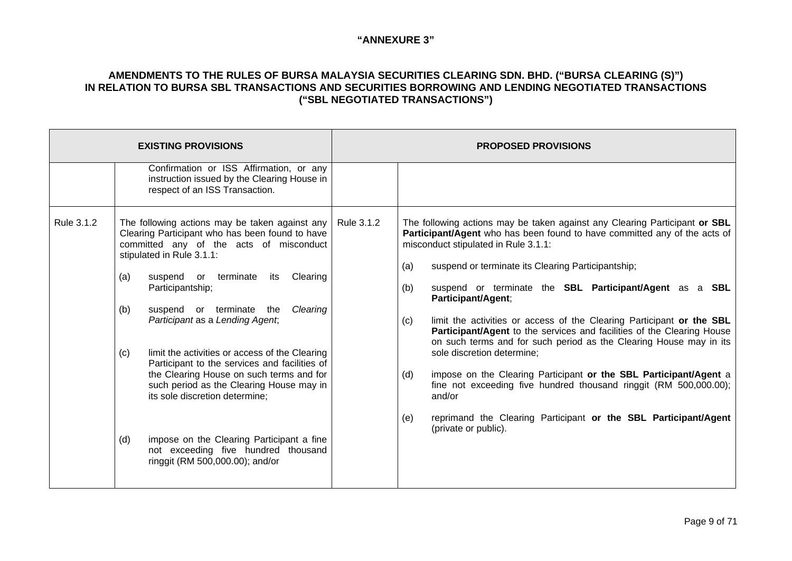| <b>EXISTING PROVISIONS</b> |                          |                                                                                                                                                                                                                                                                                                                                                                                                                                                                                                                                                                                                                                                                         |            | <b>PROPOSED PROVISIONS</b>      |                                                                                                                                                                                                                                                                                                                                                                                                                                                                                                                                                                                                                                                                                                                                                                                                                                              |
|----------------------------|--------------------------|-------------------------------------------------------------------------------------------------------------------------------------------------------------------------------------------------------------------------------------------------------------------------------------------------------------------------------------------------------------------------------------------------------------------------------------------------------------------------------------------------------------------------------------------------------------------------------------------------------------------------------------------------------------------------|------------|---------------------------------|----------------------------------------------------------------------------------------------------------------------------------------------------------------------------------------------------------------------------------------------------------------------------------------------------------------------------------------------------------------------------------------------------------------------------------------------------------------------------------------------------------------------------------------------------------------------------------------------------------------------------------------------------------------------------------------------------------------------------------------------------------------------------------------------------------------------------------------------|
|                            |                          | Confirmation or ISS Affirmation, or any<br>instruction issued by the Clearing House in<br>respect of an ISS Transaction.                                                                                                                                                                                                                                                                                                                                                                                                                                                                                                                                                |            |                                 |                                                                                                                                                                                                                                                                                                                                                                                                                                                                                                                                                                                                                                                                                                                                                                                                                                              |
| Rule 3.1.2                 | (a)<br>(b)<br>(c)<br>(d) | The following actions may be taken against any<br>Clearing Participant who has been found to have<br>committed any of the acts of misconduct<br>stipulated in Rule 3.1.1:<br>suspend or terminate<br>Clearing<br>its<br>Participantship;<br>suspend or terminate the<br>Clearing<br>Participant as a Lending Agent,<br>limit the activities or access of the Clearing<br>Participant to the services and facilities of<br>the Clearing House on such terms and for<br>such period as the Clearing House may in<br>its sole discretion determine;<br>impose on the Clearing Participant a fine<br>not exceeding five hundred thousand<br>ringgit (RM 500,000.00); and/or | Rule 3.1.2 | (a)<br>(b)<br>(c)<br>(d)<br>(e) | The following actions may be taken against any Clearing Participant or SBL<br>Participant/Agent who has been found to have committed any of the acts of<br>misconduct stipulated in Rule 3.1.1:<br>suspend or terminate its Clearing Participantship;<br>suspend or terminate the SBL Participant/Agent as a SBL<br>Participant/Agent;<br>limit the activities or access of the Clearing Participant or the SBL<br>Participant/Agent to the services and facilities of the Clearing House<br>on such terms and for such period as the Clearing House may in its<br>sole discretion determine;<br>impose on the Clearing Participant or the SBL Participant/Agent a<br>fine not exceeding five hundred thousand ringgit (RM 500,000.00);<br>and/or<br>reprimand the Clearing Participant or the SBL Participant/Agent<br>(private or public). |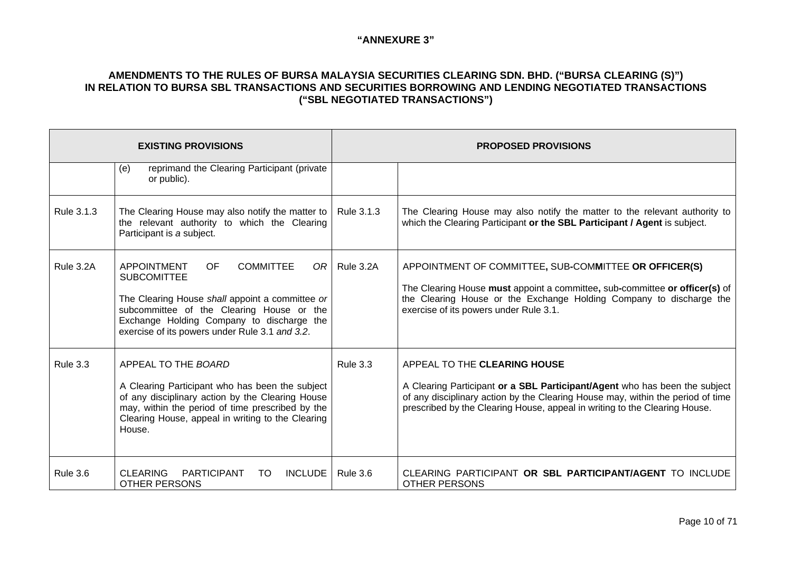| <b>EXISTING PROVISIONS</b> |                                                                                                                                                                                                                                                                                  | <b>PROPOSED PROVISIONS</b> |                                                                                                                                                                                                                                                                             |
|----------------------------|----------------------------------------------------------------------------------------------------------------------------------------------------------------------------------------------------------------------------------------------------------------------------------|----------------------------|-----------------------------------------------------------------------------------------------------------------------------------------------------------------------------------------------------------------------------------------------------------------------------|
|                            | reprimand the Clearing Participant (private<br>(e)<br>or public).                                                                                                                                                                                                                |                            |                                                                                                                                                                                                                                                                             |
| Rule 3.1.3                 | The Clearing House may also notify the matter to<br>the relevant authority to which the Clearing<br>Participant is a subject.                                                                                                                                                    | Rule 3.1.3                 | The Clearing House may also notify the matter to the relevant authority to<br>which the Clearing Participant or the SBL Participant / Agent is subject.                                                                                                                     |
| Rule 3.2A                  | <b>APPOINTMENT</b><br><b>OF</b><br><b>COMMITTEE</b><br>OR I<br><b>SUBCOMITTEE</b><br>The Clearing House shall appoint a committee or<br>subcommittee of the Clearing House or the<br>Exchange Holding Company to discharge the<br>exercise of its powers under Rule 3.1 and 3.2. | Rule 3.2A                  | APPOINTMENT OF COMMITTEE, SUB-COMMITTEE OR OFFICER(S)<br>The Clearing House must appoint a committee, sub-committee or officer(s) of<br>the Clearing House or the Exchange Holding Company to discharge the<br>exercise of its powers under Rule 3.1.                       |
| <b>Rule 3.3</b>            | APPEAL TO THE BOARD<br>A Clearing Participant who has been the subject<br>of any disciplinary action by the Clearing House<br>may, within the period of time prescribed by the<br>Clearing House, appeal in writing to the Clearing<br>House.                                    | Rule 3.3                   | APPEAL TO THE CLEARING HOUSE<br>A Clearing Participant or a SBL Participant/Agent who has been the subject<br>of any disciplinary action by the Clearing House may, within the period of time<br>prescribed by the Clearing House, appeal in writing to the Clearing House. |
| <b>Rule 3.6</b>            | <b>PARTICIPANT</b><br><b>INCLUDE</b><br><b>CLEARING</b><br>TO<br><b>OTHER PERSONS</b>                                                                                                                                                                                            | <b>Rule 3.6</b>            | CLEARING PARTICIPANT OR SBL PARTICIPANT/AGENT TO INCLUDE<br><b>OTHER PERSONS</b>                                                                                                                                                                                            |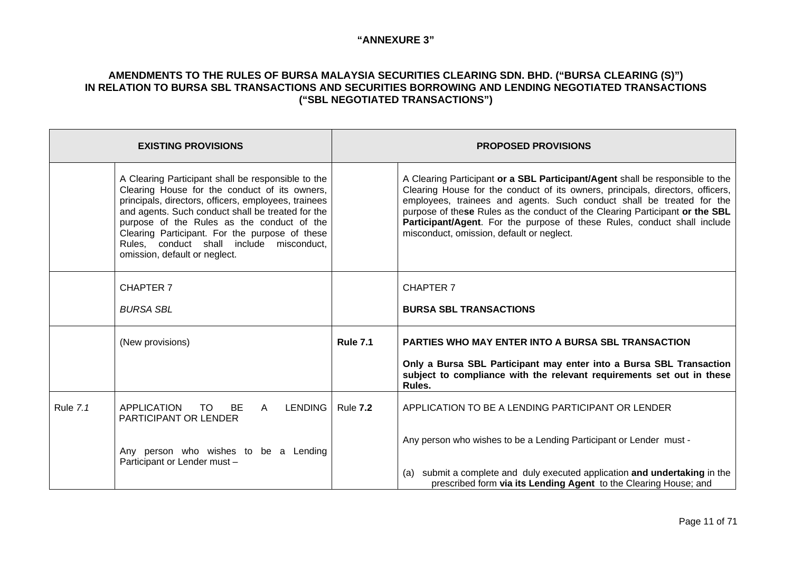| <b>EXISTING PROVISIONS</b> |                                                                                                                                                                                                                                                                                                                                                                                               |                 | <b>PROPOSED PROVISIONS</b>                                                                                                                                                                                                                                                                                                                                                                                                                        |  |
|----------------------------|-----------------------------------------------------------------------------------------------------------------------------------------------------------------------------------------------------------------------------------------------------------------------------------------------------------------------------------------------------------------------------------------------|-----------------|---------------------------------------------------------------------------------------------------------------------------------------------------------------------------------------------------------------------------------------------------------------------------------------------------------------------------------------------------------------------------------------------------------------------------------------------------|--|
|                            | A Clearing Participant shall be responsible to the<br>Clearing House for the conduct of its owners,<br>principals, directors, officers, employees, trainees<br>and agents. Such conduct shall be treated for the<br>purpose of the Rules as the conduct of the<br>Clearing Participant. For the purpose of these<br>Rules, conduct shall include misconduct,<br>omission, default or neglect. |                 | A Clearing Participant or a SBL Participant/Agent shall be responsible to the<br>Clearing House for the conduct of its owners, principals, directors, officers,<br>employees, trainees and agents. Such conduct shall be treated for the<br>purpose of these Rules as the conduct of the Clearing Participant or the SBL<br>Participant/Agent. For the purpose of these Rules, conduct shall include<br>misconduct, omission, default or neglect. |  |
|                            | <b>CHAPTER 7</b>                                                                                                                                                                                                                                                                                                                                                                              |                 | <b>CHAPTER 7</b>                                                                                                                                                                                                                                                                                                                                                                                                                                  |  |
|                            | <b>BURSA SBL</b>                                                                                                                                                                                                                                                                                                                                                                              |                 | <b>BURSA SBL TRANSACTIONS</b>                                                                                                                                                                                                                                                                                                                                                                                                                     |  |
|                            | (New provisions)                                                                                                                                                                                                                                                                                                                                                                              | <b>Rule 7.1</b> | <b>PARTIES WHO MAY ENTER INTO A BURSA SBL TRANSACTION</b>                                                                                                                                                                                                                                                                                                                                                                                         |  |
|                            |                                                                                                                                                                                                                                                                                                                                                                                               |                 | Only a Bursa SBL Participant may enter into a Bursa SBL Transaction<br>subject to compliance with the relevant requirements set out in these<br>Rules.                                                                                                                                                                                                                                                                                            |  |
| <b>Rule 7.1</b>            | <b>APPLICATION</b><br><b>BE</b><br>LENDING  <br>TO.<br>$\mathsf{A}$<br><b>PARTICIPANT OR LENDER</b>                                                                                                                                                                                                                                                                                           | <b>Rule 7.2</b> | APPLICATION TO BE A LENDING PARTICIPANT OR LENDER                                                                                                                                                                                                                                                                                                                                                                                                 |  |
|                            | Any person who wishes to be a Lending<br>Participant or Lender must -                                                                                                                                                                                                                                                                                                                         |                 | Any person who wishes to be a Lending Participant or Lender must -                                                                                                                                                                                                                                                                                                                                                                                |  |
|                            |                                                                                                                                                                                                                                                                                                                                                                                               |                 | submit a complete and duly executed application and undertaking in the<br>(a)<br>prescribed form via its Lending Agent to the Clearing House; and                                                                                                                                                                                                                                                                                                 |  |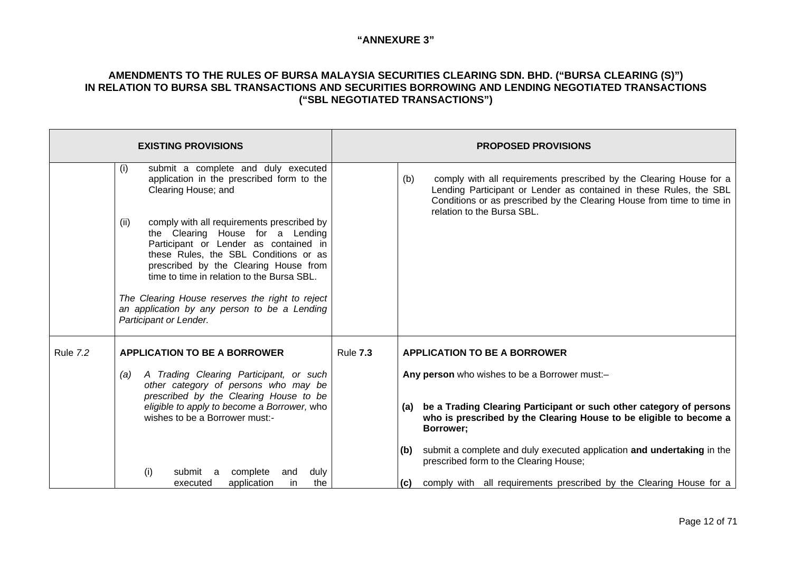| <b>EXISTING PROVISIONS</b> |                                                                                                                                                                                                                                                                                                                                                                                              |                 | <b>PROPOSED PROVISIONS</b>                                                                                                                                                                                                                               |  |
|----------------------------|----------------------------------------------------------------------------------------------------------------------------------------------------------------------------------------------------------------------------------------------------------------------------------------------------------------------------------------------------------------------------------------------|-----------------|----------------------------------------------------------------------------------------------------------------------------------------------------------------------------------------------------------------------------------------------------------|--|
|                            | submit a complete and duly executed<br>(i)<br>application in the prescribed form to the<br>Clearing House; and                                                                                                                                                                                                                                                                               |                 | comply with all requirements prescribed by the Clearing House for a<br>(b)<br>Lending Participant or Lender as contained in these Rules, the SBL<br>Conditions or as prescribed by the Clearing House from time to time in<br>relation to the Bursa SBL. |  |
|                            | comply with all requirements prescribed by<br>(ii)<br>the Clearing House for a Lending<br>Participant or Lender as contained in<br>these Rules, the SBL Conditions or as<br>prescribed by the Clearing House from<br>time to time in relation to the Bursa SBL.<br>The Clearing House reserves the right to reject<br>an application by any person to be a Lending<br>Participant or Lender. |                 |                                                                                                                                                                                                                                                          |  |
| <b>Rule 7.2</b>            | <b>APPLICATION TO BE A BORROWER</b>                                                                                                                                                                                                                                                                                                                                                          | <b>Rule 7.3</b> | <b>APPLICATION TO BE A BORROWER</b>                                                                                                                                                                                                                      |  |
|                            | A Trading Clearing Participant, or such<br>(a)<br>other category of persons who may be<br>prescribed by the Clearing House to be                                                                                                                                                                                                                                                             |                 | Any person who wishes to be a Borrower must:-                                                                                                                                                                                                            |  |
|                            | eligible to apply to become a Borrower, who<br>wishes to be a Borrower must:-                                                                                                                                                                                                                                                                                                                |                 | be a Trading Clearing Participant or such other category of persons<br>(a)<br>who is prescribed by the Clearing House to be eligible to become a<br>Borrower;                                                                                            |  |
|                            | complete<br>duly<br>submit a<br>and                                                                                                                                                                                                                                                                                                                                                          |                 | submit a complete and duly executed application and undertaking in the<br>(b)<br>prescribed form to the Clearing House;                                                                                                                                  |  |
|                            | (i)<br>the<br>application<br>in<br>executed                                                                                                                                                                                                                                                                                                                                                  |                 | comply with all requirements prescribed by the Clearing House for a<br>(C)                                                                                                                                                                               |  |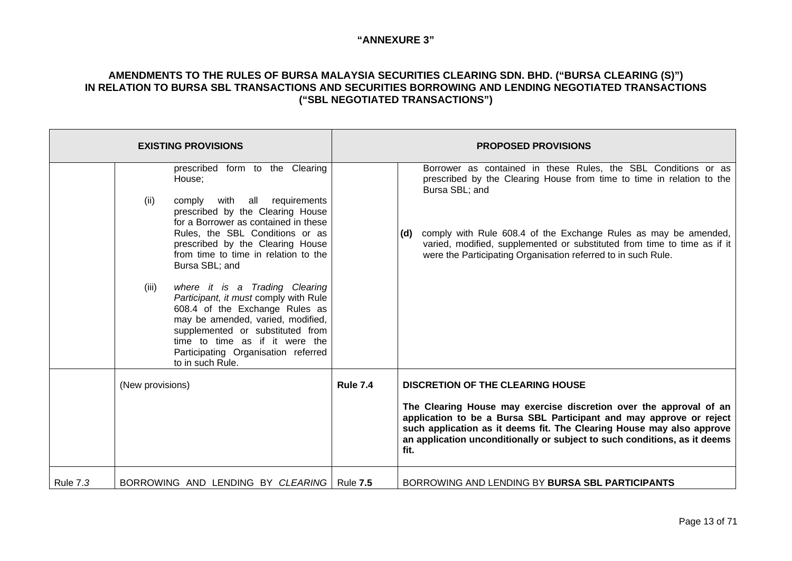| <b>EXISTING PROVISIONS</b>                                                                                                                                                                                                                                                                                                                                                                                                                                                                                                                                                                 |                 | <b>PROPOSED PROVISIONS</b>                                                                                                                                                                                                                                                                                                                                                       |  |  |
|--------------------------------------------------------------------------------------------------------------------------------------------------------------------------------------------------------------------------------------------------------------------------------------------------------------------------------------------------------------------------------------------------------------------------------------------------------------------------------------------------------------------------------------------------------------------------------------------|-----------------|----------------------------------------------------------------------------------------------------------------------------------------------------------------------------------------------------------------------------------------------------------------------------------------------------------------------------------------------------------------------------------|--|--|
| prescribed form to the Clearing<br>House;<br>comply with all requirements<br>(ii)<br>prescribed by the Clearing House<br>for a Borrower as contained in these<br>Rules, the SBL Conditions or as<br>prescribed by the Clearing House<br>from time to time in relation to the<br>Bursa SBL; and<br>where it is a Trading Clearing<br>(iii)<br>Participant, it must comply with Rule<br>608.4 of the Exchange Rules as<br>may be amended, varied, modified,<br>supplemented or substituted from<br>time to time as if it were the<br>Participating Organisation referred<br>to in such Rule. |                 | Borrower as contained in these Rules, the SBL Conditions or as<br>prescribed by the Clearing House from time to time in relation to the<br>Bursa SBL; and<br>comply with Rule 608.4 of the Exchange Rules as may be amended,<br>(d)<br>varied, modified, supplemented or substituted from time to time as if it<br>were the Participating Organisation referred to in such Rule. |  |  |
| (New provisions)                                                                                                                                                                                                                                                                                                                                                                                                                                                                                                                                                                           | <b>Rule 7.4</b> | <b>DISCRETION OF THE CLEARING HOUSE</b><br>The Clearing House may exercise discretion over the approval of an<br>application to be a Bursa SBL Participant and may approve or reject<br>such application as it deems fit. The Clearing House may also approve<br>an application unconditionally or subject to such conditions, as it deems<br>fit.                               |  |  |
| BORROWING AND LENDING BY CLEARING   Rule 7.5<br><b>Rule 7.3</b>                                                                                                                                                                                                                                                                                                                                                                                                                                                                                                                            |                 | BORROWING AND LENDING BY BURSA SBL PARTICIPANTS                                                                                                                                                                                                                                                                                                                                  |  |  |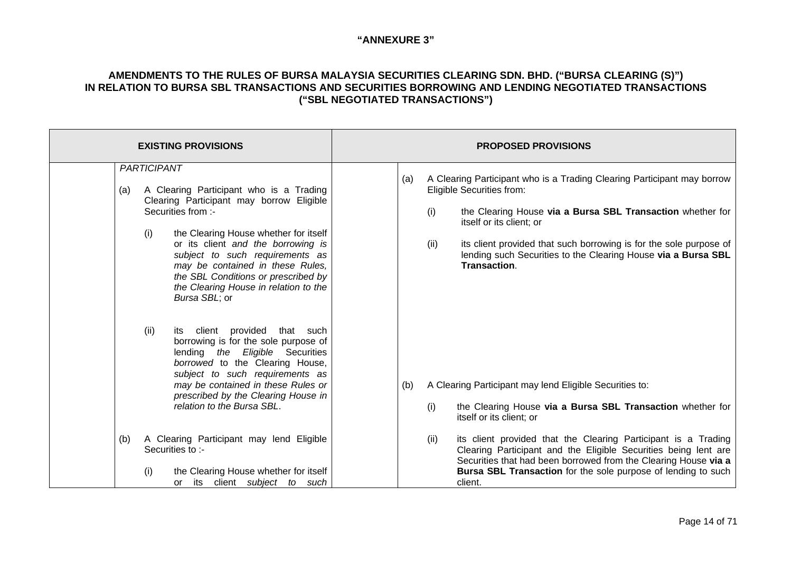| <b>EXISTING PROVISIONS</b> |                                                                                                                                                                                                                                                                                                                                                                                                                                                                                                                                                                                            | <b>PROPOSED PROVISIONS</b> |     |             |                                                                                                                                                                                                                                                                                                                                                              |
|----------------------------|--------------------------------------------------------------------------------------------------------------------------------------------------------------------------------------------------------------------------------------------------------------------------------------------------------------------------------------------------------------------------------------------------------------------------------------------------------------------------------------------------------------------------------------------------------------------------------------------|----------------------------|-----|-------------|--------------------------------------------------------------------------------------------------------------------------------------------------------------------------------------------------------------------------------------------------------------------------------------------------------------------------------------------------------------|
| (a)                        | <b>PARTICIPANT</b><br>A Clearing Participant who is a Trading<br>Clearing Participant may borrow Eligible<br>Securities from :-<br>(i)<br>the Clearing House whether for itself<br>or its client and the borrowing is<br>subject to such requirements as<br>may be contained in these Rules,<br>the SBL Conditions or prescribed by<br>the Clearing House in relation to the<br>Bursa SBL; or<br>its client provided<br>(ii)<br>that such<br>borrowing is for the sole purpose of<br>lending the Eligible Securities<br>borrowed to the Clearing House,<br>subject to such requirements as |                            | (a) | (i)<br>(ii) | A Clearing Participant who is a Trading Clearing Participant may borrow<br>Eligible Securities from:<br>the Clearing House via a Bursa SBL Transaction whether for<br>itself or its client; or<br>its client provided that such borrowing is for the sole purpose of<br>lending such Securities to the Clearing House via a Bursa SBL<br><b>Transaction.</b> |
|                            | may be contained in these Rules or<br>prescribed by the Clearing House in<br>relation to the Bursa SBL.                                                                                                                                                                                                                                                                                                                                                                                                                                                                                    |                            | (b) | (i)         | A Clearing Participant may lend Eligible Securities to:<br>the Clearing House via a Bursa SBL Transaction whether for<br>itself or its client; or                                                                                                                                                                                                            |
| (b)                        | A Clearing Participant may lend Eligible<br>Securities to :-<br>(i)<br>the Clearing House whether for itself<br>client subject to such<br>its<br>or                                                                                                                                                                                                                                                                                                                                                                                                                                        |                            |     | (ii)        | its client provided that the Clearing Participant is a Trading<br>Clearing Participant and the Eligible Securities being lent are<br>Securities that had been borrowed from the Clearing House via a<br>Bursa SBL Transaction for the sole purpose of lending to such<br>client.                                                                             |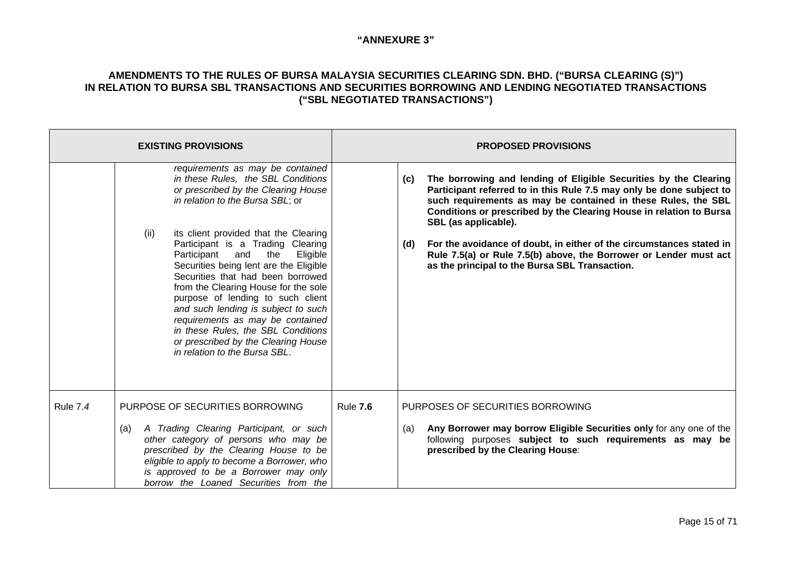|                 | <b>EXISTING PROVISIONS</b>                                                                                                                                                                                                                                                                                                                                                                                                                                                       | <b>PROPOSED PROVISIONS</b> |                                                                                                                                                                                                                                                                                                                 |
|-----------------|----------------------------------------------------------------------------------------------------------------------------------------------------------------------------------------------------------------------------------------------------------------------------------------------------------------------------------------------------------------------------------------------------------------------------------------------------------------------------------|----------------------------|-----------------------------------------------------------------------------------------------------------------------------------------------------------------------------------------------------------------------------------------------------------------------------------------------------------------|
|                 | requirements as may be contained<br>in these Rules, the SBL Conditions<br>or prescribed by the Clearing House<br>in relation to the Bursa SBL; or                                                                                                                                                                                                                                                                                                                                |                            | The borrowing and lending of Eligible Securities by the Clearing<br>(c)<br>Participant referred to in this Rule 7.5 may only be done subject to<br>such requirements as may be contained in these Rules, the SBL<br>Conditions or prescribed by the Clearing House in relation to Bursa<br>SBL (as applicable). |
|                 | its client provided that the Clearing<br>(ii)<br>Participant is a Trading Clearing<br>Eligible<br>Participant<br>and<br>the<br>Securities being lent are the Eligible<br>Securities that had been borrowed<br>from the Clearing House for the sole<br>purpose of lending to such client<br>and such lending is subject to such<br>requirements as may be contained<br>in these Rules, the SBL Conditions<br>or prescribed by the Clearing House<br>in relation to the Bursa SBL. |                            | For the avoidance of doubt, in either of the circumstances stated in<br>(d)<br>Rule 7.5(a) or Rule 7.5(b) above, the Borrower or Lender must act<br>as the principal to the Bursa SBL Transaction.                                                                                                              |
| <b>Rule 7.4</b> | PURPOSE OF SECURITIES BORROWING                                                                                                                                                                                                                                                                                                                                                                                                                                                  | <b>Rule 7.6</b>            | PURPOSES OF SECURITIES BORROWING                                                                                                                                                                                                                                                                                |
|                 | A Trading Clearing Participant, or such<br>(a)<br>other category of persons who may be<br>prescribed by the Clearing House to be<br>eligible to apply to become a Borrower, who<br>is approved to be a Borrower may only<br>borrow the Loaned Securities from the                                                                                                                                                                                                                |                            | Any Borrower may borrow Eligible Securities only for any one of the<br>(a)<br>following purposes subject to such requirements as may be<br>prescribed by the Clearing House:                                                                                                                                    |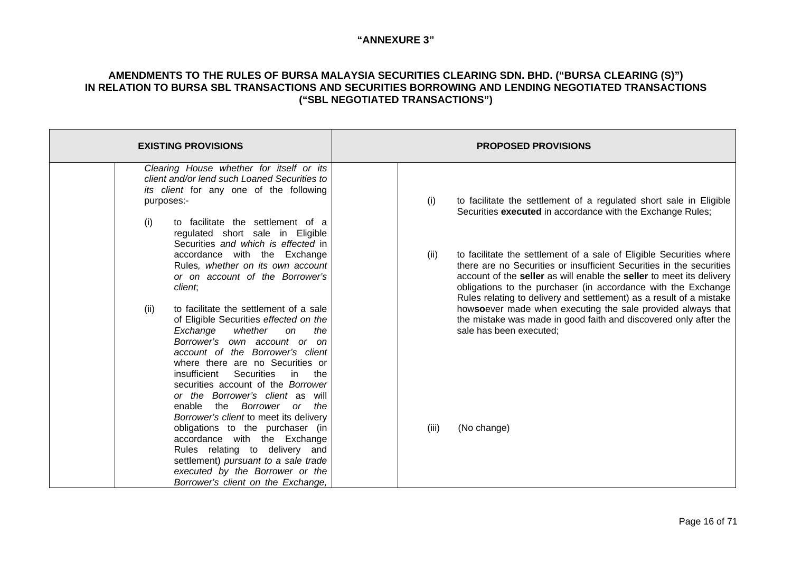| <b>EXISTING PROVISIONS</b>                                                                                                                                                      | <b>PROPOSED PROVISIONS</b>                                                                                                                                                                                                                                                                                                                                          |
|---------------------------------------------------------------------------------------------------------------------------------------------------------------------------------|---------------------------------------------------------------------------------------------------------------------------------------------------------------------------------------------------------------------------------------------------------------------------------------------------------------------------------------------------------------------|
| Clearing House whether for itself or its<br>client and/or lend such Loaned Securities to<br>its client for any one of the following<br>purposes:-                               | (i)<br>to facilitate the settlement of a regulated short sale in Eligible                                                                                                                                                                                                                                                                                           |
| to facilitate the settlement of a<br>(i)<br>regulated short sale in Eligible<br>Securities and which is effected in                                                             | Securities executed in accordance with the Exchange Rules;                                                                                                                                                                                                                                                                                                          |
| accordance with the Exchange<br>Rules, whether on its own account<br>or on account of the Borrower's<br>client,                                                                 | to facilitate the settlement of a sale of Eligible Securities where<br>(ii)<br>there are no Securities or insufficient Securities in the securities<br>account of the seller as will enable the seller to meet its delivery<br>obligations to the purchaser (in accordance with the Exchange<br>Rules relating to delivery and settlement) as a result of a mistake |
| to facilitate the settlement of a sale<br>(ii)<br>of Eligible Securities effected on the<br>whether<br>Exchange<br>the<br><sub>on</sub><br>Borrower's own account or on         | howsoever made when executing the sale provided always that<br>the mistake was made in good faith and discovered only after the<br>sale has been executed;                                                                                                                                                                                                          |
| account of the Borrower's client<br>where there are no Securities or<br>insufficient Securities<br>in in<br>the<br>securities account of the Borrower                           |                                                                                                                                                                                                                                                                                                                                                                     |
| or the Borrower's client as will<br>enable the Borrower or the<br>Borrower's client to meet its delivery<br>obligations to the purchaser (in                                    | (iii)<br>(No change)                                                                                                                                                                                                                                                                                                                                                |
| accordance with the Exchange<br>Rules relating to delivery and<br>settlement) pursuant to a sale trade<br>executed by the Borrower or the<br>Borrower's client on the Exchange, |                                                                                                                                                                                                                                                                                                                                                                     |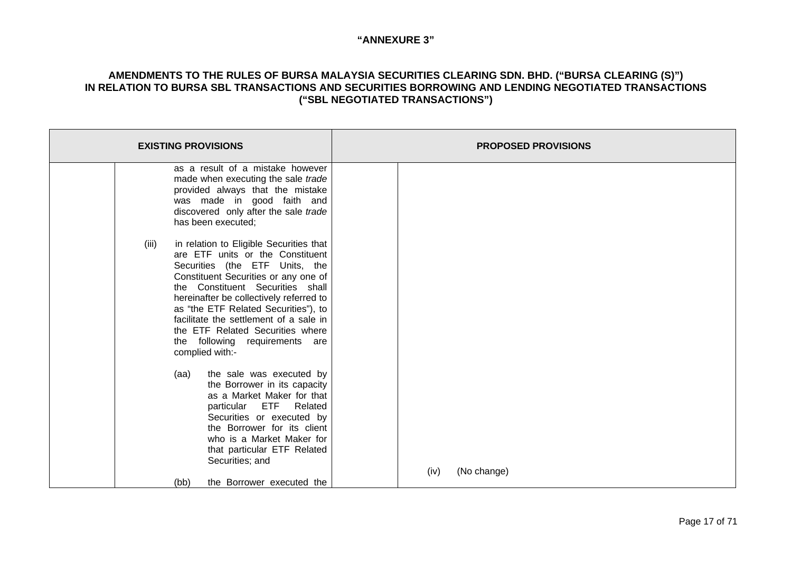| <b>EXISTING PROVISIONS</b>                                                                                                                                                                                                                                                                                                                                                                                               | <b>PROPOSED PROVISIONS</b> |
|--------------------------------------------------------------------------------------------------------------------------------------------------------------------------------------------------------------------------------------------------------------------------------------------------------------------------------------------------------------------------------------------------------------------------|----------------------------|
| as a result of a mistake however<br>made when executing the sale trade<br>provided always that the mistake<br>was made in good faith and<br>discovered only after the sale trade<br>has been executed;                                                                                                                                                                                                                   |                            |
| in relation to Eligible Securities that<br>(iii)<br>are ETF units or the Constituent<br>Securities (the ETF Units, the<br>Constituent Securities or any one of<br>the Constituent Securities shall<br>hereinafter be collectively referred to<br>as "the ETF Related Securities"), to<br>facilitate the settlement of a sale in<br>the ETF Related Securities where<br>the following requirements are<br>complied with:- |                            |
| the sale was executed by<br>(aa)<br>the Borrower in its capacity<br>as a Market Maker for that<br>particular ETF Related<br>Securities or executed by<br>the Borrower for its client<br>who is a Market Maker for<br>that particular ETF Related<br>Securities; and<br>the Borrower executed the<br>(bb)                                                                                                                 | (No change)<br>(iv)        |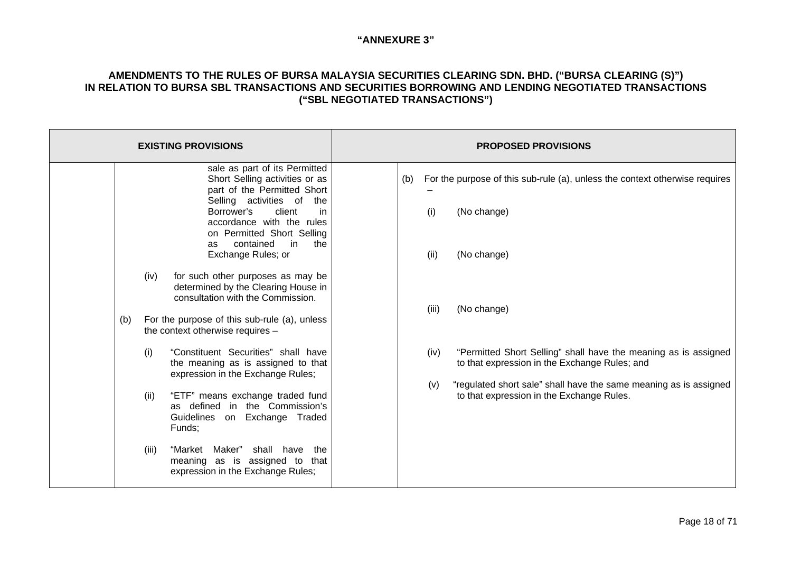|                      | <b>EXISTING PROVISIONS</b>                                                                                                                                                                                                                                                                                                                                                                                                                      |                             | <b>PROPOSED PROVISIONS</b>                                                                                                                                                                                                         |
|----------------------|-------------------------------------------------------------------------------------------------------------------------------------------------------------------------------------------------------------------------------------------------------------------------------------------------------------------------------------------------------------------------------------------------------------------------------------------------|-----------------------------|------------------------------------------------------------------------------------------------------------------------------------------------------------------------------------------------------------------------------------|
| (iv)<br>(b)          | sale as part of its Permitted<br>Short Selling activities or as<br>part of the Permitted Short<br>Selling activities of<br>the<br>client<br>Borrower's<br>in.<br>accordance with the rules<br>on Permitted Short Selling<br>contained<br>in<br>the<br>as<br>Exchange Rules; or<br>for such other purposes as may be<br>determined by the Clearing House in<br>consultation with the Commission.<br>For the purpose of this sub-rule (a), unless | (b)<br>(i)<br>(ii)<br>(iii) | For the purpose of this sub-rule (a), unless the context otherwise requires<br>(No change)<br>(No change)<br>(No change)                                                                                                           |
| (i)<br>(ii)<br>(iii) | the context otherwise requires -<br>"Constituent Securities" shall have<br>the meaning as is assigned to that<br>expression in the Exchange Rules;<br>"ETF" means exchange traded fund<br>as defined in the Commission's<br>Guidelines on Exchange Traded<br>Funds;<br>"Market<br>Maker"<br>shall<br>have<br>the<br>meaning as is assigned to that<br>expression in the Exchange Rules;                                                         | (iv)<br>(v)                 | "Permitted Short Selling" shall have the meaning as is assigned<br>to that expression in the Exchange Rules; and<br>"regulated short sale" shall have the same meaning as is assigned<br>to that expression in the Exchange Rules. |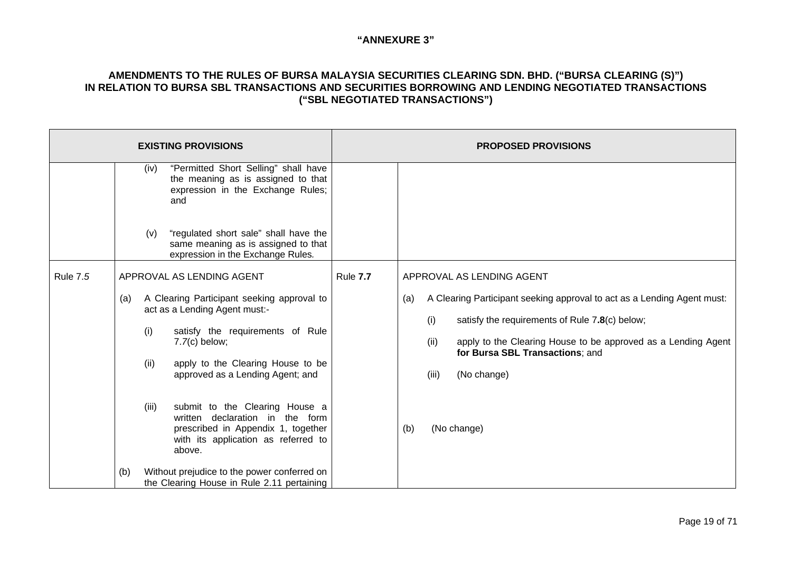| <b>EXISTING PROVISIONS</b> |                                                                                                                                                                                                                                                                                                                                                                                                                                                                                                                                         | <b>PROPOSED PROVISIONS</b>                                                                                                                                                                                                                                                                                                                        |  |
|----------------------------|-----------------------------------------------------------------------------------------------------------------------------------------------------------------------------------------------------------------------------------------------------------------------------------------------------------------------------------------------------------------------------------------------------------------------------------------------------------------------------------------------------------------------------------------|---------------------------------------------------------------------------------------------------------------------------------------------------------------------------------------------------------------------------------------------------------------------------------------------------------------------------------------------------|--|
|                            | "Permitted Short Selling" shall have<br>(iv)<br>the meaning as is assigned to that<br>expression in the Exchange Rules;<br>and<br>"regulated short sale" shall have the<br>(v)<br>same meaning as is assigned to that<br>expression in the Exchange Rules.                                                                                                                                                                                                                                                                              |                                                                                                                                                                                                                                                                                                                                                   |  |
| <b>Rule 7.5</b>            | APPROVAL AS LENDING AGENT<br>A Clearing Participant seeking approval to<br>(a)<br>act as a Lending Agent must:-<br>satisfy the requirements of Rule<br>(i)<br>$7.7(c)$ below;<br>apply to the Clearing House to be<br>(ii)<br>approved as a Lending Agent; and<br>submit to the Clearing House a<br>(iii)<br>written declaration in the form<br>prescribed in Appendix 1, together<br>with its application as referred to<br>above.<br>Without prejudice to the power conferred on<br>(b)<br>the Clearing House in Rule 2.11 pertaining | <b>Rule 7.7</b><br>APPROVAL AS LENDING AGENT<br>A Clearing Participant seeking approval to act as a Lending Agent must:<br>(a)<br>(i)<br>satisfy the requirements of Rule 7.8(c) below;<br>(ii)<br>apply to the Clearing House to be approved as a Lending Agent<br>for Bursa SBL Transactions; and<br>(No change)<br>(iii)<br>(No change)<br>(b) |  |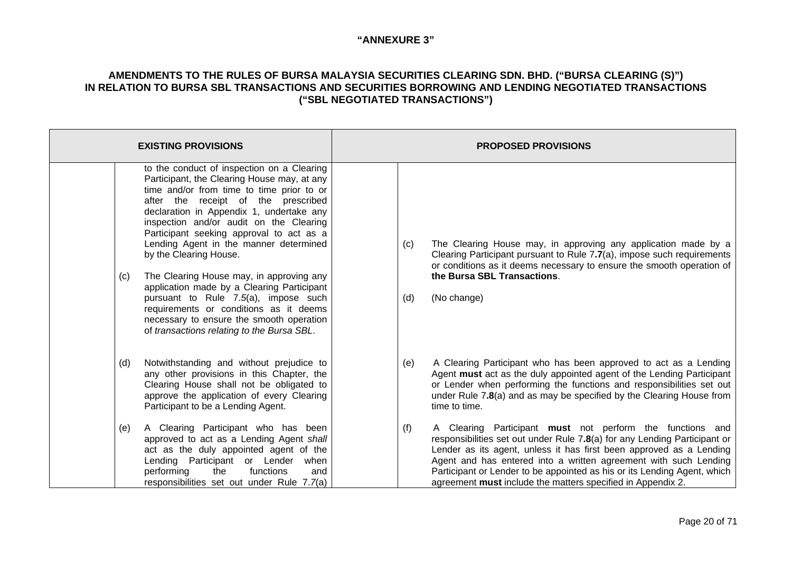| <b>EXISTING PROVISIONS</b>                                                                                                                                                                                                                                                                                                                                                                                                                                                                                                                                                                                                                                        | <b>PROPOSED PROVISIONS</b>                                                                                                                                                                                                                                                                                                                                                                                                          |
|-------------------------------------------------------------------------------------------------------------------------------------------------------------------------------------------------------------------------------------------------------------------------------------------------------------------------------------------------------------------------------------------------------------------------------------------------------------------------------------------------------------------------------------------------------------------------------------------------------------------------------------------------------------------|-------------------------------------------------------------------------------------------------------------------------------------------------------------------------------------------------------------------------------------------------------------------------------------------------------------------------------------------------------------------------------------------------------------------------------------|
| to the conduct of inspection on a Clearing<br>Participant, the Clearing House may, at any<br>time and/or from time to time prior to or<br>after the receipt of the prescribed<br>declaration in Appendix 1, undertake any<br>inspection and/or audit on the Clearing<br>Participant seeking approval to act as a<br>Lending Agent in the manner determined<br>by the Clearing House.<br>The Clearing House may, in approving any<br>(c)<br>application made by a Clearing Participant<br>pursuant to Rule 7.5(a), impose such<br>requirements or conditions as it deems<br>necessary to ensure the smooth operation<br>of transactions relating to the Bursa SBL. | The Clearing House may, in approving any application made by a<br>(c)<br>Clearing Participant pursuant to Rule 7.7(a), impose such requirements<br>or conditions as it deems necessary to ensure the smooth operation of<br>the Bursa SBL Transactions.<br>(No change)<br>(d)                                                                                                                                                       |
| Notwithstanding and without prejudice to<br>(d)<br>any other provisions in this Chapter, the<br>Clearing House shall not be obligated to<br>approve the application of every Clearing<br>Participant to be a Lending Agent.                                                                                                                                                                                                                                                                                                                                                                                                                                       | A Clearing Participant who has been approved to act as a Lending<br>(e)<br>Agent must act as the duly appointed agent of the Lending Participant<br>or Lender when performing the functions and responsibilities set out<br>under Rule 7.8(a) and as may be specified by the Clearing House from<br>time to time.                                                                                                                   |
| A Clearing Participant who has been<br>(e)<br>approved to act as a Lending Agent shall<br>act as the duly appointed agent of the<br>Lending Participant or Lender<br>when<br>performing<br>functions<br>the<br>and<br>responsibilities set out under Rule 7.7(a)                                                                                                                                                                                                                                                                                                                                                                                                  | (f)<br>A Clearing Participant must not perform the functions and<br>responsibilities set out under Rule 7.8(a) for any Lending Participant or<br>Lender as its agent, unless it has first been approved as a Lending<br>Agent and has entered into a written agreement with such Lending<br>Participant or Lender to be appointed as his or its Lending Agent, which<br>agreement must include the matters specified in Appendix 2. |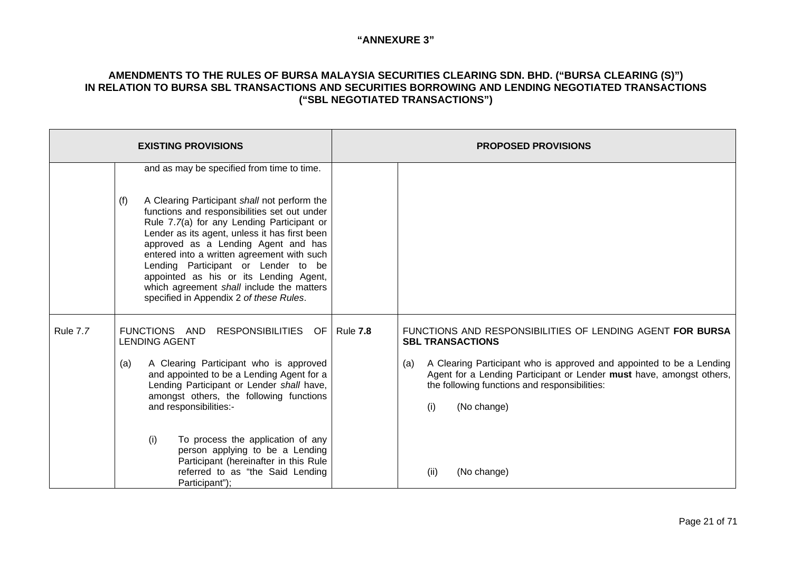|                 | <b>EXISTING PROVISIONS</b>                                                                                                                                                                                                                                                                                                                                                                                | <b>PROPOSED PROVISIONS</b>                                                                                                                                                                                                 |  |
|-----------------|-----------------------------------------------------------------------------------------------------------------------------------------------------------------------------------------------------------------------------------------------------------------------------------------------------------------------------------------------------------------------------------------------------------|----------------------------------------------------------------------------------------------------------------------------------------------------------------------------------------------------------------------------|--|
|                 | and as may be specified from time to time.<br>(f)<br>A Clearing Participant shall not perform the                                                                                                                                                                                                                                                                                                         |                                                                                                                                                                                                                            |  |
|                 | functions and responsibilities set out under<br>Rule 7.7(a) for any Lending Participant or<br>Lender as its agent, unless it has first been<br>approved as a Lending Agent and has<br>entered into a written agreement with such<br>Lending Participant or Lender to be<br>appointed as his or its Lending Agent,<br>which agreement shall include the matters<br>specified in Appendix 2 of these Rules. |                                                                                                                                                                                                                            |  |
| <b>Rule 7.7</b> | FUNCTIONS AND<br>RESPONSIBILITIES OF   Rule 7.8<br><b>LENDING AGENT</b>                                                                                                                                                                                                                                                                                                                                   | FUNCTIONS AND RESPONSIBILITIES OF LENDING AGENT FOR BURSA<br><b>SBL TRANSACTIONS</b>                                                                                                                                       |  |
|                 | A Clearing Participant who is approved<br>(a)<br>and appointed to be a Lending Agent for a<br>Lending Participant or Lender shall have,<br>amongst others, the following functions<br>and responsibilities:-                                                                                                                                                                                              | A Clearing Participant who is approved and appointed to be a Lending<br>(a)<br>Agent for a Lending Participant or Lender must have, amongst others,<br>the following functions and responsibilities:<br>(i)<br>(No change) |  |
|                 | (i)<br>To process the application of any<br>person applying to be a Lending<br>Participant (hereinafter in this Rule<br>referred to as "the Said Lending<br>Participant");                                                                                                                                                                                                                                | (No change)<br>(ii)                                                                                                                                                                                                        |  |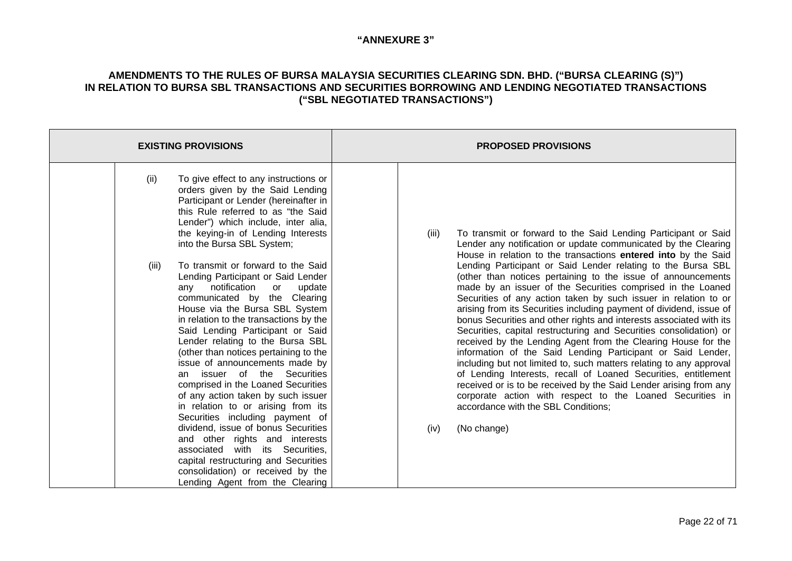| <b>EXISTING PROVISIONS</b>                                                                                                                                                                                                                                                                                                                                                                                                                                                                                                                                                                                                                                                                                                                                                                                                                                                                                                                                                                                                                                                             | <b>PROPOSED PROVISIONS</b>                                                                                                                                                                                                                                                                                                                                                                                                                                                                                                                                                                                                                                                                                                                                                                                                                                                                                                                                                                                                                                                                                                                                                 |
|----------------------------------------------------------------------------------------------------------------------------------------------------------------------------------------------------------------------------------------------------------------------------------------------------------------------------------------------------------------------------------------------------------------------------------------------------------------------------------------------------------------------------------------------------------------------------------------------------------------------------------------------------------------------------------------------------------------------------------------------------------------------------------------------------------------------------------------------------------------------------------------------------------------------------------------------------------------------------------------------------------------------------------------------------------------------------------------|----------------------------------------------------------------------------------------------------------------------------------------------------------------------------------------------------------------------------------------------------------------------------------------------------------------------------------------------------------------------------------------------------------------------------------------------------------------------------------------------------------------------------------------------------------------------------------------------------------------------------------------------------------------------------------------------------------------------------------------------------------------------------------------------------------------------------------------------------------------------------------------------------------------------------------------------------------------------------------------------------------------------------------------------------------------------------------------------------------------------------------------------------------------------------|
| To give effect to any instructions or<br>(ii)<br>orders given by the Said Lending<br>Participant or Lender (hereinafter in<br>this Rule referred to as "the Said<br>Lender") which include, inter alia,<br>the keying-in of Lending Interests<br>into the Bursa SBL System;<br>To transmit or forward to the Said<br>(iii)<br>Lending Participant or Said Lender<br>notification<br>update<br>or<br>any<br>communicated by the Clearing<br>House via the Bursa SBL System<br>in relation to the transactions by the<br>Said Lending Participant or Said<br>Lender relating to the Bursa SBL<br>(other than notices pertaining to the<br>issue of announcements made by<br>an issuer of the Securities<br>comprised in the Loaned Securities<br>of any action taken by such issuer<br>in relation to or arising from its<br>Securities including payment of<br>dividend, issue of bonus Securities<br>and other rights and interests<br>associated with its Securities,<br>capital restructuring and Securities<br>consolidation) or received by the<br>Lending Agent from the Clearing | To transmit or forward to the Said Lending Participant or Said<br>(iii)<br>Lender any notification or update communicated by the Clearing<br>House in relation to the transactions entered into by the Said<br>Lending Participant or Said Lender relating to the Bursa SBL<br>(other than notices pertaining to the issue of announcements<br>made by an issuer of the Securities comprised in the Loaned<br>Securities of any action taken by such issuer in relation to or<br>arising from its Securities including payment of dividend, issue of<br>bonus Securities and other rights and interests associated with its<br>Securities, capital restructuring and Securities consolidation) or<br>received by the Lending Agent from the Clearing House for the<br>information of the Said Lending Participant or Said Lender,<br>including but not limited to, such matters relating to any approval<br>of Lending Interests, recall of Loaned Securities, entitlement<br>received or is to be received by the Said Lender arising from any<br>corporate action with respect to the Loaned Securities in<br>accordance with the SBL Conditions;<br>(No change)<br>(iv) |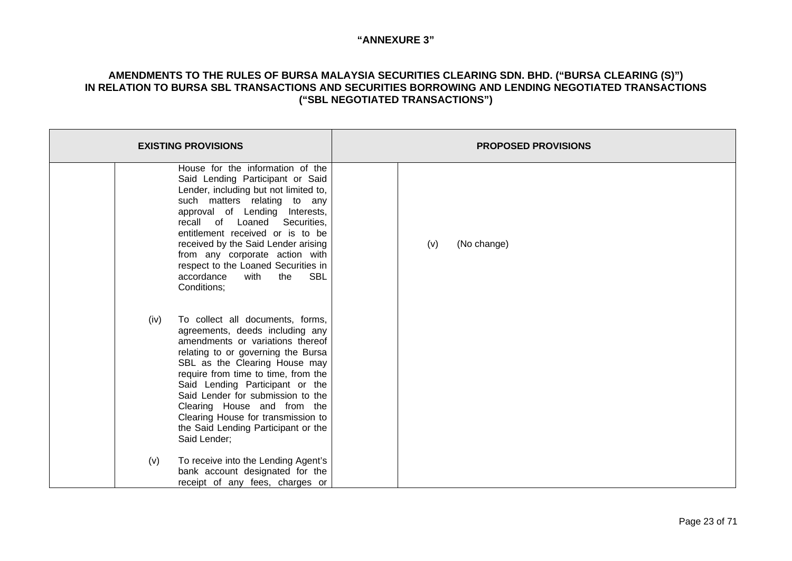| <b>EXISTING PROVISIONS</b>                                                                                                                                                                                                                                                                                                                                                                                                        | <b>PROPOSED PROVISIONS</b> |
|-----------------------------------------------------------------------------------------------------------------------------------------------------------------------------------------------------------------------------------------------------------------------------------------------------------------------------------------------------------------------------------------------------------------------------------|----------------------------|
| House for the information of the<br>Said Lending Participant or Said<br>Lender, including but not limited to,<br>such matters relating to any<br>approval of Lending Interests,<br>recall of Loaned<br>Securities,<br>entitlement received or is to be<br>received by the Said Lender arising<br>from any corporate action with<br>respect to the Loaned Securities in<br>SBL<br>accordance<br>with<br>the<br>Conditions;         | (No change)<br>(v)         |
| To collect all documents, forms,<br>(iv)<br>agreements, deeds including any<br>amendments or variations thereof<br>relating to or governing the Bursa<br>SBL as the Clearing House may<br>require from time to time, from the<br>Said Lending Participant or the<br>Said Lender for submission to the<br>Clearing House and from the<br>Clearing House for transmission to<br>the Said Lending Participant or the<br>Said Lender; |                            |
| To receive into the Lending Agent's<br>(v)<br>bank account designated for the<br>receipt of any fees, charges or                                                                                                                                                                                                                                                                                                                  |                            |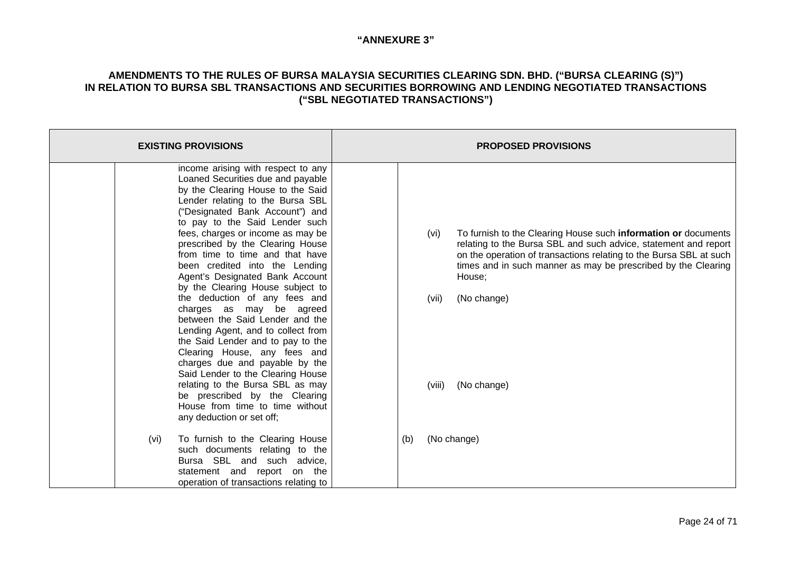| <b>EXISTING PROVISIONS</b>                                                                                                                                                                                                                                                                                                                                                                                                                                                                                                                                                                                                                                                                                                                                                                                                                                        | <b>PROPOSED PROVISIONS</b>                                                                                                                                                                                                                                                                                                                  |
|-------------------------------------------------------------------------------------------------------------------------------------------------------------------------------------------------------------------------------------------------------------------------------------------------------------------------------------------------------------------------------------------------------------------------------------------------------------------------------------------------------------------------------------------------------------------------------------------------------------------------------------------------------------------------------------------------------------------------------------------------------------------------------------------------------------------------------------------------------------------|---------------------------------------------------------------------------------------------------------------------------------------------------------------------------------------------------------------------------------------------------------------------------------------------------------------------------------------------|
| income arising with respect to any<br>Loaned Securities due and payable<br>by the Clearing House to the Said<br>Lender relating to the Bursa SBL<br>("Designated Bank Account") and<br>to pay to the Said Lender such<br>fees, charges or income as may be<br>prescribed by the Clearing House<br>from time to time and that have<br>been credited into the Lending<br>Agent's Designated Bank Account<br>by the Clearing House subject to<br>the deduction of any fees and<br>charges as may be agreed<br>between the Said Lender and the<br>Lending Agent, and to collect from<br>the Said Lender and to pay to the<br>Clearing House, any fees and<br>charges due and payable by the<br>Said Lender to the Clearing House<br>relating to the Bursa SBL as may<br>be prescribed by the Clearing<br>House from time to time without<br>any deduction or set off; | To furnish to the Clearing House such information or documents<br>(vi)<br>relating to the Bursa SBL and such advice, statement and report<br>on the operation of transactions relating to the Bursa SBL at such<br>times and in such manner as may be prescribed by the Clearing<br>House;<br>(vii)<br>(No change)<br>(No change)<br>(viii) |
| To furnish to the Clearing House<br>(vi)<br>such documents relating to the<br>Bursa SBL and such advice,<br>statement and report on the<br>operation of transactions relating to                                                                                                                                                                                                                                                                                                                                                                                                                                                                                                                                                                                                                                                                                  | (No change)<br>(b)                                                                                                                                                                                                                                                                                                                          |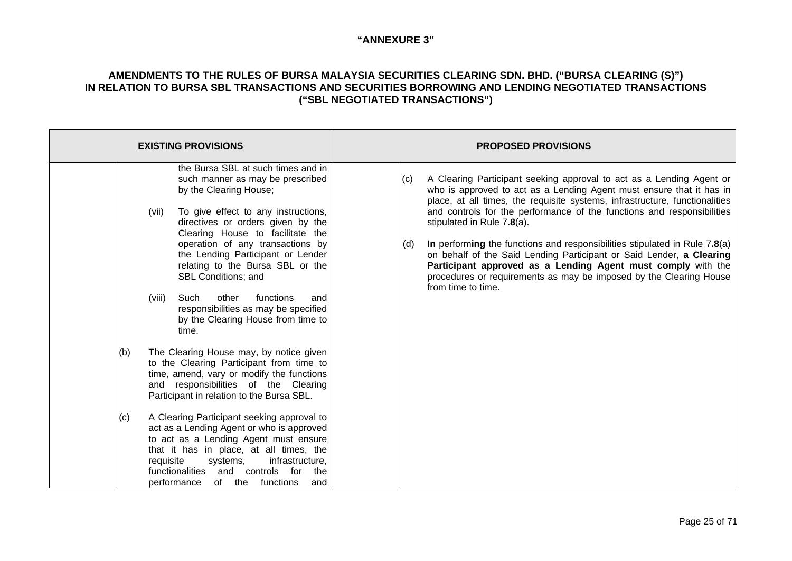| <b>EXISTING PROVISIONS</b>                                                                                                                                                                                                                                                                                                                                                                                                                                                                                                                                                                                                                                                                                                                                                                                                                                                                                                                                                                                                                                              | <b>PROPOSED PROVISIONS</b>                                                                                                                                                                                                                                                                                                                                                                                                                                                                                                                                                                                                                                            |
|-------------------------------------------------------------------------------------------------------------------------------------------------------------------------------------------------------------------------------------------------------------------------------------------------------------------------------------------------------------------------------------------------------------------------------------------------------------------------------------------------------------------------------------------------------------------------------------------------------------------------------------------------------------------------------------------------------------------------------------------------------------------------------------------------------------------------------------------------------------------------------------------------------------------------------------------------------------------------------------------------------------------------------------------------------------------------|-----------------------------------------------------------------------------------------------------------------------------------------------------------------------------------------------------------------------------------------------------------------------------------------------------------------------------------------------------------------------------------------------------------------------------------------------------------------------------------------------------------------------------------------------------------------------------------------------------------------------------------------------------------------------|
| the Bursa SBL at such times and in<br>such manner as may be prescribed<br>by the Clearing House;<br>To give effect to any instructions,<br>(vii)<br>directives or orders given by the<br>Clearing House to facilitate the<br>operation of any transactions by<br>the Lending Participant or Lender<br>relating to the Bursa SBL or the<br><b>SBL Conditions; and</b><br>functions<br>(viii)<br>Such<br>other<br>and<br>responsibilities as may be specified<br>by the Clearing House from time to<br>time.<br>The Clearing House may, by notice given<br>(b)<br>to the Clearing Participant from time to<br>time, amend, vary or modify the functions<br>and responsibilities of the Clearing<br>Participant in relation to the Bursa SBL.<br>A Clearing Participant seeking approval to<br>(c)<br>act as a Lending Agent or who is approved<br>to act as a Lending Agent must ensure<br>that it has in place, at all times, the<br>requisite<br>infrastructure,<br>systems,<br>functionalities<br>and<br>controls for<br>the<br>of the functions<br>performance<br>and | A Clearing Participant seeking approval to act as a Lending Agent or<br>(c)<br>who is approved to act as a Lending Agent must ensure that it has in<br>place, at all times, the requisite systems, infrastructure, functionalities<br>and controls for the performance of the functions and responsibilities<br>stipulated in Rule 7.8(a).<br>In performing the functions and responsibilities stipulated in Rule $7.8(a)$<br>(d)<br>on behalf of the Said Lending Participant or Said Lender, a Clearing<br>Participant approved as a Lending Agent must comply with the<br>procedures or requirements as may be imposed by the Clearing House<br>from time to time. |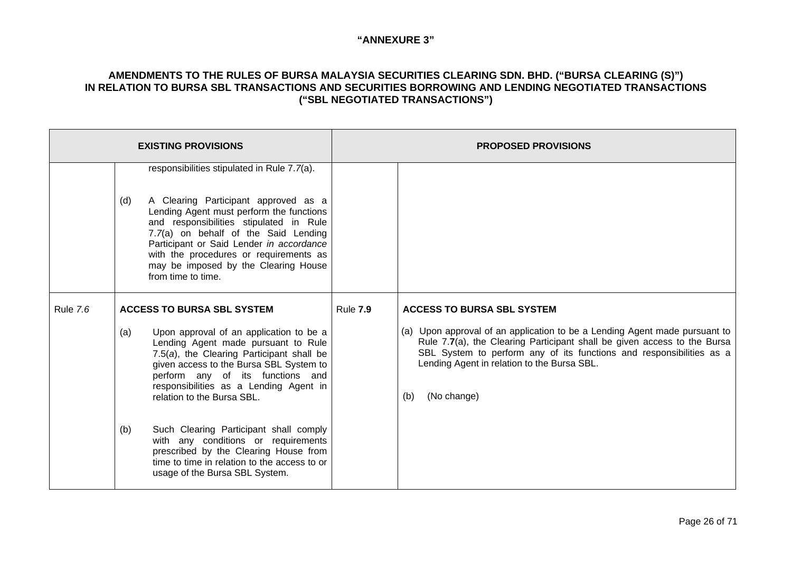|                 |     | <b>EXISTING PROVISIONS</b>                                                                                                                                                                                                                                                                                              |                 | <b>PROPOSED PROVISIONS</b>                                                                                                                                                                                                                                                                          |
|-----------------|-----|-------------------------------------------------------------------------------------------------------------------------------------------------------------------------------------------------------------------------------------------------------------------------------------------------------------------------|-----------------|-----------------------------------------------------------------------------------------------------------------------------------------------------------------------------------------------------------------------------------------------------------------------------------------------------|
|                 |     | responsibilities stipulated in Rule 7.7(a).                                                                                                                                                                                                                                                                             |                 |                                                                                                                                                                                                                                                                                                     |
|                 | (d) | A Clearing Participant approved as a<br>Lending Agent must perform the functions<br>and responsibilities stipulated in Rule<br>7.7(a) on behalf of the Said Lending<br>Participant or Said Lender in accordance<br>with the procedures or requirements as<br>may be imposed by the Clearing House<br>from time to time. |                 |                                                                                                                                                                                                                                                                                                     |
| <b>Rule 7.6</b> |     | <b>ACCESS TO BURSA SBL SYSTEM</b>                                                                                                                                                                                                                                                                                       | <b>Rule 7.9</b> | <b>ACCESS TO BURSA SBL SYSTEM</b>                                                                                                                                                                                                                                                                   |
|                 | (a) | Upon approval of an application to be a<br>Lending Agent made pursuant to Rule<br>7.5(a), the Clearing Participant shall be<br>given access to the Bursa SBL System to<br>perform any of its functions and<br>responsibilities as a Lending Agent in<br>relation to the Bursa SBL.                                      |                 | (a) Upon approval of an application to be a Lending Agent made pursuant to<br>Rule 7.7(a), the Clearing Participant shall be given access to the Bursa<br>SBL System to perform any of its functions and responsibilities as a<br>Lending Agent in relation to the Bursa SBL.<br>(No change)<br>(b) |
|                 | (b) | Such Clearing Participant shall comply<br>with any conditions or requirements<br>prescribed by the Clearing House from<br>time to time in relation to the access to or<br>usage of the Bursa SBL System.                                                                                                                |                 |                                                                                                                                                                                                                                                                                                     |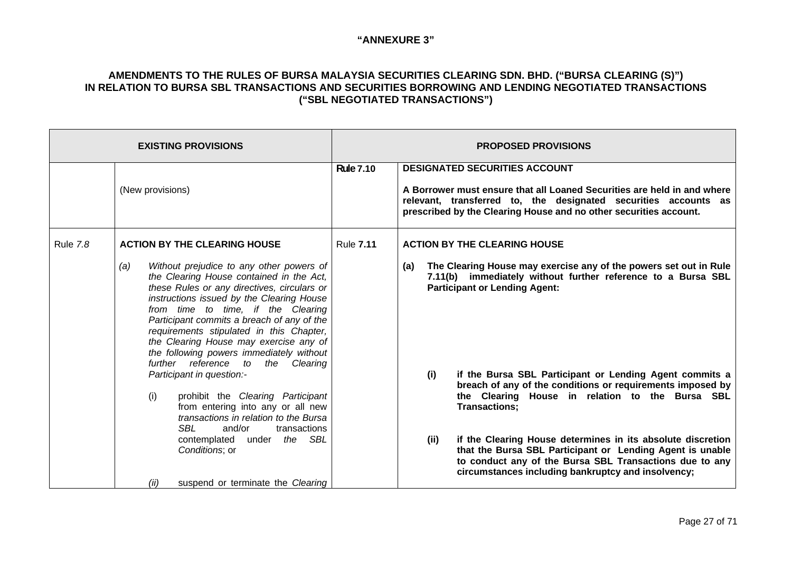| <b>EXISTING PROVISIONS</b> |                                                                                                                                                                                                                                                                                                                                                                                                                                                                                                                                                                                                                                                                                      |                  | <b>PROPOSED PROVISIONS</b>                                                                                                                                                                                                                                                                                                                                                                                                         |
|----------------------------|--------------------------------------------------------------------------------------------------------------------------------------------------------------------------------------------------------------------------------------------------------------------------------------------------------------------------------------------------------------------------------------------------------------------------------------------------------------------------------------------------------------------------------------------------------------------------------------------------------------------------------------------------------------------------------------|------------------|------------------------------------------------------------------------------------------------------------------------------------------------------------------------------------------------------------------------------------------------------------------------------------------------------------------------------------------------------------------------------------------------------------------------------------|
|                            | (New provisions)                                                                                                                                                                                                                                                                                                                                                                                                                                                                                                                                                                                                                                                                     | <b>Rule 7.10</b> | <b>DESIGNATED SECURITIES ACCOUNT</b><br>A Borrower must ensure that all Loaned Securities are held in and where<br>relevant, transferred to, the designated securities accounts as<br>prescribed by the Clearing House and no other securities account.                                                                                                                                                                            |
| <b>Rule 7.8</b>            | <b>ACTION BY THE CLEARING HOUSE</b><br>Without prejudice to any other powers of<br>(a)<br>the Clearing House contained in the Act,<br>these Rules or any directives, circulars or<br>instructions issued by the Clearing House<br>from time to time, if the Clearing<br>Participant commits a breach of any of the<br>requirements stipulated in this Chapter,<br>the Clearing House may exercise any of<br>the following powers immediately without<br>further reference to<br>the Clearing<br>Participant in question:-<br>(i)<br>prohibit the Clearing Participant<br>from entering into any or all new<br>transactions in relation to the Bursa<br>SBL<br>and/or<br>transactions | <b>Rule 7.11</b> | <b>ACTION BY THE CLEARING HOUSE</b><br>The Clearing House may exercise any of the powers set out in Rule<br>(a)<br>7.11(b) immediately without further reference to a Bursa SBL<br><b>Participant or Lending Agent:</b><br>if the Bursa SBL Participant or Lending Agent commits a<br>(i)<br>breach of any of the conditions or requirements imposed by<br>the Clearing House in relation to the Bursa SBL<br><b>Transactions:</b> |
|                            | contemplated under the SBL<br>Conditions; or<br>suspend or terminate the Clearing<br>(ii)                                                                                                                                                                                                                                                                                                                                                                                                                                                                                                                                                                                            |                  | if the Clearing House determines in its absolute discretion<br>(ii)<br>that the Bursa SBL Participant or Lending Agent is unable<br>to conduct any of the Bursa SBL Transactions due to any<br>circumstances including bankruptcy and insolvency;                                                                                                                                                                                  |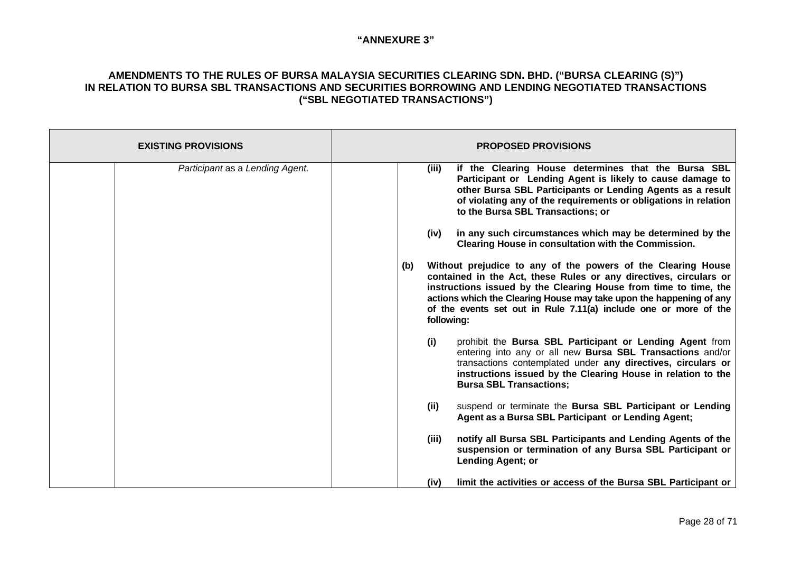| <b>EXISTING PROVISIONS</b>      | <b>PROPOSED PROVISIONS</b>                                                                                                                                                                                                                                                                                                                                                                                                                                                                                                                                                                                                                                                                                                                                                                                                                                                                                                                                                                                                                                                                                                                                                                                                                                                                                                                                                                                                                                                   |
|---------------------------------|------------------------------------------------------------------------------------------------------------------------------------------------------------------------------------------------------------------------------------------------------------------------------------------------------------------------------------------------------------------------------------------------------------------------------------------------------------------------------------------------------------------------------------------------------------------------------------------------------------------------------------------------------------------------------------------------------------------------------------------------------------------------------------------------------------------------------------------------------------------------------------------------------------------------------------------------------------------------------------------------------------------------------------------------------------------------------------------------------------------------------------------------------------------------------------------------------------------------------------------------------------------------------------------------------------------------------------------------------------------------------------------------------------------------------------------------------------------------------|
| Participant as a Lending Agent. | if the Clearing House determines that the Bursa SBL<br>(iii)<br>Participant or Lending Agent is likely to cause damage to<br>other Bursa SBL Participants or Lending Agents as a result<br>of violating any of the requirements or obligations in relation<br>to the Bursa SBL Transactions; or<br>in any such circumstances which may be determined by the<br>(iv)<br>Clearing House in consultation with the Commission.<br>Without prejudice to any of the powers of the Clearing House<br>(b)<br>contained in the Act, these Rules or any directives, circulars or<br>instructions issued by the Clearing House from time to time, the<br>actions which the Clearing House may take upon the happening of any<br>of the events set out in Rule 7.11(a) include one or more of the<br>following:<br>prohibit the Bursa SBL Participant or Lending Agent from<br>(i)<br>entering into any or all new Bursa SBL Transactions and/or<br>transactions contemplated under any directives, circulars or<br>instructions issued by the Clearing House in relation to the<br><b>Bursa SBL Transactions:</b><br>(ii)<br>suspend or terminate the Bursa SBL Participant or Lending<br>Agent as a Bursa SBL Participant or Lending Agent;<br>notify all Bursa SBL Participants and Lending Agents of the<br>(iii)<br>suspension or termination of any Bursa SBL Participant or<br><b>Lending Agent; or</b><br>limit the activities or access of the Bursa SBL Participant or<br>(iv) |
|                                 |                                                                                                                                                                                                                                                                                                                                                                                                                                                                                                                                                                                                                                                                                                                                                                                                                                                                                                                                                                                                                                                                                                                                                                                                                                                                                                                                                                                                                                                                              |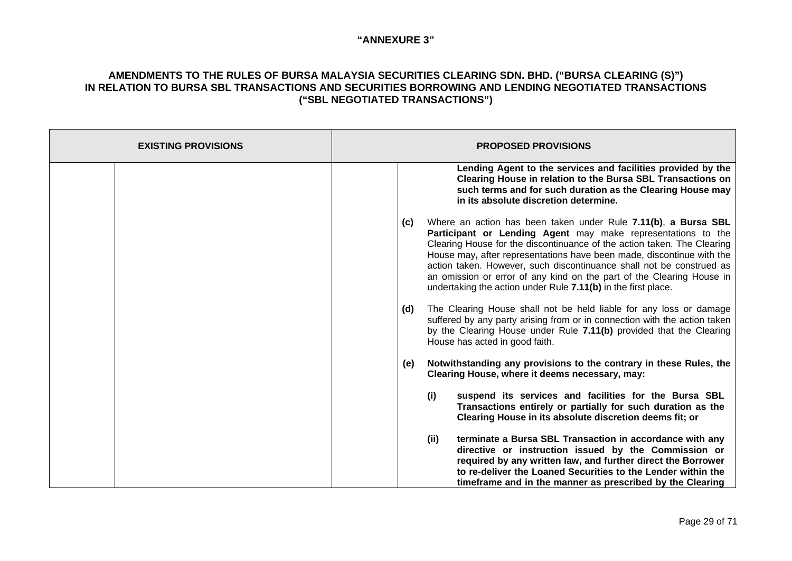| <b>EXISTING PROVISIONS</b> | <b>PROPOSED PROVISIONS</b>                                                                                                                                                                                                                                                                                                                                                                                                                                                                                  |
|----------------------------|-------------------------------------------------------------------------------------------------------------------------------------------------------------------------------------------------------------------------------------------------------------------------------------------------------------------------------------------------------------------------------------------------------------------------------------------------------------------------------------------------------------|
|                            | Lending Agent to the services and facilities provided by the<br>Clearing House in relation to the Bursa SBL Transactions on<br>such terms and for such duration as the Clearing House may<br>in its absolute discretion determine.                                                                                                                                                                                                                                                                          |
|                            | Where an action has been taken under Rule 7.11(b), a Bursa SBL<br>(c)<br>Participant or Lending Agent may make representations to the<br>Clearing House for the discontinuance of the action taken. The Clearing<br>House may, after representations have been made, discontinue with the<br>action taken. However, such discontinuance shall not be construed as<br>an omission or error of any kind on the part of the Clearing House in<br>undertaking the action under Rule 7.11(b) in the first place. |
|                            | The Clearing House shall not be held liable for any loss or damage<br>(d)<br>suffered by any party arising from or in connection with the action taken<br>by the Clearing House under Rule 7.11(b) provided that the Clearing<br>House has acted in good faith.                                                                                                                                                                                                                                             |
|                            | Notwithstanding any provisions to the contrary in these Rules, the<br>(e)<br>Clearing House, where it deems necessary, may:                                                                                                                                                                                                                                                                                                                                                                                 |
|                            | (i)<br>suspend its services and facilities for the Bursa SBL<br>Transactions entirely or partially for such duration as the<br>Clearing House in its absolute discretion deems fit; or                                                                                                                                                                                                                                                                                                                      |
|                            | terminate a Bursa SBL Transaction in accordance with any<br>(ii)<br>directive or instruction issued by the Commission or<br>required by any written law, and further direct the Borrower<br>to re-deliver the Loaned Securities to the Lender within the<br>timeframe and in the manner as prescribed by the Clearing                                                                                                                                                                                       |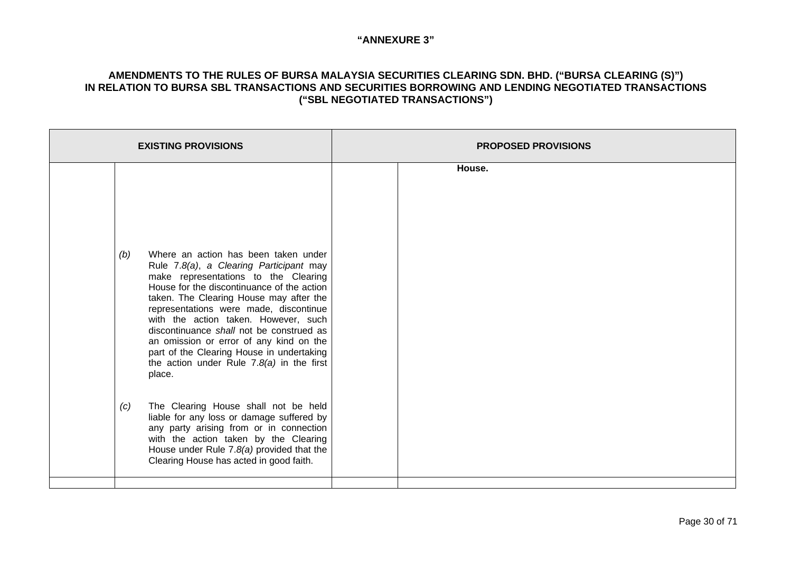| <b>EXISTING PROVISIONS</b>                                                                                                                                                                                                                                                                                                                                                                                                                                                                             | <b>PROPOSED PROVISIONS</b> |
|--------------------------------------------------------------------------------------------------------------------------------------------------------------------------------------------------------------------------------------------------------------------------------------------------------------------------------------------------------------------------------------------------------------------------------------------------------------------------------------------------------|----------------------------|
| Where an action has been taken under<br>(b)<br>Rule 7.8(a), a Clearing Participant may<br>make representations to the Clearing<br>House for the discontinuance of the action<br>taken. The Clearing House may after the<br>representations were made, discontinue<br>with the action taken. However, such<br>discontinuance shall not be construed as<br>an omission or error of any kind on the<br>part of the Clearing House in undertaking<br>the action under Rule $7.8(a)$ in the first<br>place. | House.                     |
| The Clearing House shall not be held<br>(c)<br>liable for any loss or damage suffered by<br>any party arising from or in connection<br>with the action taken by the Clearing<br>House under Rule $7.8(a)$ provided that the<br>Clearing House has acted in good faith.                                                                                                                                                                                                                                 |                            |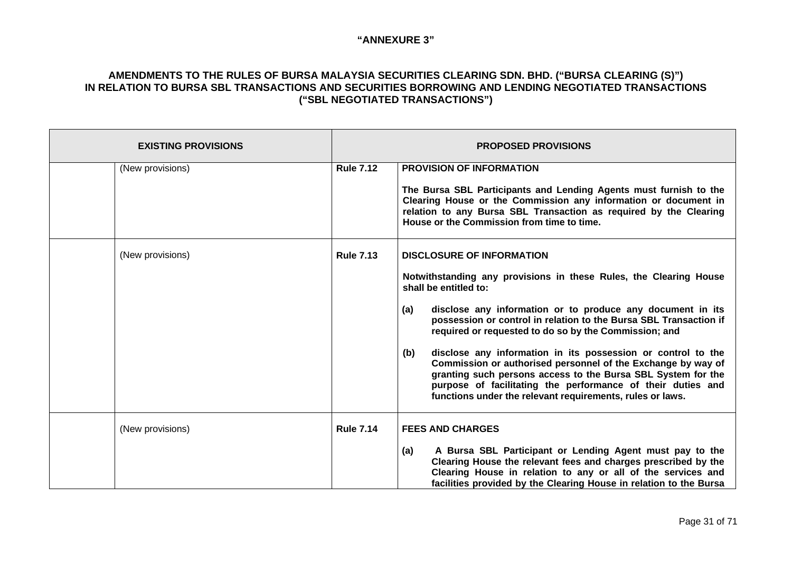| <b>EXISTING PROVISIONS</b> |                  | <b>PROPOSED PROVISIONS</b>                                                                                                                                                                                                                                                                                                                                                                                                                                                                                                                                                                                                                                           |  |
|----------------------------|------------------|----------------------------------------------------------------------------------------------------------------------------------------------------------------------------------------------------------------------------------------------------------------------------------------------------------------------------------------------------------------------------------------------------------------------------------------------------------------------------------------------------------------------------------------------------------------------------------------------------------------------------------------------------------------------|--|
| (New provisions)           | <b>Rule 7.12</b> | <b>PROVISION OF INFORMATION</b><br>The Bursa SBL Participants and Lending Agents must furnish to the<br>Clearing House or the Commission any information or document in<br>relation to any Bursa SBL Transaction as required by the Clearing<br>House or the Commission from time to time.                                                                                                                                                                                                                                                                                                                                                                           |  |
| (New provisions)           | <b>Rule 7.13</b> | <b>DISCLOSURE OF INFORMATION</b><br>Notwithstanding any provisions in these Rules, the Clearing House<br>shall be entitled to:<br>disclose any information or to produce any document in its<br>(a)<br>possession or control in relation to the Bursa SBL Transaction if<br>required or requested to do so by the Commission; and<br>disclose any information in its possession or control to the<br>(b)<br>Commission or authorised personnel of the Exchange by way of<br>granting such persons access to the Bursa SBL System for the<br>purpose of facilitating the performance of their duties and<br>functions under the relevant requirements, rules or laws. |  |
| (New provisions)           | <b>Rule 7.14</b> | <b>FEES AND CHARGES</b><br>A Bursa SBL Participant or Lending Agent must pay to the<br>(a)<br>Clearing House the relevant fees and charges prescribed by the<br>Clearing House in relation to any or all of the services and<br>facilities provided by the Clearing House in relation to the Bursa                                                                                                                                                                                                                                                                                                                                                                   |  |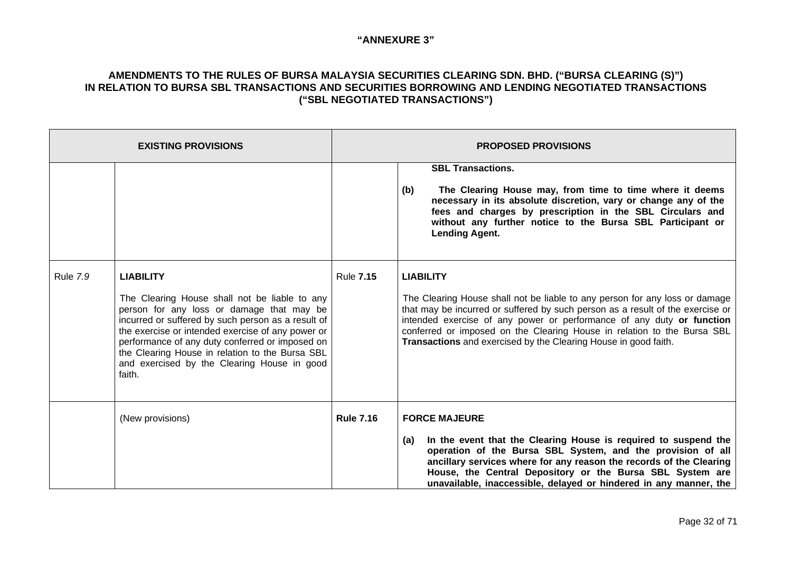| <b>EXISTING PROVISIONS</b> |                                                                                                                                                                                                                                                                                                                                                                                          |                  | <b>PROPOSED PROVISIONS</b>                                                                                                                                                                                                                                                                                                                                                                               |
|----------------------------|------------------------------------------------------------------------------------------------------------------------------------------------------------------------------------------------------------------------------------------------------------------------------------------------------------------------------------------------------------------------------------------|------------------|----------------------------------------------------------------------------------------------------------------------------------------------------------------------------------------------------------------------------------------------------------------------------------------------------------------------------------------------------------------------------------------------------------|
|                            |                                                                                                                                                                                                                                                                                                                                                                                          |                  | <b>SBL Transactions.</b><br>The Clearing House may, from time to time where it deems<br>(b)<br>necessary in its absolute discretion, vary or change any of the<br>fees and charges by prescription in the SBL Circulars and<br>without any further notice to the Bursa SBL Participant or<br><b>Lending Agent.</b>                                                                                       |
| <b>Rule 7.9</b>            | <b>LIABILITY</b><br>The Clearing House shall not be liable to any<br>person for any loss or damage that may be<br>incurred or suffered by such person as a result of<br>the exercise or intended exercise of any power or<br>performance of any duty conferred or imposed on<br>the Clearing House in relation to the Bursa SBL<br>and exercised by the Clearing House in good<br>faith. | <b>Rule 7.15</b> | <b>LIABILITY</b><br>The Clearing House shall not be liable to any person for any loss or damage<br>that may be incurred or suffered by such person as a result of the exercise or<br>intended exercise of any power or performance of any duty or function<br>conferred or imposed on the Clearing House in relation to the Bursa SBL<br>Transactions and exercised by the Clearing House in good faith. |
|                            | (New provisions)                                                                                                                                                                                                                                                                                                                                                                         | <b>Rule 7.16</b> | <b>FORCE MAJEURE</b><br>In the event that the Clearing House is required to suspend the<br>(a)<br>operation of the Bursa SBL System, and the provision of all<br>ancillary services where for any reason the records of the Clearing<br>House, the Central Depository or the Bursa SBL System are<br>unavailable, inaccessible, delayed or hindered in any manner, the                                   |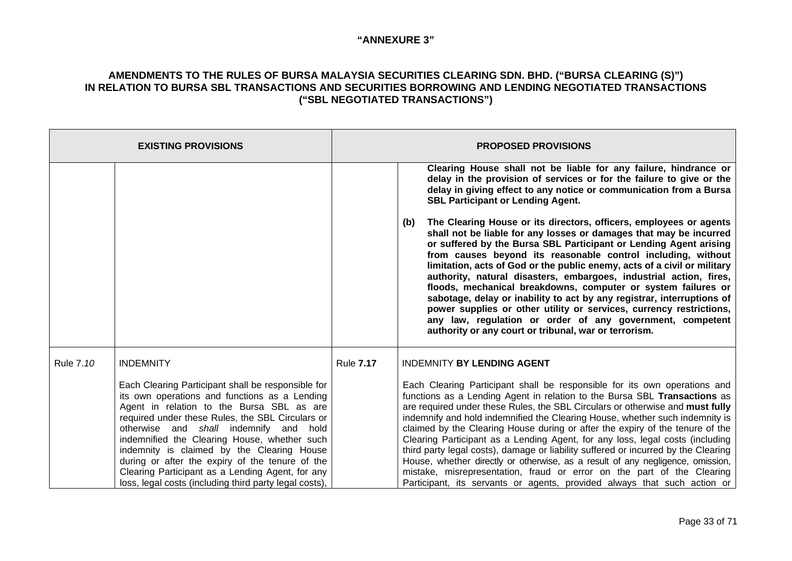|           | <b>EXISTING PROVISIONS</b>                                                                                                                                                                                                                                                                                                                                                                                                                                                                                                           |                  | <b>PROPOSED PROVISIONS</b>                                                                                                                                                                                                                                                                                                                                                                                                                                                                                                                                                                                                                                                                                                                                                                                                                                                                                                                                                                                                                   |
|-----------|--------------------------------------------------------------------------------------------------------------------------------------------------------------------------------------------------------------------------------------------------------------------------------------------------------------------------------------------------------------------------------------------------------------------------------------------------------------------------------------------------------------------------------------|------------------|----------------------------------------------------------------------------------------------------------------------------------------------------------------------------------------------------------------------------------------------------------------------------------------------------------------------------------------------------------------------------------------------------------------------------------------------------------------------------------------------------------------------------------------------------------------------------------------------------------------------------------------------------------------------------------------------------------------------------------------------------------------------------------------------------------------------------------------------------------------------------------------------------------------------------------------------------------------------------------------------------------------------------------------------|
|           |                                                                                                                                                                                                                                                                                                                                                                                                                                                                                                                                      |                  | Clearing House shall not be liable for any failure, hindrance or<br>delay in the provision of services or for the failure to give or the<br>delay in giving effect to any notice or communication from a Bursa<br><b>SBL Participant or Lending Agent.</b><br>The Clearing House or its directors, officers, employees or agents<br>(b)<br>shall not be liable for any losses or damages that may be incurred<br>or suffered by the Bursa SBL Participant or Lending Agent arising<br>from causes beyond its reasonable control including, without<br>limitation, acts of God or the public enemy, acts of a civil or military<br>authority, natural disasters, embargoes, industrial action, fires,<br>floods, mechanical breakdowns, computer or system failures or<br>sabotage, delay or inability to act by any registrar, interruptions of<br>power supplies or other utility or services, currency restrictions,<br>any law, regulation or order of any government, competent<br>authority or any court or tribunal, war or terrorism. |
| Rule 7.10 | <b>INDEMNITY</b><br>Each Clearing Participant shall be responsible for<br>its own operations and functions as a Lending<br>Agent in relation to the Bursa SBL as are<br>required under these Rules, the SBL Circulars or<br>otherwise and shall indemnify and<br>hold<br>indemnified the Clearing House, whether such<br>indemnity is claimed by the Clearing House<br>during or after the expiry of the tenure of the<br>Clearing Participant as a Lending Agent, for any<br>loss, legal costs (including third party legal costs), | <b>Rule 7.17</b> | <b>INDEMNITY BY LENDING AGENT</b><br>Each Clearing Participant shall be responsible for its own operations and<br>functions as a Lending Agent in relation to the Bursa SBL Transactions as<br>are required under these Rules, the SBL Circulars or otherwise and must fully<br>indemnify and hold indemnified the Clearing House, whether such indemnity is<br>claimed by the Clearing House during or after the expiry of the tenure of the<br>Clearing Participant as a Lending Agent, for any loss, legal costs (including<br>third party legal costs), damage or liability suffered or incurred by the Clearing<br>House, whether directly or otherwise, as a result of any negligence, omission,<br>mistake, misrepresentation, fraud or error on the part of the Clearing<br>Participant, its servants or agents, provided always that such action or                                                                                                                                                                                 |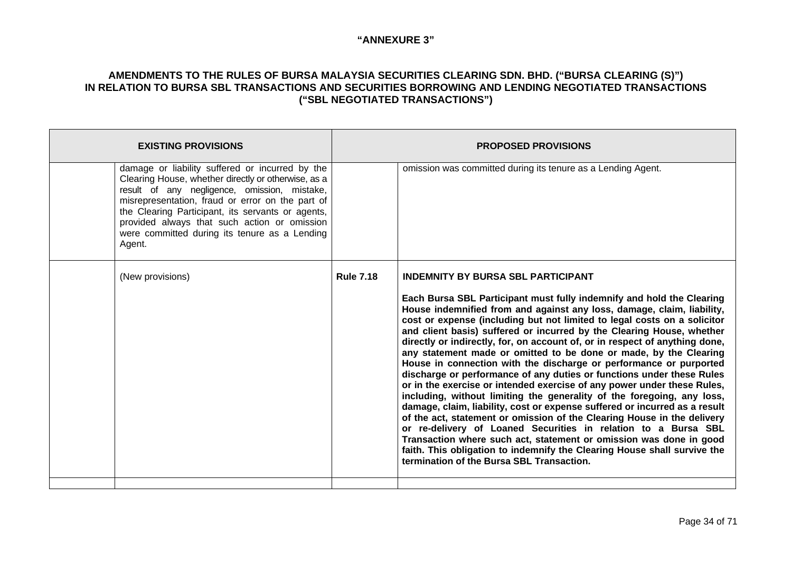| <b>EXISTING PROVISIONS</b> |                                                                                                                                                                                                                                                                                                                                                                  |                  | <b>PROPOSED PROVISIONS</b>                                                                                                                                                                                                                                                                                                                                                                                                                                                                                                                                                                                                                                                                                                                                                                                                                                                                                                                                                                                                                                                                                                                                                                                                          |
|----------------------------|------------------------------------------------------------------------------------------------------------------------------------------------------------------------------------------------------------------------------------------------------------------------------------------------------------------------------------------------------------------|------------------|-------------------------------------------------------------------------------------------------------------------------------------------------------------------------------------------------------------------------------------------------------------------------------------------------------------------------------------------------------------------------------------------------------------------------------------------------------------------------------------------------------------------------------------------------------------------------------------------------------------------------------------------------------------------------------------------------------------------------------------------------------------------------------------------------------------------------------------------------------------------------------------------------------------------------------------------------------------------------------------------------------------------------------------------------------------------------------------------------------------------------------------------------------------------------------------------------------------------------------------|
| Agent.                     | damage or liability suffered or incurred by the<br>Clearing House, whether directly or otherwise, as a<br>result of any negligence, omission, mistake,<br>misrepresentation, fraud or error on the part of<br>the Clearing Participant, its servants or agents,<br>provided always that such action or omission<br>were committed during its tenure as a Lending |                  | omission was committed during its tenure as a Lending Agent.                                                                                                                                                                                                                                                                                                                                                                                                                                                                                                                                                                                                                                                                                                                                                                                                                                                                                                                                                                                                                                                                                                                                                                        |
| (New provisions)           |                                                                                                                                                                                                                                                                                                                                                                  | <b>Rule 7.18</b> | <b>INDEMNITY BY BURSA SBL PARTICIPANT</b><br>Each Bursa SBL Participant must fully indemnify and hold the Clearing<br>House indemnified from and against any loss, damage, claim, liability,<br>cost or expense (including but not limited to legal costs on a solicitor<br>and client basis) suffered or incurred by the Clearing House, whether<br>directly or indirectly, for, on account of, or in respect of anything done,<br>any statement made or omitted to be done or made, by the Clearing<br>House in connection with the discharge or performance or purported<br>discharge or performance of any duties or functions under these Rules<br>or in the exercise or intended exercise of any power under these Rules,<br>including, without limiting the generality of the foregoing, any loss,<br>damage, claim, liability, cost or expense suffered or incurred as a result<br>of the act, statement or omission of the Clearing House in the delivery<br>or re-delivery of Loaned Securities in relation to a Bursa SBL<br>Transaction where such act, statement or omission was done in good<br>faith. This obligation to indemnify the Clearing House shall survive the<br>termination of the Bursa SBL Transaction. |
|                            |                                                                                                                                                                                                                                                                                                                                                                  |                  |                                                                                                                                                                                                                                                                                                                                                                                                                                                                                                                                                                                                                                                                                                                                                                                                                                                                                                                                                                                                                                                                                                                                                                                                                                     |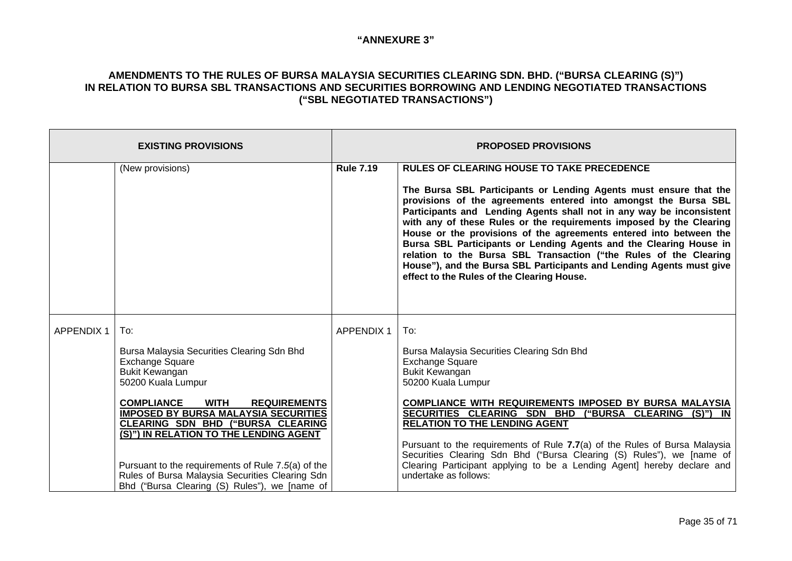| <b>EXISTING PROVISIONS</b> |                                                                                                                                                                                                                                                                                                                                                                                                                                                                               |                   | <b>PROPOSED PROVISIONS</b>                                                                                                                                                                                                                                                                                                                                                                                                                                                                                                                                                                                                                                                      |
|----------------------------|-------------------------------------------------------------------------------------------------------------------------------------------------------------------------------------------------------------------------------------------------------------------------------------------------------------------------------------------------------------------------------------------------------------------------------------------------------------------------------|-------------------|---------------------------------------------------------------------------------------------------------------------------------------------------------------------------------------------------------------------------------------------------------------------------------------------------------------------------------------------------------------------------------------------------------------------------------------------------------------------------------------------------------------------------------------------------------------------------------------------------------------------------------------------------------------------------------|
|                            | (New provisions)                                                                                                                                                                                                                                                                                                                                                                                                                                                              | <b>Rule 7.19</b>  | <b>RULES OF CLEARING HOUSE TO TAKE PRECEDENCE</b><br>The Bursa SBL Participants or Lending Agents must ensure that the<br>provisions of the agreements entered into amongst the Bursa SBL<br>Participants and Lending Agents shall not in any way be inconsistent<br>with any of these Rules or the requirements imposed by the Clearing<br>House or the provisions of the agreements entered into between the<br>Bursa SBL Participants or Lending Agents and the Clearing House in<br>relation to the Bursa SBL Transaction ("the Rules of the Clearing<br>House"), and the Bursa SBL Participants and Lending Agents must give<br>effect to the Rules of the Clearing House. |
| <b>APPENDIX 1</b>          | To:<br>Bursa Malaysia Securities Clearing Sdn Bhd<br>Exchange Square<br><b>Bukit Kewangan</b><br>50200 Kuala Lumpur<br><b>COMPLIANCE</b><br><b>WITH</b><br><b>REQUIREMENTS</b><br><b>IMPOSED BY BURSA MALAYSIA SECURITIES</b><br><b>CLEARING SDN BHD ("BURSA CLEARING</b><br>(S)") IN RELATION TO THE LENDING AGENT<br>Pursuant to the requirements of Rule 7.5(a) of the<br>Rules of Bursa Malaysia Securities Clearing Sdn<br>Bhd ("Bursa Clearing (S) Rules"), we [name of | <b>APPENDIX 1</b> | To:<br>Bursa Malaysia Securities Clearing Sdn Bhd<br><b>Exchange Square</b><br><b>Bukit Kewangan</b><br>50200 Kuala Lumpur<br><b>COMPLIANCE WITH REQUIREMENTS IMPOSED BY BURSA MALAYSIA</b><br>SECURITIES CLEARING SDN BHD ("BURSA CLEARING (S)") IN<br><b>RELATION TO THE LENDING AGENT</b><br>Pursuant to the requirements of Rule 7.7(a) of the Rules of Bursa Malaysia<br>Securities Clearing Sdn Bhd ("Bursa Clearing (S) Rules"), we [name of<br>Clearing Participant applying to be a Lending Agent] hereby declare and<br>undertake as follows:                                                                                                                         |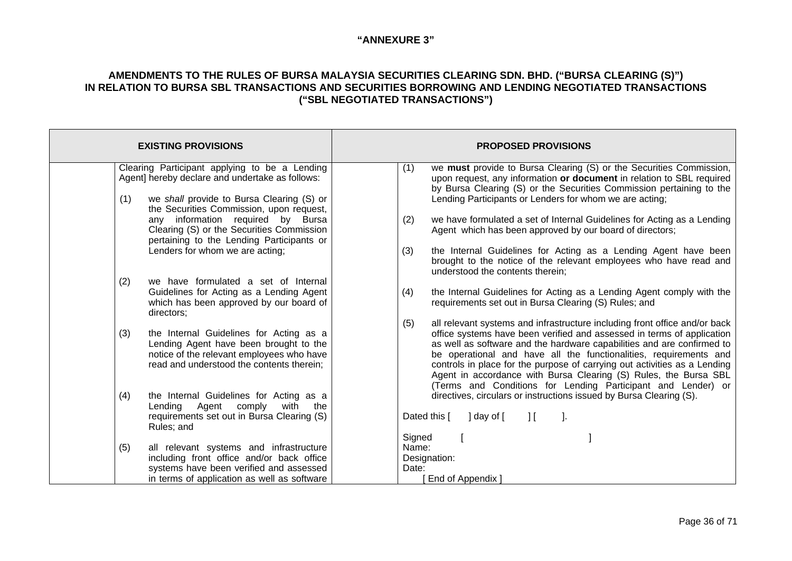| <b>EXISTING PROVISIONS</b>                                                                                                                                                            | <b>PROPOSED PROVISIONS</b>                                                                                                                                                                                                                                                                                                                                                                                                                                                                                                  |
|---------------------------------------------------------------------------------------------------------------------------------------------------------------------------------------|-----------------------------------------------------------------------------------------------------------------------------------------------------------------------------------------------------------------------------------------------------------------------------------------------------------------------------------------------------------------------------------------------------------------------------------------------------------------------------------------------------------------------------|
| Clearing Participant applying to be a Lending<br>Agent] hereby declare and undertake as follows:<br>we shall provide to Bursa Clearing (S) or<br>(1)                                  | we must provide to Bursa Clearing (S) or the Securities Commission,<br>(1)<br>upon request, any information or document in relation to SBL required<br>by Bursa Clearing (S) or the Securities Commission pertaining to the<br>Lending Participants or Lenders for whom we are acting;                                                                                                                                                                                                                                      |
| the Securities Commission, upon request,<br>any information required by Bursa<br>Clearing (S) or the Securities Commission<br>pertaining to the Lending Participants or               | we have formulated a set of Internal Guidelines for Acting as a Lending<br>(2)<br>Agent which has been approved by our board of directors;                                                                                                                                                                                                                                                                                                                                                                                  |
| Lenders for whom we are acting;                                                                                                                                                       | the Internal Guidelines for Acting as a Lending Agent have been<br>(3)<br>brought to the notice of the relevant employees who have read and<br>understood the contents therein;                                                                                                                                                                                                                                                                                                                                             |
| we have formulated a set of Internal<br>(2)<br>Guidelines for Acting as a Lending Agent<br>which has been approved by our board of<br>directors;                                      | the Internal Guidelines for Acting as a Lending Agent comply with the<br>(4)<br>requirements set out in Bursa Clearing (S) Rules; and                                                                                                                                                                                                                                                                                                                                                                                       |
| (3)<br>the Internal Guidelines for Acting as a<br>Lending Agent have been brought to the<br>notice of the relevant employees who have<br>read and understood the contents therein;    | all relevant systems and infrastructure including front office and/or back<br>(5)<br>office systems have been verified and assessed in terms of application<br>as well as software and the hardware capabilities and are confirmed to<br>be operational and have all the functionalities, requirements and<br>controls in place for the purpose of carrying out activities as a Lending<br>Agent in accordance with Bursa Clearing (S) Rules, the Bursa SBL<br>(Terms and Conditions for Lending Participant and Lender) or |
| the Internal Guidelines for Acting as a<br>(4)<br>Lending<br>Agent<br>comply<br>with<br>the<br>requirements set out in Bursa Clearing (S)<br>Rules; and                               | directives, circulars or instructions issued by Bursa Clearing (S).<br>Dated this [<br>] day of [<br>$\cdot$<br>$\prod$                                                                                                                                                                                                                                                                                                                                                                                                     |
| (5)<br>all relevant systems and infrastructure<br>including front office and/or back office<br>systems have been verified and assessed<br>in terms of application as well as software | Signed<br>Name:<br>Designation:<br>Date:<br>End of Appendix                                                                                                                                                                                                                                                                                                                                                                                                                                                                 |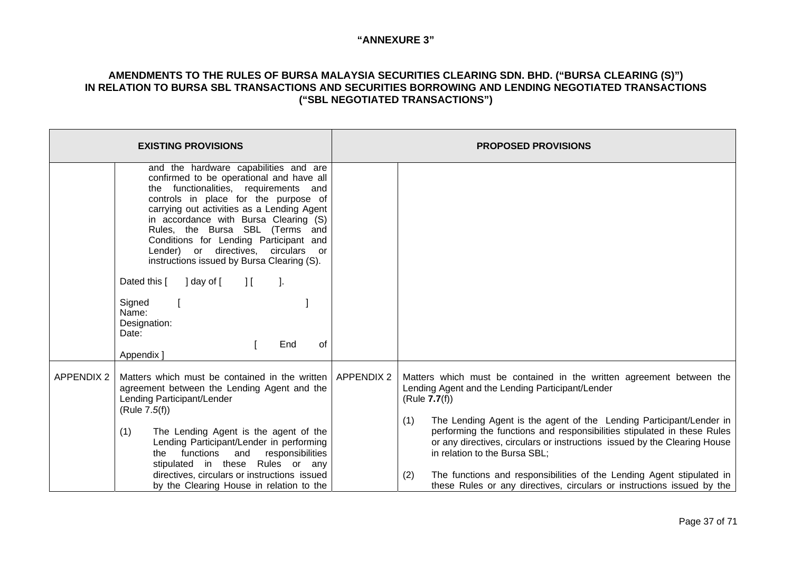|                   | <b>EXISTING PROVISIONS</b>                                                                                                                                                                                                                                                                                                                                                                                                                                                                                                                            | <b>PROPOSED PROVISIONS</b>                                                                                                                                                                                                                                                                                                                                                                                       |
|-------------------|-------------------------------------------------------------------------------------------------------------------------------------------------------------------------------------------------------------------------------------------------------------------------------------------------------------------------------------------------------------------------------------------------------------------------------------------------------------------------------------------------------------------------------------------------------|------------------------------------------------------------------------------------------------------------------------------------------------------------------------------------------------------------------------------------------------------------------------------------------------------------------------------------------------------------------------------------------------------------------|
|                   | and the hardware capabilities and are<br>confirmed to be operational and have all<br>the functionalities, requirements and<br>controls in place for the purpose of<br>carrying out activities as a Lending Agent<br>in accordance with Bursa Clearing (S)<br>Rules, the Bursa SBL (Terms and<br>Conditions for Lending Participant and<br>Lender) or directives, circulars or<br>instructions issued by Bursa Clearing (S).<br>Dated this [ ] day of [<br>$\prod$<br>$\cdot$ .<br>Signed<br>Name:<br>Designation:<br>Date:<br>End<br>οf<br>Appendix ] |                                                                                                                                                                                                                                                                                                                                                                                                                  |
| <b>APPENDIX 2</b> | Matters which must be contained in the written   APPENDIX 2<br>agreement between the Lending Agent and the<br>Lending Participant/Lender<br>(Rule 7.5(f))<br>(1)<br>The Lending Agent is the agent of the<br>Lending Participant/Lender in performing<br>the functions and responsibilities<br>stipulated in these Rules or any                                                                                                                                                                                                                       | Matters which must be contained in the written agreement between the<br>Lending Agent and the Lending Participant/Lender<br>(Rule 7.7(f))<br>The Lending Agent is the agent of the Lending Participant/Lender in<br>(1)<br>performing the functions and responsibilities stipulated in these Rules<br>or any directives, circulars or instructions issued by the Clearing House<br>in relation to the Bursa SBL; |
|                   | directives, circulars or instructions issued<br>by the Clearing House in relation to the                                                                                                                                                                                                                                                                                                                                                                                                                                                              | The functions and responsibilities of the Lending Agent stipulated in<br>(2)<br>these Rules or any directives, circulars or instructions issued by the                                                                                                                                                                                                                                                           |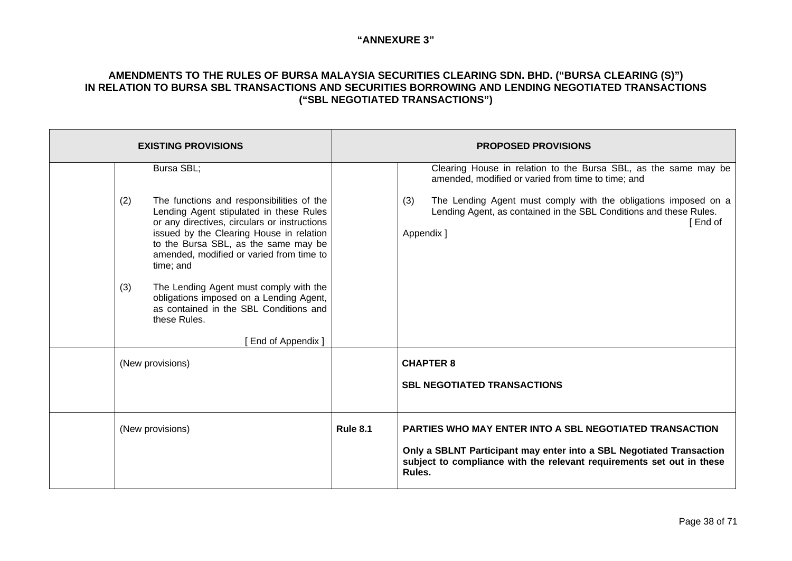| <b>EXISTING PROVISIONS</b> |                                                                                                                                                                                                                                                                                                                                                                                                                                                                                   | <b>PROPOSED PROVISIONS</b> |                                                                                                                                                                                                                                                                                                 |
|----------------------------|-----------------------------------------------------------------------------------------------------------------------------------------------------------------------------------------------------------------------------------------------------------------------------------------------------------------------------------------------------------------------------------------------------------------------------------------------------------------------------------|----------------------------|-------------------------------------------------------------------------------------------------------------------------------------------------------------------------------------------------------------------------------------------------------------------------------------------------|
|                            | Bursa SBL;<br>The functions and responsibilities of the<br>(2)<br>Lending Agent stipulated in these Rules<br>or any directives, circulars or instructions<br>issued by the Clearing House in relation<br>to the Bursa SBL, as the same may be<br>amended, modified or varied from time to<br>time; and<br>The Lending Agent must comply with the<br>(3)<br>obligations imposed on a Lending Agent,<br>as contained in the SBL Conditions and<br>these Rules.<br>End of Appendix ] |                            | Clearing House in relation to the Bursa SBL, as the same may be<br>amended, modified or varied from time to time; and<br>The Lending Agent must comply with the obligations imposed on a<br>(3)<br>Lending Agent, as contained in the SBL Conditions and these Rules.<br>i End of<br>Appendix ] |
|                            | (New provisions)                                                                                                                                                                                                                                                                                                                                                                                                                                                                  |                            | <b>CHAPTER 8</b><br><b>SBL NEGOTIATED TRANSACTIONS</b>                                                                                                                                                                                                                                          |
|                            | (New provisions)                                                                                                                                                                                                                                                                                                                                                                                                                                                                  | <b>Rule 8.1</b>            | <b>PARTIES WHO MAY ENTER INTO A SBL NEGOTIATED TRANSACTION</b><br>Only a SBLNT Participant may enter into a SBL Negotiated Transaction<br>subject to compliance with the relevant requirements set out in these<br>Rules.                                                                       |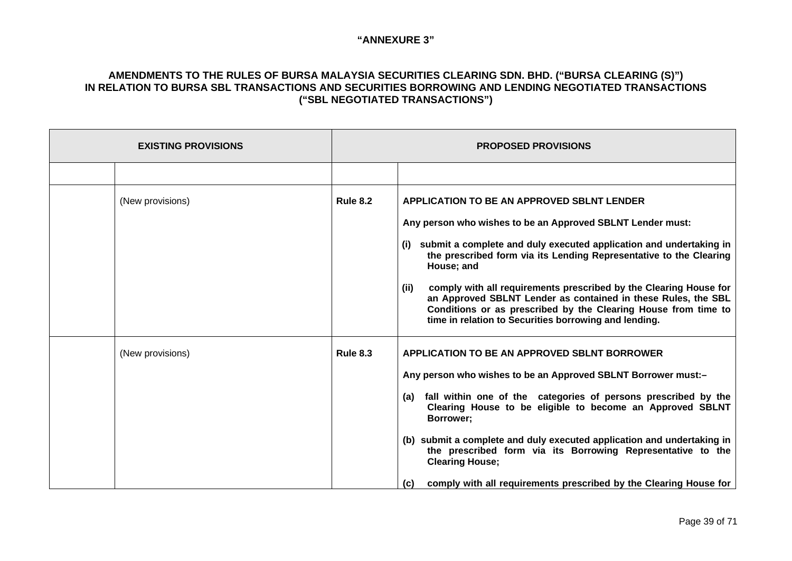| <b>EXISTING PROVISIONS</b> |                  | <b>PROPOSED PROVISIONS</b> |                                                                                                                                                                                                                                                                                                                                                                                                                                                                                                                                                         |
|----------------------------|------------------|----------------------------|---------------------------------------------------------------------------------------------------------------------------------------------------------------------------------------------------------------------------------------------------------------------------------------------------------------------------------------------------------------------------------------------------------------------------------------------------------------------------------------------------------------------------------------------------------|
|                            |                  |                            |                                                                                                                                                                                                                                                                                                                                                                                                                                                                                                                                                         |
|                            | (New provisions) | <b>Rule 8.2</b>            | <b>APPLICATION TO BE AN APPROVED SBLNT LENDER</b><br>Any person who wishes to be an Approved SBLNT Lender must:<br>(i) submit a complete and duly executed application and undertaking in<br>the prescribed form via its Lending Representative to the Clearing<br>House; and<br>comply with all requirements prescribed by the Clearing House for<br>(iii)<br>an Approved SBLNT Lender as contained in these Rules, the SBL<br>Conditions or as prescribed by the Clearing House from time to<br>time in relation to Securities borrowing and lending. |
|                            | (New provisions) | <b>Rule 8.3</b>            | <b>APPLICATION TO BE AN APPROVED SBLNT BORROWER</b><br>Any person who wishes to be an Approved SBLNT Borrower must:-<br>(a) fall within one of the categories of persons prescribed by the<br>Clearing House to be eligible to become an Approved SBLNT<br>Borrower;<br>(b) submit a complete and duly executed application and undertaking in<br>the prescribed form via its Borrowing Representative to the<br><b>Clearing House;</b><br>comply with all requirements prescribed by the Clearing House for<br>(c)                                     |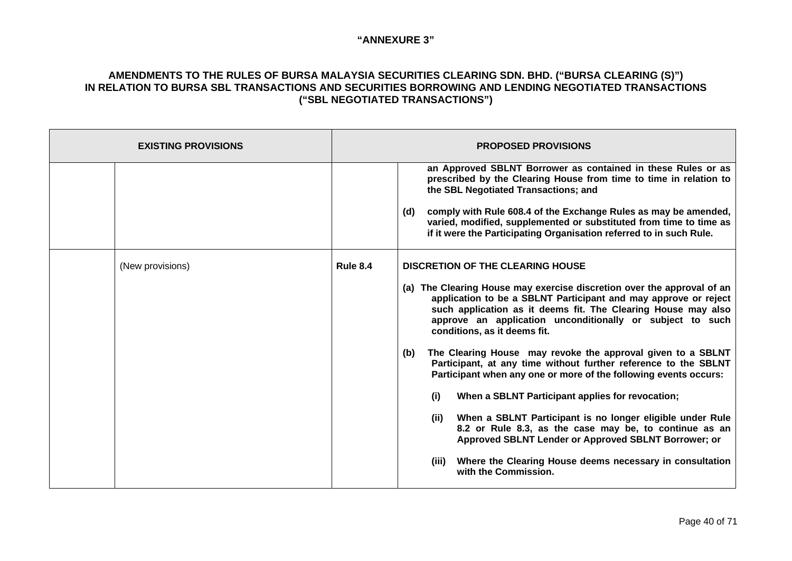| <b>EXISTING PROVISIONS</b> |                 | <b>PROPOSED PROVISIONS</b>                                                                                                                                                                                                                                                                                                                                                                                                                                                                                                                                                                                                                                                                                                                                                                                                                                                                                     |
|----------------------------|-----------------|----------------------------------------------------------------------------------------------------------------------------------------------------------------------------------------------------------------------------------------------------------------------------------------------------------------------------------------------------------------------------------------------------------------------------------------------------------------------------------------------------------------------------------------------------------------------------------------------------------------------------------------------------------------------------------------------------------------------------------------------------------------------------------------------------------------------------------------------------------------------------------------------------------------|
|                            |                 | an Approved SBLNT Borrower as contained in these Rules or as<br>prescribed by the Clearing House from time to time in relation to<br>the SBL Negotiated Transactions; and<br>comply with Rule 608.4 of the Exchange Rules as may be amended,<br>(d)<br>varied, modified, supplemented or substituted from time to time as<br>if it were the Participating Organisation referred to in such Rule.                                                                                                                                                                                                                                                                                                                                                                                                                                                                                                               |
| (New provisions)           | <b>Rule 8.4</b> | <b>DISCRETION OF THE CLEARING HOUSE</b><br>(a) The Clearing House may exercise discretion over the approval of an<br>application to be a SBLNT Participant and may approve or reject<br>such application as it deems fit. The Clearing House may also<br>approve an application unconditionally or subject to such<br>conditions, as it deems fit.<br>The Clearing House may revoke the approval given to a SBLNT<br>(b)<br>Participant, at any time without further reference to the SBLNT<br>Participant when any one or more of the following events occurs:<br>When a SBLNT Participant applies for revocation;<br>(i)<br>When a SBLNT Participant is no longer eligible under Rule<br>(ii)<br>8.2 or Rule 8.3, as the case may be, to continue as an<br>Approved SBLNT Lender or Approved SBLNT Borrower; or<br>Where the Clearing House deems necessary in consultation<br>(iii)<br>with the Commission. |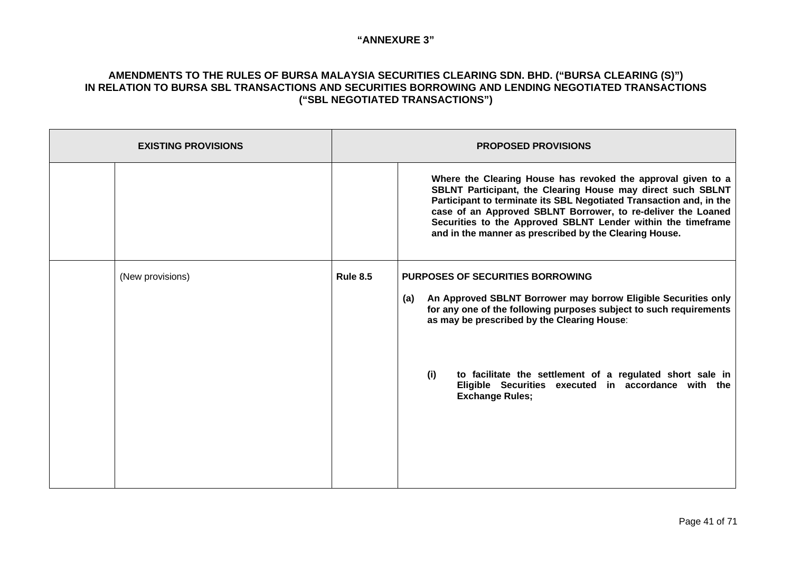| <b>EXISTING PROVISIONS</b> |                  | <b>PROPOSED PROVISIONS</b> |                                                                                                                                                                                                                                                                                                                                                                                              |
|----------------------------|------------------|----------------------------|----------------------------------------------------------------------------------------------------------------------------------------------------------------------------------------------------------------------------------------------------------------------------------------------------------------------------------------------------------------------------------------------|
|                            |                  |                            | Where the Clearing House has revoked the approval given to a<br>SBLNT Participant, the Clearing House may direct such SBLNT<br>Participant to terminate its SBL Negotiated Transaction and, in the<br>case of an Approved SBLNT Borrower, to re-deliver the Loaned<br>Securities to the Approved SBLNT Lender within the timeframe<br>and in the manner as prescribed by the Clearing House. |
|                            | (New provisions) | <b>Rule 8.5</b>            | <b>PURPOSES OF SECURITIES BORROWING</b><br>An Approved SBLNT Borrower may borrow Eligible Securities only<br>(a)<br>for any one of the following purposes subject to such requirements<br>as may be prescribed by the Clearing House:                                                                                                                                                        |
|                            |                  |                            | to facilitate the settlement of a regulated short sale in<br>(i)<br>Eligible Securities executed in accordance with the<br><b>Exchange Rules;</b>                                                                                                                                                                                                                                            |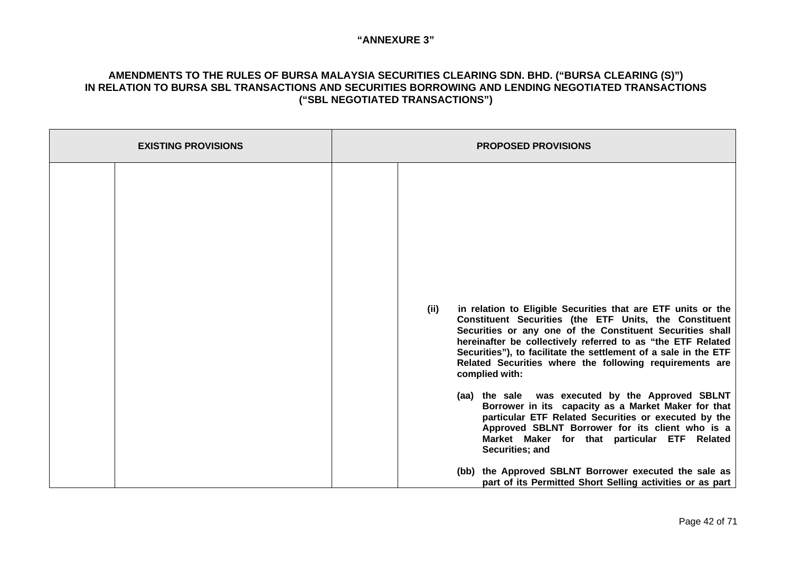| <b>EXISTING PROVISIONS</b> | <b>PROPOSED PROVISIONS</b>                                                                                                                                                                                                                                                                                                                                                                                                                                                                                                                                                                                                                                                                                                                                                                                                 |
|----------------------------|----------------------------------------------------------------------------------------------------------------------------------------------------------------------------------------------------------------------------------------------------------------------------------------------------------------------------------------------------------------------------------------------------------------------------------------------------------------------------------------------------------------------------------------------------------------------------------------------------------------------------------------------------------------------------------------------------------------------------------------------------------------------------------------------------------------------------|
|                            | in relation to Eligible Securities that are ETF units or the<br>(iii)<br>Constituent Securities (the ETF Units, the Constituent<br>Securities or any one of the Constituent Securities shall<br>hereinafter be collectively referred to as "the ETF Related<br>Securities"), to facilitate the settlement of a sale in the ETF<br>Related Securities where the following requirements are<br>complied with:<br>(aa) the sale was executed by the Approved SBLNT<br>Borrower in its capacity as a Market Maker for that<br>particular ETF Related Securities or executed by the<br>Approved SBLNT Borrower for its client who is a<br>Market Maker for that particular ETF Related<br>Securities; and<br>(bb) the Approved SBLNT Borrower executed the sale as<br>part of its Permitted Short Selling activities or as part |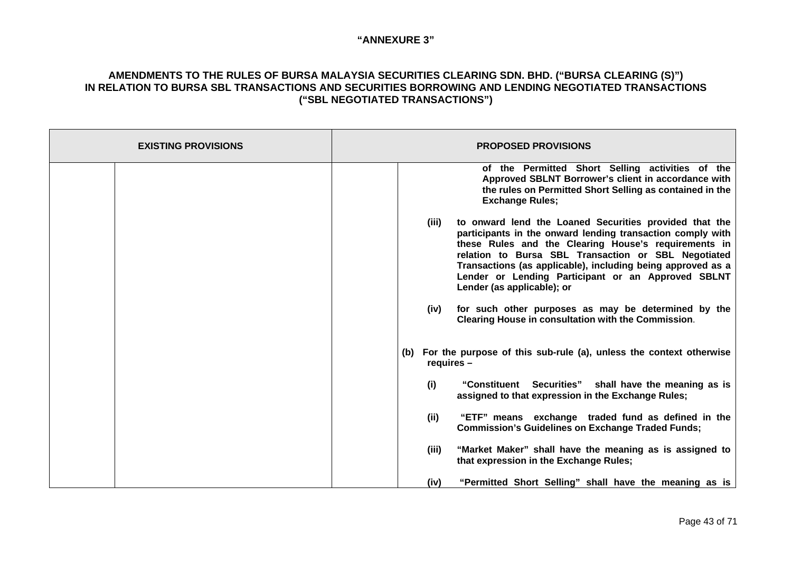| <b>EXISTING PROVISIONS</b> | <b>PROPOSED PROVISIONS</b>                                                                                                                                                                                                                                                                                                                                                                      |
|----------------------------|-------------------------------------------------------------------------------------------------------------------------------------------------------------------------------------------------------------------------------------------------------------------------------------------------------------------------------------------------------------------------------------------------|
|                            | of the Permitted Short Selling activities of the<br>Approved SBLNT Borrower's client in accordance with<br>the rules on Permitted Short Selling as contained in the<br><b>Exchange Rules;</b>                                                                                                                                                                                                   |
|                            | to onward lend the Loaned Securities provided that the<br>(iii)<br>participants in the onward lending transaction comply with<br>these Rules and the Clearing House's requirements in<br>relation to Bursa SBL Transaction or SBL Negotiated<br>Transactions (as applicable), including being approved as a<br>Lender or Lending Participant or an Approved SBLNT<br>Lender (as applicable); or |
|                            | for such other purposes as may be determined by the<br>(iv)<br>Clearing House in consultation with the Commission.                                                                                                                                                                                                                                                                              |
|                            | For the purpose of this sub-rule (a), unless the context otherwise<br>(b)<br>$requires -$                                                                                                                                                                                                                                                                                                       |
|                            | "Constituent Securities" shall have the meaning as is<br>(i)<br>assigned to that expression in the Exchange Rules;                                                                                                                                                                                                                                                                              |
|                            | (iii)<br>"ETF" means exchange traded fund as defined in the<br><b>Commission's Guidelines on Exchange Traded Funds;</b>                                                                                                                                                                                                                                                                         |
|                            | "Market Maker" shall have the meaning as is assigned to<br>(iii)<br>that expression in the Exchange Rules;                                                                                                                                                                                                                                                                                      |
|                            | "Permitted Short Selling" shall have the meaning as is<br>(iv)                                                                                                                                                                                                                                                                                                                                  |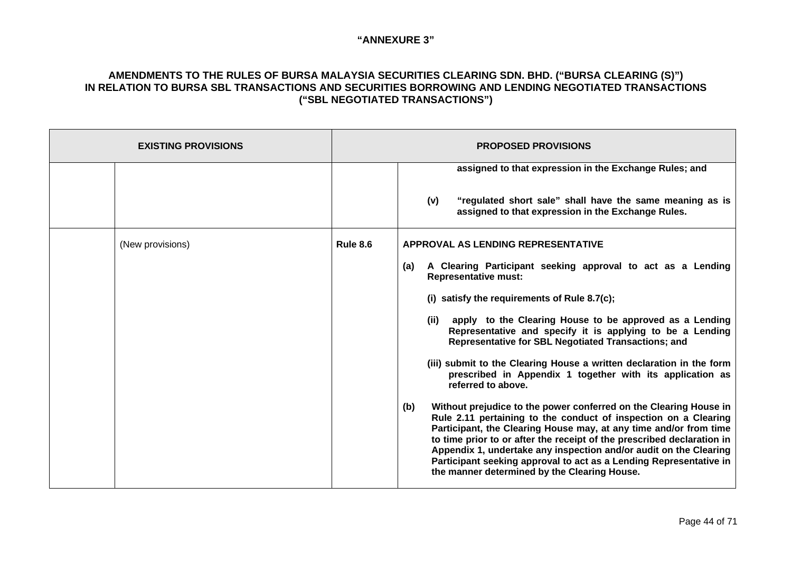| <b>EXISTING PROVISIONS</b> | <b>PROPOSED PROVISIONS</b> |                                                                                                                                                                                                                                                                                                                                                                                                                                                                                                                                                                                                                                                                                                                                                                                                                                                                                                                                                                                                                                           |
|----------------------------|----------------------------|-------------------------------------------------------------------------------------------------------------------------------------------------------------------------------------------------------------------------------------------------------------------------------------------------------------------------------------------------------------------------------------------------------------------------------------------------------------------------------------------------------------------------------------------------------------------------------------------------------------------------------------------------------------------------------------------------------------------------------------------------------------------------------------------------------------------------------------------------------------------------------------------------------------------------------------------------------------------------------------------------------------------------------------------|
|                            |                            | assigned to that expression in the Exchange Rules; and<br>"regulated short sale" shall have the same meaning as is<br>(v)<br>assigned to that expression in the Exchange Rules.                                                                                                                                                                                                                                                                                                                                                                                                                                                                                                                                                                                                                                                                                                                                                                                                                                                           |
| (New provisions)           | <b>Rule 8.6</b>            | APPROVAL AS LENDING REPRESENTATIVE<br>A Clearing Participant seeking approval to act as a Lending<br>(a)<br><b>Representative must:</b><br>(i) satisfy the requirements of Rule 8.7(c);<br>apply to the Clearing House to be approved as a Lending<br>(ii)<br>Representative and specify it is applying to be a Lending<br><b>Representative for SBL Negotiated Transactions; and</b><br>(iii) submit to the Clearing House a written declaration in the form<br>prescribed in Appendix 1 together with its application as<br>referred to above.<br>Without prejudice to the power conferred on the Clearing House in<br>(b)<br>Rule 2.11 pertaining to the conduct of inspection on a Clearing<br>Participant, the Clearing House may, at any time and/or from time<br>to time prior to or after the receipt of the prescribed declaration in<br>Appendix 1, undertake any inspection and/or audit on the Clearing<br>Participant seeking approval to act as a Lending Representative in<br>the manner determined by the Clearing House. |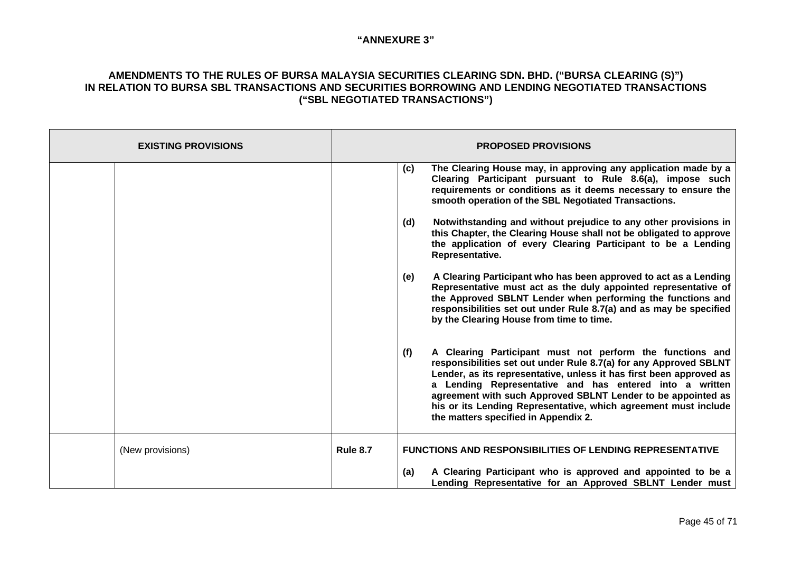| <b>EXISTING PROVISIONS</b> | <b>PROPOSED PROVISIONS</b>                                                                                                                                                                                                                                                                                                                                                                                                                         |  |
|----------------------------|----------------------------------------------------------------------------------------------------------------------------------------------------------------------------------------------------------------------------------------------------------------------------------------------------------------------------------------------------------------------------------------------------------------------------------------------------|--|
|                            | The Clearing House may, in approving any application made by a<br>(c)<br>Clearing Participant pursuant to Rule 8.6(a), impose such<br>requirements or conditions as it deems necessary to ensure the<br>smooth operation of the SBL Negotiated Transactions.                                                                                                                                                                                       |  |
|                            | (d)<br>Notwithstanding and without prejudice to any other provisions in<br>this Chapter, the Clearing House shall not be obligated to approve<br>the application of every Clearing Participant to be a Lending<br>Representative.                                                                                                                                                                                                                  |  |
|                            | A Clearing Participant who has been approved to act as a Lending<br>(e)<br>Representative must act as the duly appointed representative of<br>the Approved SBLNT Lender when performing the functions and<br>responsibilities set out under Rule 8.7(a) and as may be specified<br>by the Clearing House from time to time.                                                                                                                        |  |
|                            | (f)<br>A Clearing Participant must not perform the functions and<br>responsibilities set out under Rule 8.7(a) for any Approved SBLNT<br>Lender, as its representative, unless it has first been approved as<br>a Lending Representative and has entered into a written<br>agreement with such Approved SBLNT Lender to be appointed as<br>his or its Lending Representative, which agreement must include<br>the matters specified in Appendix 2. |  |
| (New provisions)           | <b>Rule 8.7</b><br><b>FUNCTIONS AND RESPONSIBILITIES OF LENDING REPRESENTATIVE</b>                                                                                                                                                                                                                                                                                                                                                                 |  |
|                            | A Clearing Participant who is approved and appointed to be a<br>(a)<br>Lending Representative for an Approved SBLNT Lender must                                                                                                                                                                                                                                                                                                                    |  |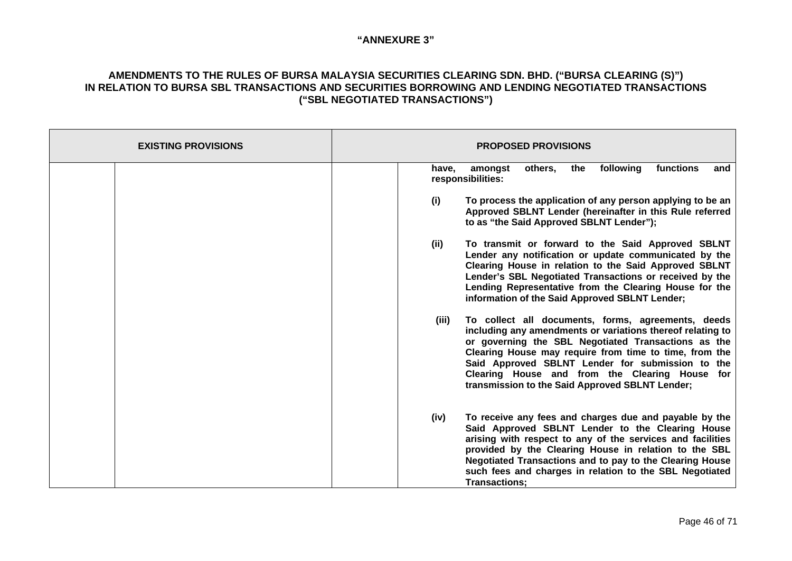| <b>EXISTING PROVISIONS</b> | <b>PROPOSED PROVISIONS</b>                                                                                                                                                                                                                                                                                                                                                                          |
|----------------------------|-----------------------------------------------------------------------------------------------------------------------------------------------------------------------------------------------------------------------------------------------------------------------------------------------------------------------------------------------------------------------------------------------------|
|                            | following<br>functions<br>amongst<br>others,<br>the<br>have.<br>and<br>responsibilities:                                                                                                                                                                                                                                                                                                            |
|                            | (i)<br>To process the application of any person applying to be an<br>Approved SBLNT Lender (hereinafter in this Rule referred<br>to as "the Said Approved SBLNT Lender");                                                                                                                                                                                                                           |
|                            | (i)<br>To transmit or forward to the Said Approved SBLNT<br>Lender any notification or update communicated by the<br>Clearing House in relation to the Said Approved SBLNT<br>Lender's SBL Negotiated Transactions or received by the<br>Lending Representative from the Clearing House for the<br>information of the Said Approved SBLNT Lender;                                                   |
|                            | To collect all documents, forms, agreements, deeds<br>(iii)<br>including any amendments or variations thereof relating to<br>or governing the SBL Negotiated Transactions as the<br>Clearing House may require from time to time, from the<br>Said Approved SBLNT Lender for submission to the<br>Clearing House and from the Clearing House for<br>transmission to the Said Approved SBLNT Lender; |
|                            | (iv)<br>To receive any fees and charges due and payable by the<br>Said Approved SBLNT Lender to the Clearing House<br>arising with respect to any of the services and facilities<br>provided by the Clearing House in relation to the SBL<br>Negotiated Transactions and to pay to the Clearing House<br>such fees and charges in relation to the SBL Negotiated<br>Transactions;                   |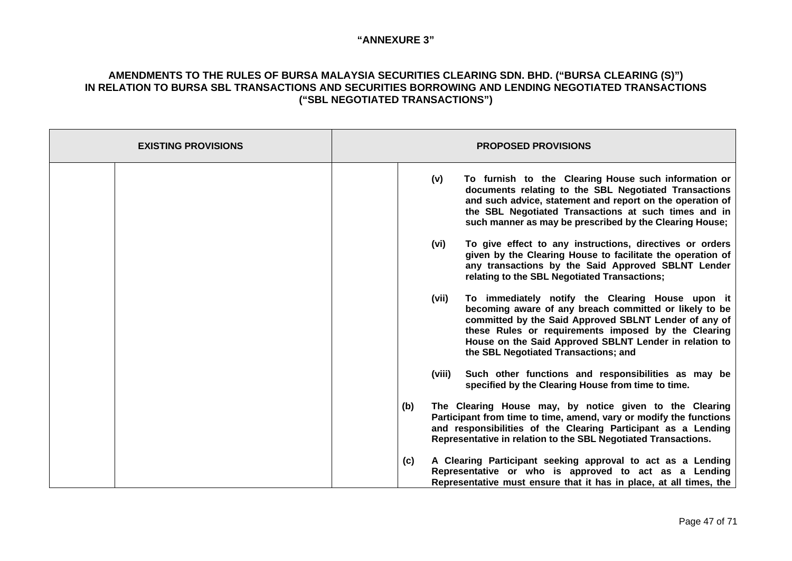| <b>EXISTING PROVISIONS</b> | <b>PROPOSED PROVISIONS</b>                                                                                                                                                                                                                                                                                                            |
|----------------------------|---------------------------------------------------------------------------------------------------------------------------------------------------------------------------------------------------------------------------------------------------------------------------------------------------------------------------------------|
|                            | To furnish to the Clearing House such information or<br>(v)<br>documents relating to the SBL Negotiated Transactions<br>and such advice, statement and report on the operation of<br>the SBL Negotiated Transactions at such times and in<br>such manner as may be prescribed by the Clearing House;                                  |
|                            | To give effect to any instructions, directives or orders<br>(vi)<br>given by the Clearing House to facilitate the operation of<br>any transactions by the Said Approved SBLNT Lender<br>relating to the SBL Negotiated Transactions;                                                                                                  |
|                            | To immediately notify the Clearing House upon it<br>(vii)<br>becoming aware of any breach committed or likely to be<br>committed by the Said Approved SBLNT Lender of any of<br>these Rules or requirements imposed by the Clearing<br>House on the Said Approved SBLNT Lender in relation to<br>the SBL Negotiated Transactions; and |
|                            | Such other functions and responsibilities as may be<br>(viii)<br>specified by the Clearing House from time to time.                                                                                                                                                                                                                   |
|                            | The Clearing House may, by notice given to the Clearing<br>(b)<br>Participant from time to time, amend, vary or modify the functions<br>and responsibilities of the Clearing Participant as a Lending<br>Representative in relation to the SBL Negotiated Transactions.                                                               |
|                            | A Clearing Participant seeking approval to act as a Lending<br>(c)<br>Representative or who is approved to act as a Lending<br>Representative must ensure that it has in place, at all times, the                                                                                                                                     |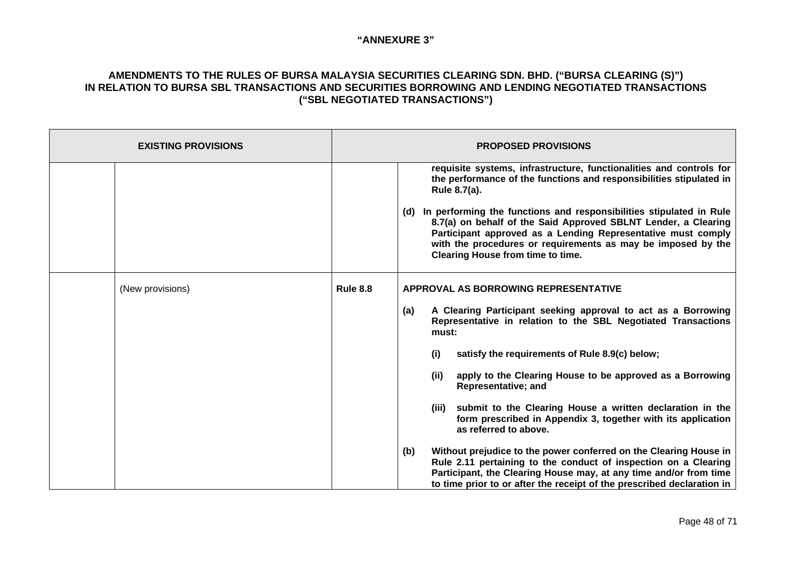| <b>EXISTING PROVISIONS</b> | <b>PROPOSED PROVISIONS</b>                                                                                                                                                                                                                                                                                                                                                                                                                                                                                                                                                                                                                                                                                                                                                                                                         |  |
|----------------------------|------------------------------------------------------------------------------------------------------------------------------------------------------------------------------------------------------------------------------------------------------------------------------------------------------------------------------------------------------------------------------------------------------------------------------------------------------------------------------------------------------------------------------------------------------------------------------------------------------------------------------------------------------------------------------------------------------------------------------------------------------------------------------------------------------------------------------------|--|
|                            | requisite systems, infrastructure, functionalities and controls for<br>the performance of the functions and responsibilities stipulated in<br>Rule 8.7(a).<br>(d) In performing the functions and responsibilities stipulated in Rule<br>8.7(a) on behalf of the Said Approved SBLNT Lender, a Clearing<br>Participant approved as a Lending Representative must comply<br>with the procedures or requirements as may be imposed by the<br>Clearing House from time to time.                                                                                                                                                                                                                                                                                                                                                       |  |
| (New provisions)           | <b>Rule 8.8</b><br>APPROVAL AS BORROWING REPRESENTATIVE<br>A Clearing Participant seeking approval to act as a Borrowing<br>(a)<br>Representative in relation to the SBL Negotiated Transactions<br>must:<br>satisfy the requirements of Rule 8.9(c) below;<br>(i)<br>apply to the Clearing House to be approved as a Borrowing<br>(ii)<br><b>Representative; and</b><br>submit to the Clearing House a written declaration in the<br>(iii)<br>form prescribed in Appendix 3, together with its application<br>as referred to above.<br>Without prejudice to the power conferred on the Clearing House in<br>(b)<br>Rule 2.11 pertaining to the conduct of inspection on a Clearing<br>Participant, the Clearing House may, at any time and/or from time<br>to time prior to or after the receipt of the prescribed declaration in |  |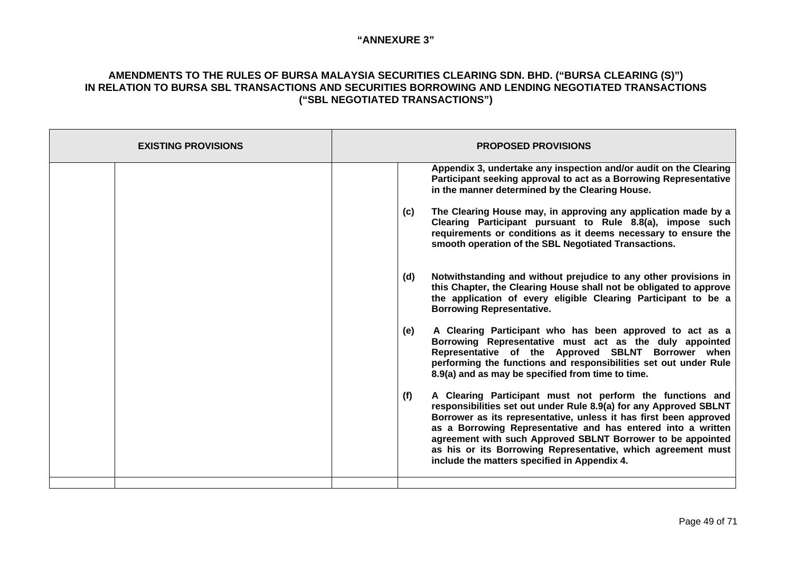| <b>EXISTING PROVISIONS</b> | <b>PROPOSED PROVISIONS</b>                                                                                                                                                                                                                                                                                                                                                                                                                                |
|----------------------------|-----------------------------------------------------------------------------------------------------------------------------------------------------------------------------------------------------------------------------------------------------------------------------------------------------------------------------------------------------------------------------------------------------------------------------------------------------------|
|                            | Appendix 3, undertake any inspection and/or audit on the Clearing<br>Participant seeking approval to act as a Borrowing Representative<br>in the manner determined by the Clearing House.                                                                                                                                                                                                                                                                 |
|                            | The Clearing House may, in approving any application made by a<br>(c)<br>Clearing Participant pursuant to Rule 8.8(a), impose such<br>requirements or conditions as it deems necessary to ensure the<br>smooth operation of the SBL Negotiated Transactions.                                                                                                                                                                                              |
|                            | Notwithstanding and without prejudice to any other provisions in<br>(d)<br>this Chapter, the Clearing House shall not be obligated to approve<br>the application of every eligible Clearing Participant to be a<br><b>Borrowing Representative.</b>                                                                                                                                                                                                       |
|                            | A Clearing Participant who has been approved to act as a<br>(e)<br>Borrowing Representative must act as the duly appointed<br>Representative of the Approved SBLNT Borrower when<br>performing the functions and responsibilities set out under Rule<br>8.9(a) and as may be specified from time to time.                                                                                                                                                 |
|                            | (f)<br>A Clearing Participant must not perform the functions and<br>responsibilities set out under Rule 8.9(a) for any Approved SBLNT<br>Borrower as its representative, unless it has first been approved<br>as a Borrowing Representative and has entered into a written<br>agreement with such Approved SBLNT Borrower to be appointed<br>as his or its Borrowing Representative, which agreement must<br>include the matters specified in Appendix 4. |
|                            |                                                                                                                                                                                                                                                                                                                                                                                                                                                           |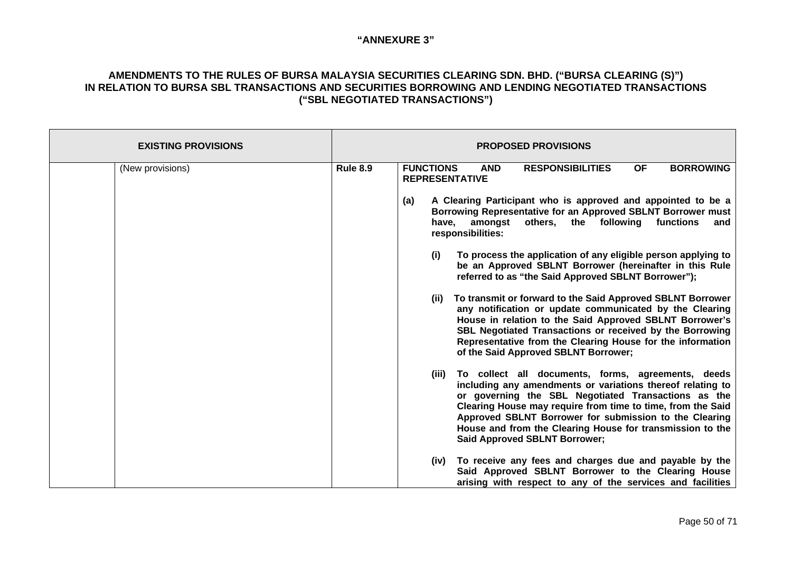| <b>EXISTING PROVISIONS</b> | <b>PROPOSED PROVISIONS</b>                                                                                                                                                                                                                                                                                                                                                                                     |
|----------------------------|----------------------------------------------------------------------------------------------------------------------------------------------------------------------------------------------------------------------------------------------------------------------------------------------------------------------------------------------------------------------------------------------------------------|
| (New provisions)           | <b>FUNCTIONS</b><br><b>BORROWING</b><br><b>Rule 8.9</b><br><b>AND</b><br><b>RESPONSIBILITIES</b><br><b>OF</b><br><b>REPRESENTATIVE</b>                                                                                                                                                                                                                                                                         |
|                            | A Clearing Participant who is approved and appointed to be a<br>(a)<br>Borrowing Representative for an Approved SBLNT Borrower must<br>others, the following<br>amongst<br>functions<br>have,<br>and<br>responsibilities:                                                                                                                                                                                      |
|                            | To process the application of any eligible person applying to<br>(i)<br>be an Approved SBLNT Borrower (hereinafter in this Rule<br>referred to as "the Said Approved SBLNT Borrower");                                                                                                                                                                                                                         |
|                            | To transmit or forward to the Said Approved SBLNT Borrower<br>(ii)<br>any notification or update communicated by the Clearing<br>House in relation to the Said Approved SBLNT Borrower's<br>SBL Negotiated Transactions or received by the Borrowing<br>Representative from the Clearing House for the information<br>of the Said Approved SBLNT Borrower;                                                     |
|                            | To collect all documents, forms, agreements, deeds<br>(iii)<br>including any amendments or variations thereof relating to<br>or governing the SBL Negotiated Transactions as the<br>Clearing House may require from time to time, from the Said<br>Approved SBLNT Borrower for submission to the Clearing<br>House and from the Clearing House for transmission to the<br><b>Said Approved SBLNT Borrower;</b> |
|                            | To receive any fees and charges due and payable by the<br>(iv)<br>Said Approved SBLNT Borrower to the Clearing House<br>arising with respect to any of the services and facilities                                                                                                                                                                                                                             |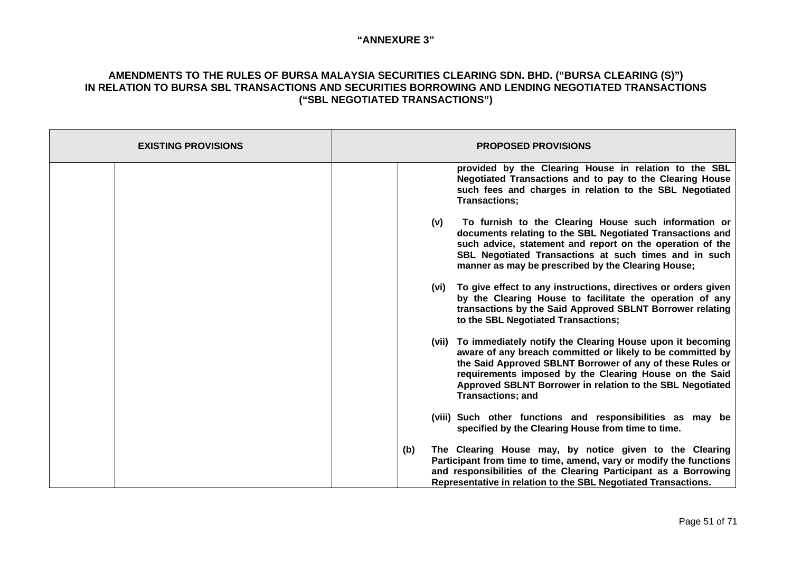| <b>EXISTING PROVISIONS</b> | <b>PROPOSED PROVISIONS</b>                                                                                                                                                                                                                                                                                                                    |
|----------------------------|-----------------------------------------------------------------------------------------------------------------------------------------------------------------------------------------------------------------------------------------------------------------------------------------------------------------------------------------------|
|                            | provided by the Clearing House in relation to the SBL<br>Negotiated Transactions and to pay to the Clearing House<br>such fees and charges in relation to the SBL Negotiated<br><b>Transactions;</b>                                                                                                                                          |
|                            | To furnish to the Clearing House such information or<br>(v)<br>documents relating to the SBL Negotiated Transactions and<br>such advice, statement and report on the operation of the<br>SBL Negotiated Transactions at such times and in such<br>manner as may be prescribed by the Clearing House;                                          |
|                            | (vi) To give effect to any instructions, directives or orders given<br>by the Clearing House to facilitate the operation of any<br>transactions by the Said Approved SBLNT Borrower relating<br>to the SBL Negotiated Transactions;                                                                                                           |
|                            | (vii) To immediately notify the Clearing House upon it becoming<br>aware of any breach committed or likely to be committed by<br>the Said Approved SBLNT Borrower of any of these Rules or<br>requirements imposed by the Clearing House on the Said<br>Approved SBLNT Borrower in relation to the SBL Negotiated<br><b>Transactions; and</b> |
|                            | (viii) Such other functions and responsibilities as may be<br>specified by the Clearing House from time to time.                                                                                                                                                                                                                              |
|                            | The Clearing House may, by notice given to the Clearing<br>(b)<br>Participant from time to time, amend, vary or modify the functions<br>and responsibilities of the Clearing Participant as a Borrowing<br>Representative in relation to the SBL Negotiated Transactions.                                                                     |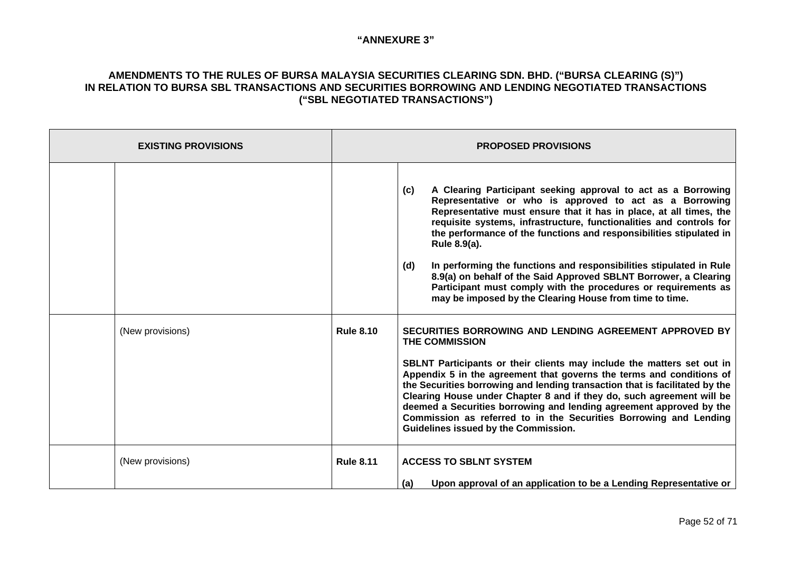| <b>EXISTING PROVISIONS</b> | <b>PROPOSED PROVISIONS</b> |                                                                                                                                                                                                                                                                                                                                                                                                                                                                                                                                                                                                                                                    |
|----------------------------|----------------------------|----------------------------------------------------------------------------------------------------------------------------------------------------------------------------------------------------------------------------------------------------------------------------------------------------------------------------------------------------------------------------------------------------------------------------------------------------------------------------------------------------------------------------------------------------------------------------------------------------------------------------------------------------|
|                            |                            | A Clearing Participant seeking approval to act as a Borrowing<br>(c)<br>Representative or who is approved to act as a Borrowing<br>Representative must ensure that it has in place, at all times, the<br>requisite systems, infrastructure, functionalities and controls for<br>the performance of the functions and responsibilities stipulated in<br>Rule 8.9(a).<br>In performing the functions and responsibilities stipulated in Rule<br>(d)<br>8.9(a) on behalf of the Said Approved SBLNT Borrower, a Clearing<br>Participant must comply with the procedures or requirements as<br>may be imposed by the Clearing House from time to time. |
| (New provisions)           | <b>Rule 8.10</b>           | SECURITIES BORROWING AND LENDING AGREEMENT APPROVED BY<br><b>THE COMMISSION</b><br>SBLNT Participants or their clients may include the matters set out in<br>Appendix 5 in the agreement that governs the terms and conditions of<br>the Securities borrowing and lending transaction that is facilitated by the<br>Clearing House under Chapter 8 and if they do, such agreement will be<br>deemed a Securities borrowing and lending agreement approved by the<br>Commission as referred to in the Securities Borrowing and Lending<br>Guidelines issued by the Commission.                                                                      |
| (New provisions)           | <b>Rule 8.11</b>           | <b>ACCESS TO SBLNT SYSTEM</b><br>Upon approval of an application to be a Lending Representative or<br>(a)                                                                                                                                                                                                                                                                                                                                                                                                                                                                                                                                          |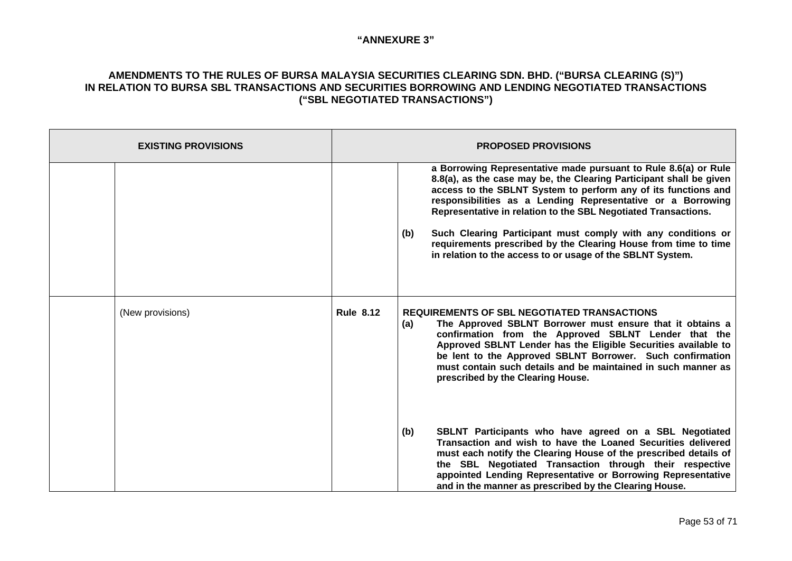| <b>EXISTING PROVISIONS</b> | <b>PROPOSED PROVISIONS</b> |                                                                                                                                                                                                                                                                                                                                                                                                                                                                                                                                                   |
|----------------------------|----------------------------|---------------------------------------------------------------------------------------------------------------------------------------------------------------------------------------------------------------------------------------------------------------------------------------------------------------------------------------------------------------------------------------------------------------------------------------------------------------------------------------------------------------------------------------------------|
|                            |                            | a Borrowing Representative made pursuant to Rule 8.6(a) or Rule<br>8.8(a), as the case may be, the Clearing Participant shall be given<br>access to the SBLNT System to perform any of its functions and<br>responsibilities as a Lending Representative or a Borrowing<br>Representative in relation to the SBL Negotiated Transactions.<br>Such Clearing Participant must comply with any conditions or<br>(b)<br>requirements prescribed by the Clearing House from time to time<br>in relation to the access to or usage of the SBLNT System. |
| (New provisions)           | <b>Rule 8.12</b>           | <b>REQUIREMENTS OF SBL NEGOTIATED TRANSACTIONS</b><br>The Approved SBLNT Borrower must ensure that it obtains a<br>(a)<br>confirmation from the Approved SBLNT Lender that the<br>Approved SBLNT Lender has the Eligible Securities available to<br>be lent to the Approved SBLNT Borrower. Such confirmation<br>must contain such details and be maintained in such manner as<br>prescribed by the Clearing House.                                                                                                                               |
|                            |                            | SBLNT Participants who have agreed on a SBL Negotiated<br>(b)<br>Transaction and wish to have the Loaned Securities delivered<br>must each notify the Clearing House of the prescribed details of<br>the SBL Negotiated Transaction through their respective<br>appointed Lending Representative or Borrowing Representative<br>and in the manner as prescribed by the Clearing House.                                                                                                                                                            |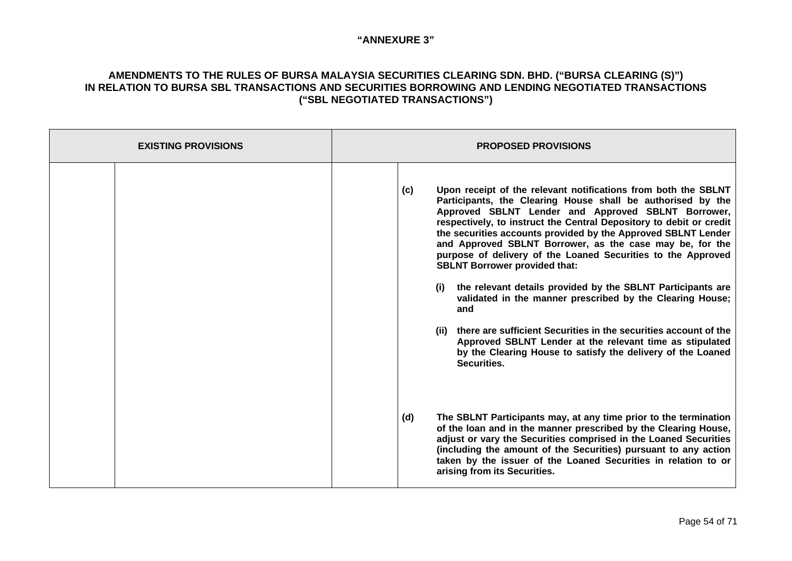| <b>EXISTING PROVISIONS</b> | <b>PROPOSED PROVISIONS</b>                                                                                                                                                                                                                                                                                                                                                                                                                                                                                                                                                                                                                                                                                                                                                                                                                                          |  |
|----------------------------|---------------------------------------------------------------------------------------------------------------------------------------------------------------------------------------------------------------------------------------------------------------------------------------------------------------------------------------------------------------------------------------------------------------------------------------------------------------------------------------------------------------------------------------------------------------------------------------------------------------------------------------------------------------------------------------------------------------------------------------------------------------------------------------------------------------------------------------------------------------------|--|
|                            | Upon receipt of the relevant notifications from both the SBLNT<br>(c)<br>Participants, the Clearing House shall be authorised by the<br>Approved SBLNT Lender and Approved SBLNT Borrower,<br>respectively, to instruct the Central Depository to debit or credit<br>the securities accounts provided by the Approved SBLNT Lender<br>and Approved SBLNT Borrower, as the case may be, for the<br>purpose of delivery of the Loaned Securities to the Approved<br><b>SBLNT Borrower provided that:</b><br>the relevant details provided by the SBLNT Participants are<br>(i)<br>validated in the manner prescribed by the Clearing House;<br>and<br>(ii) there are sufficient Securities in the securities account of the<br>Approved SBLNT Lender at the relevant time as stipulated<br>by the Clearing House to satisfy the delivery of the Loaned<br>Securities. |  |
|                            | The SBLNT Participants may, at any time prior to the termination<br>(d)<br>of the loan and in the manner prescribed by the Clearing House,<br>adjust or vary the Securities comprised in the Loaned Securities<br>(including the amount of the Securities) pursuant to any action<br>taken by the issuer of the Loaned Securities in relation to or<br>arising from its Securities.                                                                                                                                                                                                                                                                                                                                                                                                                                                                                 |  |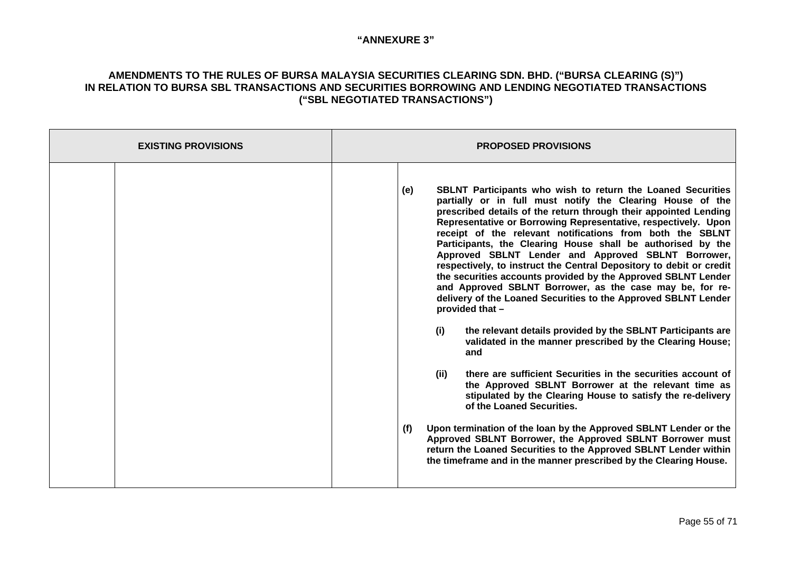| <b>EXISTING PROVISIONS</b> | <b>PROPOSED PROVISIONS</b>                                                                                                                                                                                                                                                                                                                                                                                                                                                                                                                                                                                                                                                                                                                                                                                                                                                                                                                                                                                                                                                                                                                                                                                                                                                                                                                                                                                     |  |
|----------------------------|----------------------------------------------------------------------------------------------------------------------------------------------------------------------------------------------------------------------------------------------------------------------------------------------------------------------------------------------------------------------------------------------------------------------------------------------------------------------------------------------------------------------------------------------------------------------------------------------------------------------------------------------------------------------------------------------------------------------------------------------------------------------------------------------------------------------------------------------------------------------------------------------------------------------------------------------------------------------------------------------------------------------------------------------------------------------------------------------------------------------------------------------------------------------------------------------------------------------------------------------------------------------------------------------------------------------------------------------------------------------------------------------------------------|--|
|                            | <b>SBLNT Participants who wish to return the Loaned Securities</b><br>(e)<br>partially or in full must notify the Clearing House of the<br>prescribed details of the return through their appointed Lending<br>Representative or Borrowing Representative, respectively. Upon<br>receipt of the relevant notifications from both the SBLNT<br>Participants, the Clearing House shall be authorised by the<br>Approved SBLNT Lender and Approved SBLNT Borrower,<br>respectively, to instruct the Central Depository to debit or credit<br>the securities accounts provided by the Approved SBLNT Lender<br>and Approved SBLNT Borrower, as the case may be, for re-<br>delivery of the Loaned Securities to the Approved SBLNT Lender<br>provided that -<br>(i)<br>the relevant details provided by the SBLNT Participants are<br>validated in the manner prescribed by the Clearing House;<br>and<br>(ii)<br>there are sufficient Securities in the securities account of<br>the Approved SBLNT Borrower at the relevant time as<br>stipulated by the Clearing House to satisfy the re-delivery<br>of the Loaned Securities.<br>Upon termination of the loan by the Approved SBLNT Lender or the<br>(f)<br>Approved SBLNT Borrower, the Approved SBLNT Borrower must<br>return the Loaned Securities to the Approved SBLNT Lender within<br>the timeframe and in the manner prescribed by the Clearing House. |  |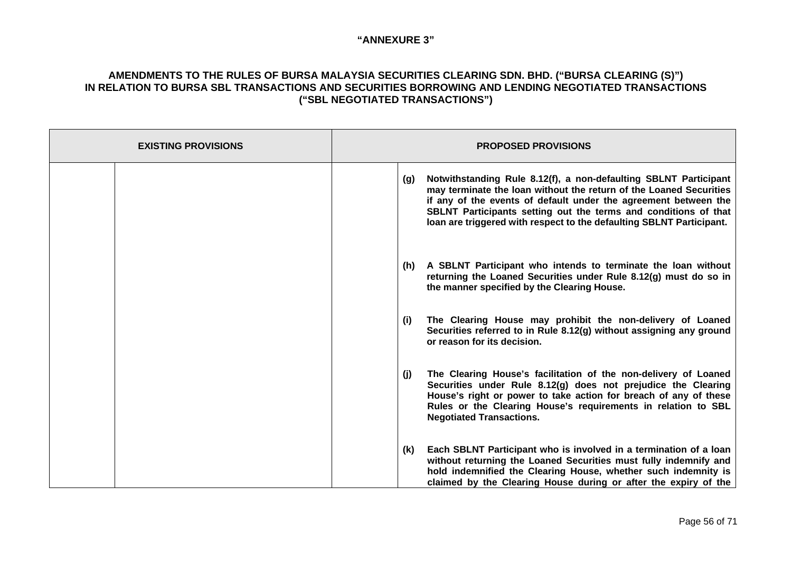| <b>EXISTING PROVISIONS</b> | <b>PROPOSED PROVISIONS</b>                                                                                                                                                                                                                                                                                                                                  |
|----------------------------|-------------------------------------------------------------------------------------------------------------------------------------------------------------------------------------------------------------------------------------------------------------------------------------------------------------------------------------------------------------|
|                            | Notwithstanding Rule 8.12(f), a non-defaulting SBLNT Participant<br>(g)<br>may terminate the loan without the return of the Loaned Securities<br>if any of the events of default under the agreement between the<br>SBLNT Participants setting out the terms and conditions of that<br>loan are triggered with respect to the defaulting SBLNT Participant. |
|                            | A SBLNT Participant who intends to terminate the loan without<br>(h)<br>returning the Loaned Securities under Rule 8.12(g) must do so in<br>the manner specified by the Clearing House.                                                                                                                                                                     |
|                            | The Clearing House may prohibit the non-delivery of Loaned<br>(i)<br>Securities referred to in Rule 8.12(g) without assigning any ground<br>or reason for its decision.                                                                                                                                                                                     |
|                            | The Clearing House's facilitation of the non-delivery of Loaned<br>(j)<br>Securities under Rule 8.12(g) does not prejudice the Clearing<br>House's right or power to take action for breach of any of these<br>Rules or the Clearing House's requirements in relation to SBL<br><b>Negotiated Transactions.</b>                                             |
|                            | Each SBLNT Participant who is involved in a termination of a loan<br>(k)<br>without returning the Loaned Securities must fully indemnify and<br>hold indemnified the Clearing House, whether such indemnity is<br>claimed by the Clearing House during or after the expiry of the                                                                           |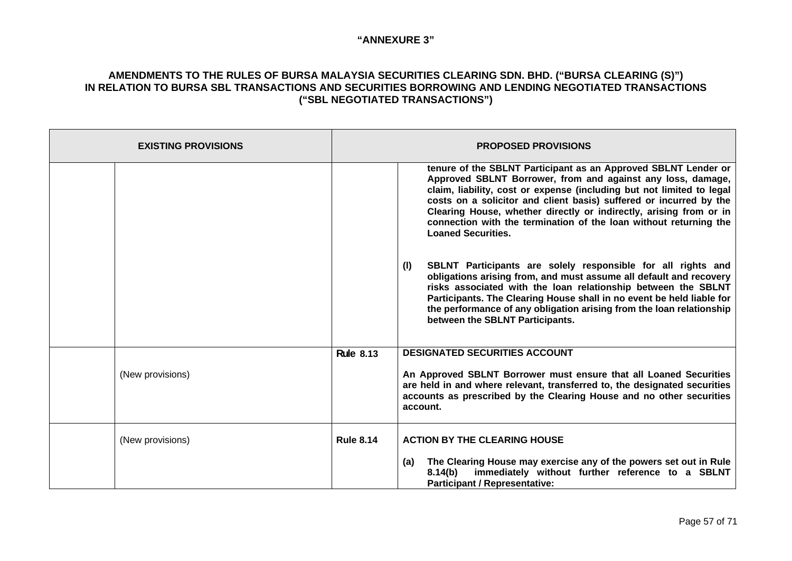| <b>EXISTING PROVISIONS</b> | <b>PROPOSED PROVISIONS</b> |                                                                                                                                                                                                                                                                                                                                                                                                                                                      |
|----------------------------|----------------------------|------------------------------------------------------------------------------------------------------------------------------------------------------------------------------------------------------------------------------------------------------------------------------------------------------------------------------------------------------------------------------------------------------------------------------------------------------|
|                            |                            | tenure of the SBLNT Participant as an Approved SBLNT Lender or<br>Approved SBLNT Borrower, from and against any loss, damage,<br>claim, liability, cost or expense (including but not limited to legal<br>costs on a solicitor and client basis) suffered or incurred by the<br>Clearing House, whether directly or indirectly, arising from or in<br>connection with the termination of the loan without returning the<br><b>Loaned Securities.</b> |
|                            |                            | SBLNT Participants are solely responsible for all rights and<br>(1)<br>obligations arising from, and must assume all default and recovery<br>risks associated with the loan relationship between the SBLNT<br>Participants. The Clearing House shall in no event be held liable for<br>the performance of any obligation arising from the loan relationship<br>between the SBLNT Participants.                                                       |
|                            | <b>Rule 8.13</b>           | <b>DESIGNATED SECURITIES ACCOUNT</b>                                                                                                                                                                                                                                                                                                                                                                                                                 |
| (New provisions)           |                            | An Approved SBLNT Borrower must ensure that all Loaned Securities<br>are held in and where relevant, transferred to, the designated securities<br>accounts as prescribed by the Clearing House and no other securities<br>account.                                                                                                                                                                                                                   |
| (New provisions)           | <b>Rule 8.14</b>           | <b>ACTION BY THE CLEARING HOUSE</b><br>The Clearing House may exercise any of the powers set out in Rule<br>(a)<br>immediately without further reference to a SBLNT<br>8.14(b)                                                                                                                                                                                                                                                                       |
|                            |                            | <b>Participant / Representative:</b>                                                                                                                                                                                                                                                                                                                                                                                                                 |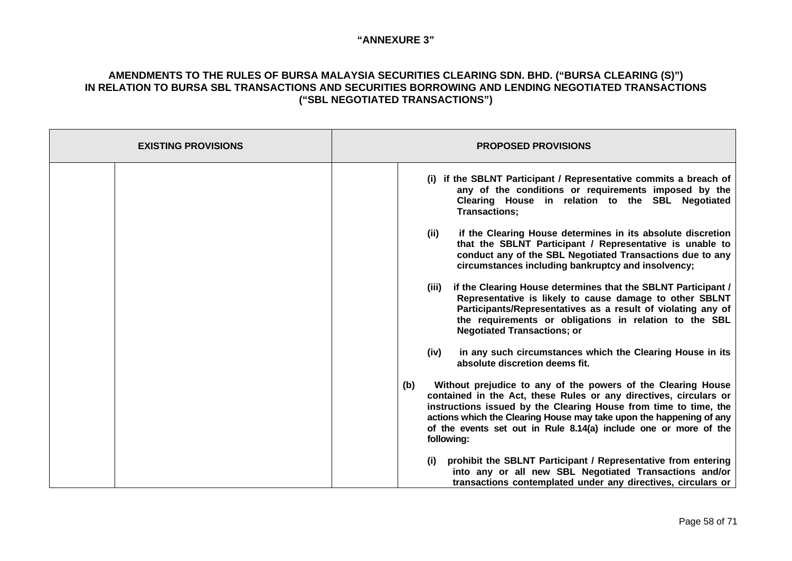| <b>EXISTING PROVISIONS</b> | <b>PROPOSED PROVISIONS</b>                                                                                                                                                                                                                                                                                                                                                                                                                                                                                                                                                                                                                                                                                                                                                                                                                                                                                                                                                                                                                                                                                                                                                                                                                                                                                        |
|----------------------------|-------------------------------------------------------------------------------------------------------------------------------------------------------------------------------------------------------------------------------------------------------------------------------------------------------------------------------------------------------------------------------------------------------------------------------------------------------------------------------------------------------------------------------------------------------------------------------------------------------------------------------------------------------------------------------------------------------------------------------------------------------------------------------------------------------------------------------------------------------------------------------------------------------------------------------------------------------------------------------------------------------------------------------------------------------------------------------------------------------------------------------------------------------------------------------------------------------------------------------------------------------------------------------------------------------------------|
|                            | (i) if the SBLNT Participant / Representative commits a breach of<br>any of the conditions or requirements imposed by the<br>Clearing House in relation to the SBL Negotiated<br>Transactions;<br>if the Clearing House determines in its absolute discretion<br>(ii)<br>that the SBLNT Participant / Representative is unable to<br>conduct any of the SBL Negotiated Transactions due to any<br>circumstances including bankruptcy and insolvency;<br>if the Clearing House determines that the SBLNT Participant /<br>(iii)<br>Representative is likely to cause damage to other SBLNT<br>Participants/Representatives as a result of violating any of<br>the requirements or obligations in relation to the SBL<br><b>Negotiated Transactions; or</b><br>in any such circumstances which the Clearing House in its<br>(iv)<br>absolute discretion deems fit.<br>Without prejudice to any of the powers of the Clearing House<br>(b)<br>contained in the Act, these Rules or any directives, circulars or<br>instructions issued by the Clearing House from time to time, the<br>actions which the Clearing House may take upon the happening of any<br>of the events set out in Rule 8.14(a) include one or more of the<br>following:<br>prohibit the SBLNT Participant / Representative from entering<br>(i) |
|                            | into any or all new SBL Negotiated Transactions and/or<br>transactions contemplated under any directives, circulars or                                                                                                                                                                                                                                                                                                                                                                                                                                                                                                                                                                                                                                                                                                                                                                                                                                                                                                                                                                                                                                                                                                                                                                                            |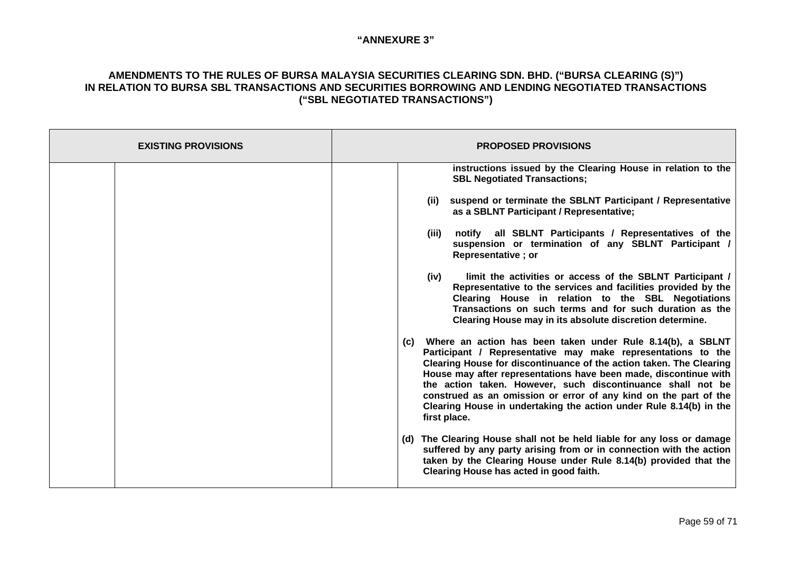| <b>EXISTING PROVISIONS</b> | <b>PROPOSED PROVISIONS</b>                                                                                                                                                                                                                                                                                                                                                                                                                                                                            |
|----------------------------|-------------------------------------------------------------------------------------------------------------------------------------------------------------------------------------------------------------------------------------------------------------------------------------------------------------------------------------------------------------------------------------------------------------------------------------------------------------------------------------------------------|
|                            | instructions issued by the Clearing House in relation to the<br><b>SBL Negotiated Transactions;</b>                                                                                                                                                                                                                                                                                                                                                                                                   |
|                            | suspend or terminate the SBLNT Participant / Representative<br>(ii)<br>as a SBLNT Participant / Representative;                                                                                                                                                                                                                                                                                                                                                                                       |
|                            | notify all SBLNT Participants / Representatives of the<br>(iii)<br>suspension or termination of any SBLNT Participant /<br><b>Representative</b> ; or                                                                                                                                                                                                                                                                                                                                                 |
|                            | limit the activities or access of the SBLNT Participant /<br>(iv)<br>Representative to the services and facilities provided by the<br>Clearing House in relation to the SBL Negotiations<br>Transactions on such terms and for such duration as the<br>Clearing House may in its absolute discretion determine.                                                                                                                                                                                       |
|                            | Where an action has been taken under Rule 8.14(b), a SBLNT<br>(C)<br>Participant / Representative may make representations to the<br>Clearing House for discontinuance of the action taken. The Clearing<br>House may after representations have been made, discontinue with<br>the action taken. However, such discontinuance shall not be<br>construed as an omission or error of any kind on the part of the<br>Clearing House in undertaking the action under Rule 8.14(b) in the<br>first place. |
|                            | (d) The Clearing House shall not be held liable for any loss or damage<br>suffered by any party arising from or in connection with the action<br>taken by the Clearing House under Rule 8.14(b) provided that the<br>Clearing House has acted in good faith.                                                                                                                                                                                                                                          |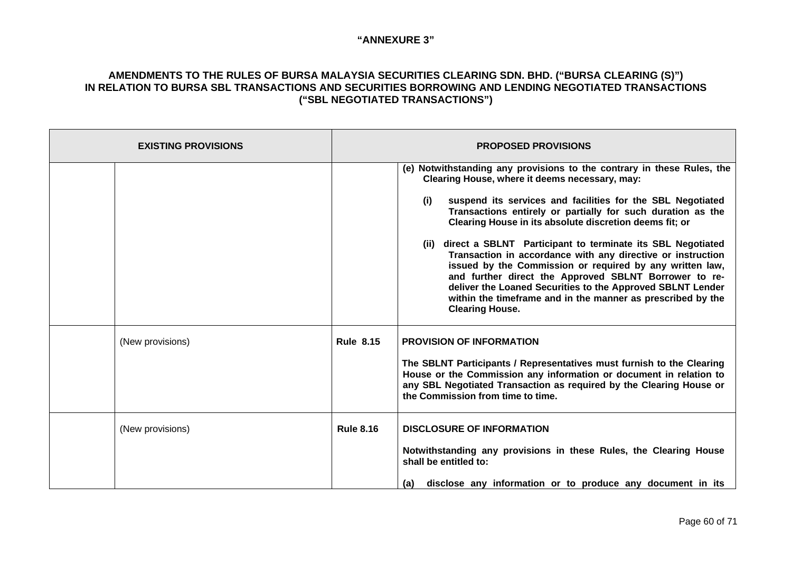| <b>EXISTING PROVISIONS</b> | <b>PROPOSED PROVISIONS</b> |                                                                                                                                                                                                                                                                                                                                                                                                                                                                                                                                                                                                                                                                                                                                       |
|----------------------------|----------------------------|---------------------------------------------------------------------------------------------------------------------------------------------------------------------------------------------------------------------------------------------------------------------------------------------------------------------------------------------------------------------------------------------------------------------------------------------------------------------------------------------------------------------------------------------------------------------------------------------------------------------------------------------------------------------------------------------------------------------------------------|
|                            |                            | (e) Notwithstanding any provisions to the contrary in these Rules, the<br>Clearing House, where it deems necessary, may:<br>suspend its services and facilities for the SBL Negotiated<br>(i)<br>Transactions entirely or partially for such duration as the<br>Clearing House in its absolute discretion deems fit; or<br>(ii) direct a SBLNT Participant to terminate its SBL Negotiated<br>Transaction in accordance with any directive or instruction<br>issued by the Commission or required by any written law,<br>and further direct the Approved SBLNT Borrower to re-<br>deliver the Loaned Securities to the Approved SBLNT Lender<br>within the timeframe and in the manner as prescribed by the<br><b>Clearing House.</b> |
| (New provisions)           | <b>Rule 8.15</b>           | <b>PROVISION OF INFORMATION</b><br>The SBLNT Participants / Representatives must furnish to the Clearing<br>House or the Commission any information or document in relation to<br>any SBL Negotiated Transaction as required by the Clearing House or<br>the Commission from time to time.                                                                                                                                                                                                                                                                                                                                                                                                                                            |
| (New provisions)           | <b>Rule 8.16</b>           | <b>DISCLOSURE OF INFORMATION</b><br>Notwithstanding any provisions in these Rules, the Clearing House<br>shall be entitled to:<br>disclose any information or to produce any document in its<br>(a)                                                                                                                                                                                                                                                                                                                                                                                                                                                                                                                                   |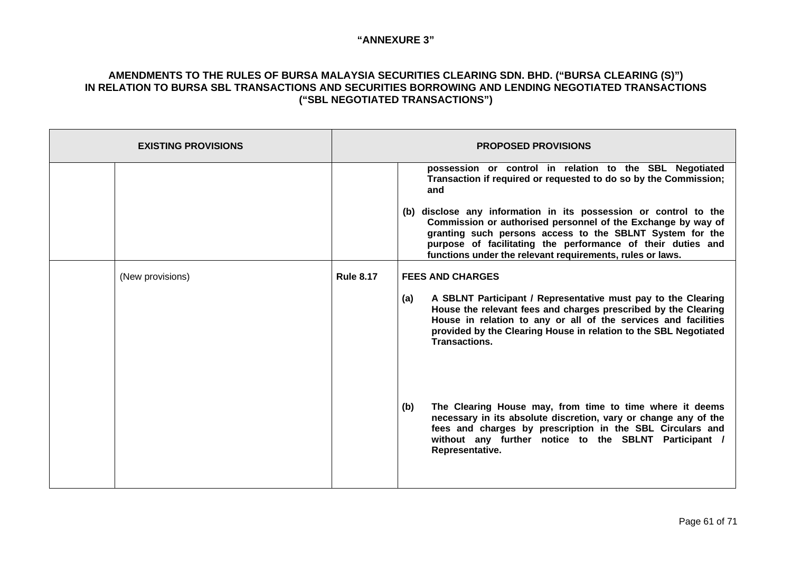| <b>EXISTING PROVISIONS</b> |                  | <b>PROPOSED PROVISIONS</b>                                                                                                                                                                                                                                                                                               |
|----------------------------|------------------|--------------------------------------------------------------------------------------------------------------------------------------------------------------------------------------------------------------------------------------------------------------------------------------------------------------------------|
|                            |                  | possession or control in relation to the SBL Negotiated<br>Transaction if required or requested to do so by the Commission;<br>and                                                                                                                                                                                       |
|                            |                  | (b) disclose any information in its possession or control to the<br>Commission or authorised personnel of the Exchange by way of<br>granting such persons access to the SBLNT System for the<br>purpose of facilitating the performance of their duties and<br>functions under the relevant requirements, rules or laws. |
| (New provisions)           | <b>Rule 8.17</b> | <b>FEES AND CHARGES</b>                                                                                                                                                                                                                                                                                                  |
|                            |                  | A SBLNT Participant / Representative must pay to the Clearing<br>(a)<br>House the relevant fees and charges prescribed by the Clearing<br>House in relation to any or all of the services and facilities<br>provided by the Clearing House in relation to the SBL Negotiated<br><b>Transactions.</b>                     |
|                            |                  | The Clearing House may, from time to time where it deems<br>(b)<br>necessary in its absolute discretion, vary or change any of the<br>fees and charges by prescription in the SBL Circulars and<br>without any further notice to the SBLNT Participant /<br>Representative.                                              |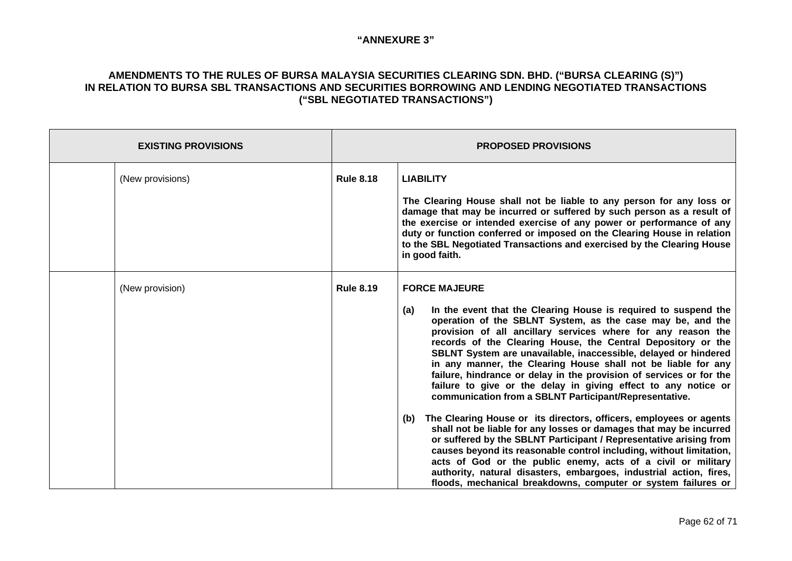| <b>EXISTING PROVISIONS</b> |                  | <b>PROPOSED PROVISIONS</b>                                                                                                                                                                                                                                                                                                                                                                                                                                                                                                                                                                                                                                                                                                                                                                                                                                                                                                                                                                                                                                                                                                                 |  |
|----------------------------|------------------|--------------------------------------------------------------------------------------------------------------------------------------------------------------------------------------------------------------------------------------------------------------------------------------------------------------------------------------------------------------------------------------------------------------------------------------------------------------------------------------------------------------------------------------------------------------------------------------------------------------------------------------------------------------------------------------------------------------------------------------------------------------------------------------------------------------------------------------------------------------------------------------------------------------------------------------------------------------------------------------------------------------------------------------------------------------------------------------------------------------------------------------------|--|
| (New provisions)           | <b>Rule 8.18</b> | <b>LIABILITY</b><br>The Clearing House shall not be liable to any person for any loss or<br>damage that may be incurred or suffered by such person as a result of<br>the exercise or intended exercise of any power or performance of any<br>duty or function conferred or imposed on the Clearing House in relation<br>to the SBL Negotiated Transactions and exercised by the Clearing House<br>in good faith.                                                                                                                                                                                                                                                                                                                                                                                                                                                                                                                                                                                                                                                                                                                           |  |
| (New provision)            | <b>Rule 8.19</b> | <b>FORCE MAJEURE</b><br>In the event that the Clearing House is required to suspend the<br>(a)<br>operation of the SBLNT System, as the case may be, and the<br>provision of all ancillary services where for any reason the<br>records of the Clearing House, the Central Depository or the<br>SBLNT System are unavailable, inaccessible, delayed or hindered<br>in any manner, the Clearing House shall not be liable for any<br>failure, hindrance or delay in the provision of services or for the<br>failure to give or the delay in giving effect to any notice or<br>communication from a SBLNT Participant/Representative.<br>The Clearing House or its directors, officers, employees or agents<br>(b)<br>shall not be liable for any losses or damages that may be incurred<br>or suffered by the SBLNT Participant / Representative arising from<br>causes beyond its reasonable control including, without limitation,<br>acts of God or the public enemy, acts of a civil or military<br>authority, natural disasters, embargoes, industrial action, fires,<br>floods, mechanical breakdowns, computer or system failures or |  |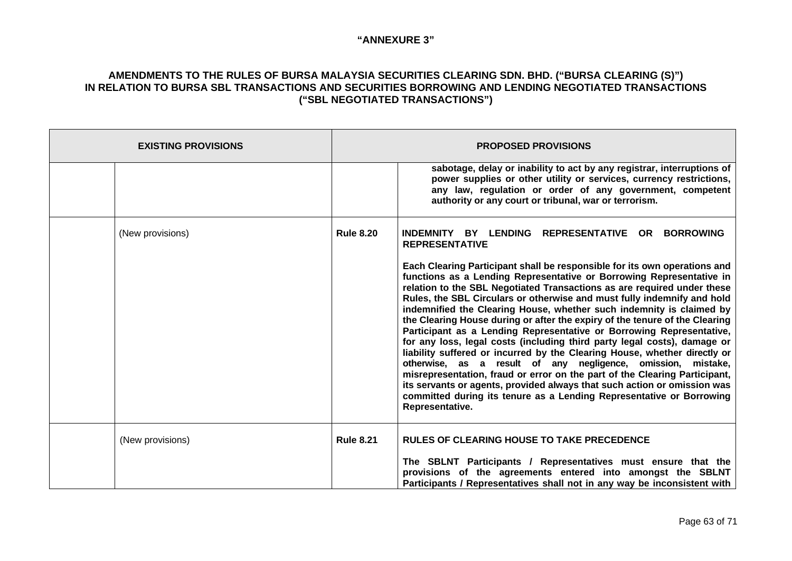| <b>EXISTING PROVISIONS</b> | <b>PROPOSED PROVISIONS</b> |                                                                                                                                                                                                                                                                                                                                                                                                                                                                                                                                                                                                                                                                                                                                                                                                                                                                                                                                                                                                                                                                                                                       |
|----------------------------|----------------------------|-----------------------------------------------------------------------------------------------------------------------------------------------------------------------------------------------------------------------------------------------------------------------------------------------------------------------------------------------------------------------------------------------------------------------------------------------------------------------------------------------------------------------------------------------------------------------------------------------------------------------------------------------------------------------------------------------------------------------------------------------------------------------------------------------------------------------------------------------------------------------------------------------------------------------------------------------------------------------------------------------------------------------------------------------------------------------------------------------------------------------|
|                            |                            | sabotage, delay or inability to act by any registrar, interruptions of<br>power supplies or other utility or services, currency restrictions,<br>any law, regulation or order of any government, competent<br>authority or any court or tribunal, war or terrorism.                                                                                                                                                                                                                                                                                                                                                                                                                                                                                                                                                                                                                                                                                                                                                                                                                                                   |
| (New provisions)           | <b>Rule 8.20</b>           | INDEMNITY BY LENDING<br><b>REPRESENTATIVE OR</b><br><b>BORROWING</b><br><b>REPRESENTATIVE</b><br>Each Clearing Participant shall be responsible for its own operations and<br>functions as a Lending Representative or Borrowing Representative in<br>relation to the SBL Negotiated Transactions as are required under these<br>Rules, the SBL Circulars or otherwise and must fully indemnify and hold<br>indemnified the Clearing House, whether such indemnity is claimed by<br>the Clearing House during or after the expiry of the tenure of the Clearing<br>Participant as a Lending Representative or Borrowing Representative,<br>for any loss, legal costs (including third party legal costs), damage or<br>liability suffered or incurred by the Clearing House, whether directly or<br>otherwise, as a result of any negligence, omission, mistake,<br>misrepresentation, fraud or error on the part of the Clearing Participant,<br>its servants or agents, provided always that such action or omission was<br>committed during its tenure as a Lending Representative or Borrowing<br>Representative. |
| (New provisions)           | <b>Rule 8.21</b>           | <b>RULES OF CLEARING HOUSE TO TAKE PRECEDENCE</b><br>The SBLNT Participants / Representatives must ensure that the<br>provisions of the agreements entered into amongst the SBLNT<br>Participants / Representatives shall not in any way be inconsistent with                                                                                                                                                                                                                                                                                                                                                                                                                                                                                                                                                                                                                                                                                                                                                                                                                                                         |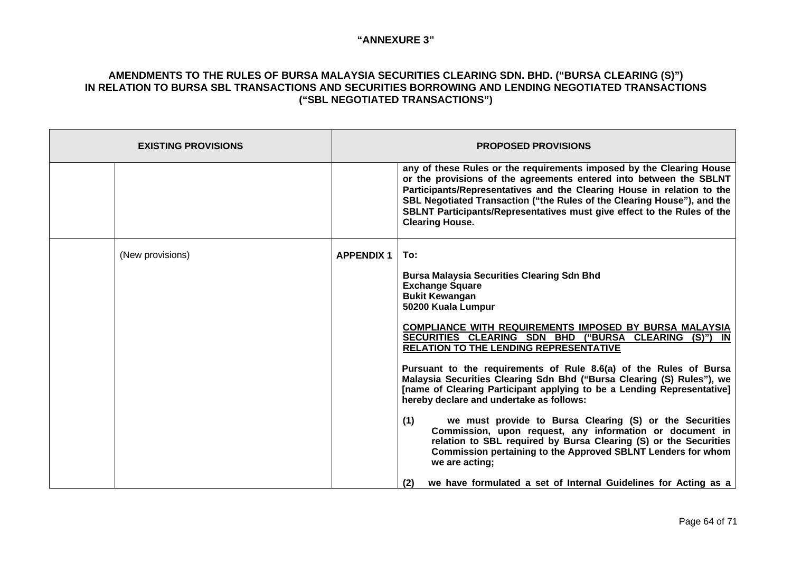| <b>EXISTING PROVISIONS</b> | <b>PROPOSED PROVISIONS</b> |                                                                                                                                                                                                                                                                                                                                                                                                      |
|----------------------------|----------------------------|------------------------------------------------------------------------------------------------------------------------------------------------------------------------------------------------------------------------------------------------------------------------------------------------------------------------------------------------------------------------------------------------------|
|                            |                            | any of these Rules or the requirements imposed by the Clearing House<br>or the provisions of the agreements entered into between the SBLNT<br>Participants/Representatives and the Clearing House in relation to the<br>SBL Negotiated Transaction ("the Rules of the Clearing House"), and the<br>SBLNT Participants/Representatives must give effect to the Rules of the<br><b>Clearing House.</b> |
| (New provisions)           | <b>APPENDIX 1</b>          | To:                                                                                                                                                                                                                                                                                                                                                                                                  |
|                            |                            | <b>Bursa Malaysia Securities Clearing Sdn Bhd</b><br><b>Exchange Square</b>                                                                                                                                                                                                                                                                                                                          |
|                            |                            | <b>Bukit Kewangan</b><br>50200 Kuala Lumpur                                                                                                                                                                                                                                                                                                                                                          |
|                            |                            | <b>COMPLIANCE WITH REQUIREMENTS IMPOSED BY BURSA MALAYSIA</b><br>SECURITIES CLEARING SDN BHD ("BURSA CLEARING (S)") IN<br><b>RELATION TO THE LENDING REPRESENTATIVE</b>                                                                                                                                                                                                                              |
|                            |                            | Pursuant to the requirements of Rule 8.6(a) of the Rules of Bursa<br>Malaysia Securities Clearing Sdn Bhd ("Bursa Clearing (S) Rules"), we<br>[name of Clearing Participant applying to be a Lending Representative]<br>hereby declare and undertake as follows:                                                                                                                                     |
|                            |                            | we must provide to Bursa Clearing (S) or the Securities<br>(1)<br>Commission, upon request, any information or document in<br>relation to SBL required by Bursa Clearing (S) or the Securities<br>Commission pertaining to the Approved SBLNT Lenders for whom<br>we are acting;                                                                                                                     |
|                            |                            | we have formulated a set of Internal Guidelines for Acting as a<br>(2)                                                                                                                                                                                                                                                                                                                               |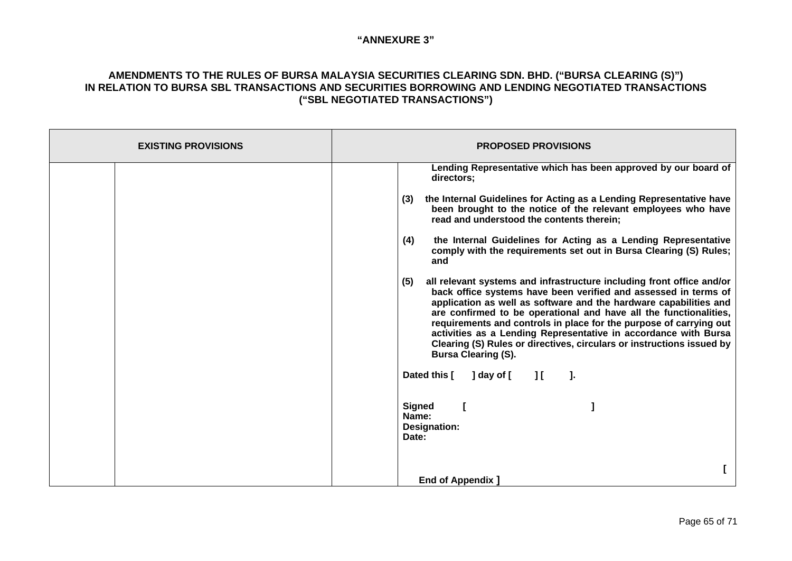| <b>EXISTING PROVISIONS</b> | <b>PROPOSED PROVISIONS</b>                                                                                                                                                                                                                                                                                                                                                                                                                                                                                                                                                                                                                                                                                                                                                                                                                                                                                                                                                 |
|----------------------------|----------------------------------------------------------------------------------------------------------------------------------------------------------------------------------------------------------------------------------------------------------------------------------------------------------------------------------------------------------------------------------------------------------------------------------------------------------------------------------------------------------------------------------------------------------------------------------------------------------------------------------------------------------------------------------------------------------------------------------------------------------------------------------------------------------------------------------------------------------------------------------------------------------------------------------------------------------------------------|
|                            | Lending Representative which has been approved by our board of<br>directors;<br>the Internal Guidelines for Acting as a Lending Representative have<br>(3)<br>been brought to the notice of the relevant employees who have<br>read and understood the contents therein;<br>(4)<br>the Internal Guidelines for Acting as a Lending Representative<br>comply with the requirements set out in Bursa Clearing (S) Rules;<br>and<br>all relevant systems and infrastructure including front office and/or<br>(5)<br>back office systems have been verified and assessed in terms of<br>application as well as software and the hardware capabilities and<br>are confirmed to be operational and have all the functionalities,<br>requirements and controls in place for the purpose of carrying out<br>activities as a Lending Representative in accordance with Bursa<br>Clearing (S) Rules or directives, circulars or instructions issued by<br><b>Bursa Clearing (S).</b> |
|                            | Dated this [<br>] day of [<br>$\Box$<br>- 1.                                                                                                                                                                                                                                                                                                                                                                                                                                                                                                                                                                                                                                                                                                                                                                                                                                                                                                                               |
|                            | <b>Signed</b><br>Name:<br>Designation:<br>Date:                                                                                                                                                                                                                                                                                                                                                                                                                                                                                                                                                                                                                                                                                                                                                                                                                                                                                                                            |
|                            | <b>End of Appendix</b>                                                                                                                                                                                                                                                                                                                                                                                                                                                                                                                                                                                                                                                                                                                                                                                                                                                                                                                                                     |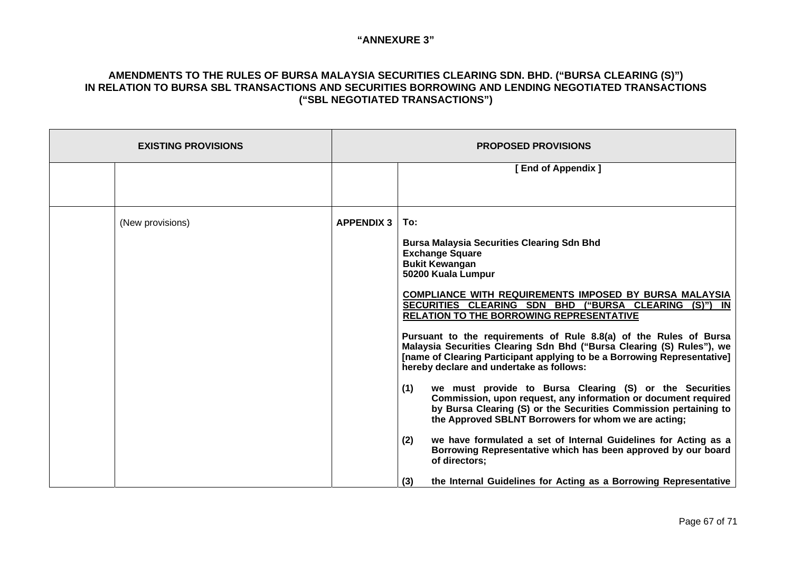| <b>EXISTING PROVISIONS</b> |                   | <b>PROPOSED PROVISIONS</b>                                                                                                                                                                                                                                         |
|----------------------------|-------------------|--------------------------------------------------------------------------------------------------------------------------------------------------------------------------------------------------------------------------------------------------------------------|
|                            |                   | [End of Appendix ]                                                                                                                                                                                                                                                 |
|                            |                   |                                                                                                                                                                                                                                                                    |
| (New provisions)           | <b>APPENDIX 3</b> | To:                                                                                                                                                                                                                                                                |
|                            |                   | <b>Bursa Malaysia Securities Clearing Sdn Bhd</b><br><b>Exchange Square</b>                                                                                                                                                                                        |
|                            |                   | <b>Bukit Kewangan</b><br>50200 Kuala Lumpur                                                                                                                                                                                                                        |
|                            |                   | <b>COMPLIANCE WITH REQUIREMENTS IMPOSED BY BURSA MALAYSIA</b><br>SECURITIES CLEARING SDN BHD ("BURSA CLEARING (S)") IN<br><b>RELATION TO THE BORROWING REPRESENTATIVE</b>                                                                                          |
|                            |                   | Pursuant to the requirements of Rule 8.8(a) of the Rules of Bursa<br>Malaysia Securities Clearing Sdn Bhd ("Bursa Clearing (S) Rules"), we<br>[name of Clearing Participant applying to be a Borrowing Representative]<br>hereby declare and undertake as follows: |
|                            |                   | (1)<br>we must provide to Bursa Clearing (S) or the Securities<br>Commission, upon request, any information or document required<br>by Bursa Clearing (S) or the Securities Commission pertaining to<br>the Approved SBLNT Borrowers for whom we are acting;       |
|                            |                   | (2)<br>we have formulated a set of Internal Guidelines for Acting as a<br>Borrowing Representative which has been approved by our board<br>of directors;                                                                                                           |
|                            |                   | the Internal Guidelines for Acting as a Borrowing Representative<br>(3)                                                                                                                                                                                            |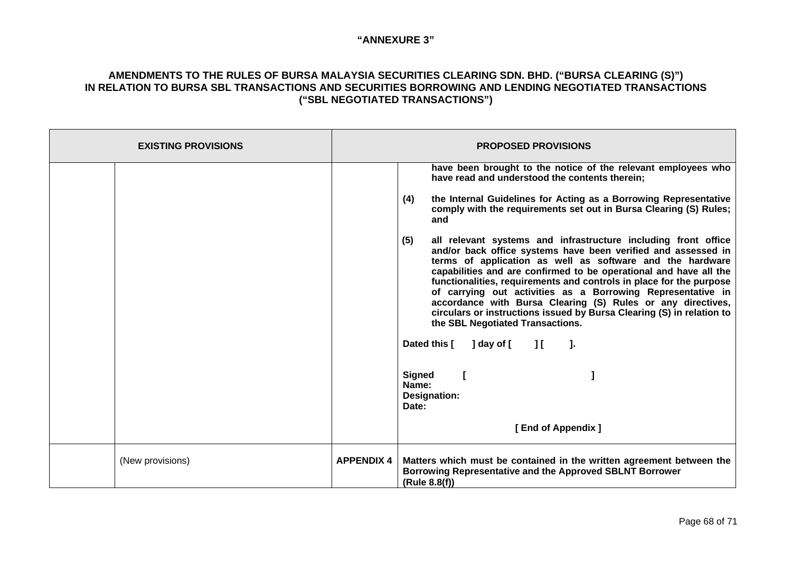| <b>EXISTING PROVISIONS</b> |                   | <b>PROPOSED PROVISIONS</b>                                                                                                                                                                                                                                                                                                                                                                                                                                                                                                                                                                 |
|----------------------------|-------------------|--------------------------------------------------------------------------------------------------------------------------------------------------------------------------------------------------------------------------------------------------------------------------------------------------------------------------------------------------------------------------------------------------------------------------------------------------------------------------------------------------------------------------------------------------------------------------------------------|
|                            |                   | have been brought to the notice of the relevant employees who<br>have read and understood the contents therein;                                                                                                                                                                                                                                                                                                                                                                                                                                                                            |
|                            |                   | the Internal Guidelines for Acting as a Borrowing Representative<br>(4)<br>comply with the requirements set out in Bursa Clearing (S) Rules;<br>and                                                                                                                                                                                                                                                                                                                                                                                                                                        |
|                            |                   | (5)<br>all relevant systems and infrastructure including front office<br>and/or back office systems have been verified and assessed in<br>terms of application as well as software and the hardware<br>capabilities and are confirmed to be operational and have all the<br>functionalities, requirements and controls in place for the purpose<br>of carrying out activities as a Borrowing Representative in<br>accordance with Bursa Clearing (S) Rules or any directives,<br>circulars or instructions issued by Bursa Clearing (S) in relation to<br>the SBL Negotiated Transactions. |
|                            |                   | Dated this [<br>$\lceil \text{day of} \rceil$ $\lceil \cdot \rceil$<br>J.                                                                                                                                                                                                                                                                                                                                                                                                                                                                                                                  |
|                            |                   | <b>Signed</b><br>Name:<br><b>Designation:</b><br>Date:                                                                                                                                                                                                                                                                                                                                                                                                                                                                                                                                     |
|                            |                   | [End of Appendix]                                                                                                                                                                                                                                                                                                                                                                                                                                                                                                                                                                          |
| (New provisions)           | <b>APPENDIX 4</b> | Matters which must be contained in the written agreement between the<br>Borrowing Representative and the Approved SBLNT Borrower<br>(Rule 8.8(f))                                                                                                                                                                                                                                                                                                                                                                                                                                          |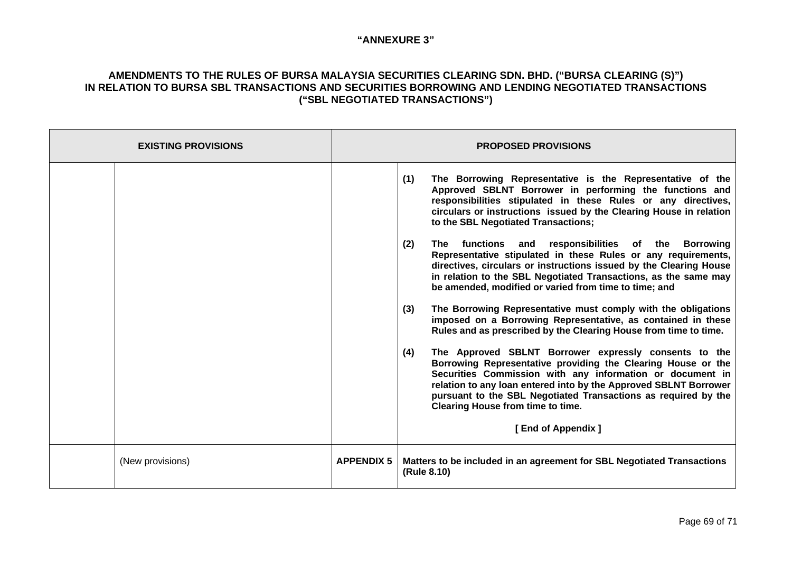| <b>EXISTING PROVISIONS</b> |                   | <b>PROPOSED PROVISIONS</b>                                                                                                                                                                                                                                                                                                                                                                                                                                                                                                                                                                                                                                                                                                                                                                                                                                                                                                                                                                                                                                                                                                 |
|----------------------------|-------------------|----------------------------------------------------------------------------------------------------------------------------------------------------------------------------------------------------------------------------------------------------------------------------------------------------------------------------------------------------------------------------------------------------------------------------------------------------------------------------------------------------------------------------------------------------------------------------------------------------------------------------------------------------------------------------------------------------------------------------------------------------------------------------------------------------------------------------------------------------------------------------------------------------------------------------------------------------------------------------------------------------------------------------------------------------------------------------------------------------------------------------|
|                            |                   | The Borrowing Representative is the Representative of the<br>(1)<br>Approved SBLNT Borrower in performing the functions and<br>responsibilities stipulated in these Rules or any directives,<br>circulars or instructions issued by the Clearing House in relation<br>to the SBL Negotiated Transactions;<br>(2)<br>The functions and<br>responsibilities of the Borrowing<br>Representative stipulated in these Rules or any requirements,<br>directives, circulars or instructions issued by the Clearing House<br>in relation to the SBL Negotiated Transactions, as the same may<br>be amended, modified or varied from time to time; and<br>(3)<br>The Borrowing Representative must comply with the obligations<br>imposed on a Borrowing Representative, as contained in these<br>Rules and as prescribed by the Clearing House from time to time.<br>The Approved SBLNT Borrower expressly consents to the<br>(4)<br>Borrowing Representative providing the Clearing House or the<br>Securities Commission with any information or document in<br>relation to any loan entered into by the Approved SBLNT Borrower |
|                            |                   | pursuant to the SBL Negotiated Transactions as required by the<br>Clearing House from time to time.                                                                                                                                                                                                                                                                                                                                                                                                                                                                                                                                                                                                                                                                                                                                                                                                                                                                                                                                                                                                                        |
|                            |                   | [End of Appendix]                                                                                                                                                                                                                                                                                                                                                                                                                                                                                                                                                                                                                                                                                                                                                                                                                                                                                                                                                                                                                                                                                                          |
| (New provisions)           | <b>APPENDIX 5</b> | Matters to be included in an agreement for SBL Negotiated Transactions<br>(Rule 8.10)                                                                                                                                                                                                                                                                                                                                                                                                                                                                                                                                                                                                                                                                                                                                                                                                                                                                                                                                                                                                                                      |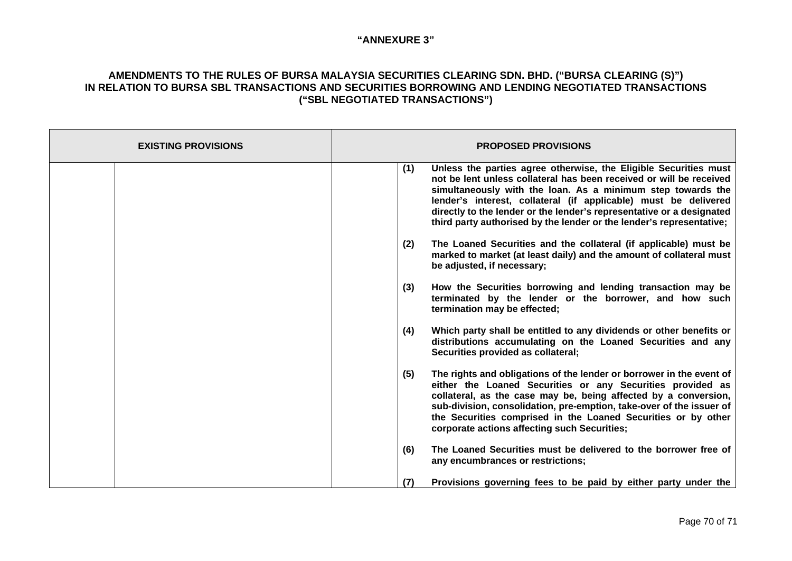| <b>EXISTING PROVISIONS</b> | <b>PROPOSED PROVISIONS</b>                                                                                                                                                                                                                                                                                                                                                                                                        |
|----------------------------|-----------------------------------------------------------------------------------------------------------------------------------------------------------------------------------------------------------------------------------------------------------------------------------------------------------------------------------------------------------------------------------------------------------------------------------|
|                            | Unless the parties agree otherwise, the Eligible Securities must<br>(1)<br>not be lent unless collateral has been received or will be received<br>simultaneously with the loan. As a minimum step towards the<br>lender's interest, collateral (if applicable) must be delivered<br>directly to the lender or the lender's representative or a designated<br>third party authorised by the lender or the lender's representative; |
|                            | (2)<br>The Loaned Securities and the collateral (if applicable) must be<br>marked to market (at least daily) and the amount of collateral must<br>be adjusted, if necessary;                                                                                                                                                                                                                                                      |
|                            | How the Securities borrowing and lending transaction may be<br>(3)<br>terminated by the lender or the borrower, and how such<br>termination may be effected;                                                                                                                                                                                                                                                                      |
|                            | (4)<br>Which party shall be entitled to any dividends or other benefits or<br>distributions accumulating on the Loaned Securities and any<br>Securities provided as collateral;                                                                                                                                                                                                                                                   |
|                            | (5)<br>The rights and obligations of the lender or borrower in the event of<br>either the Loaned Securities or any Securities provided as<br>collateral, as the case may be, being affected by a conversion,<br>sub-division, consolidation, pre-emption, take-over of the issuer of<br>the Securities comprised in the Loaned Securities or by other<br>corporate actions affecting such Securities;                             |
|                            | The Loaned Securities must be delivered to the borrower free of<br>(6)<br>any encumbrances or restrictions;                                                                                                                                                                                                                                                                                                                       |
|                            | (7)<br>Provisions governing fees to be paid by either party under the                                                                                                                                                                                                                                                                                                                                                             |